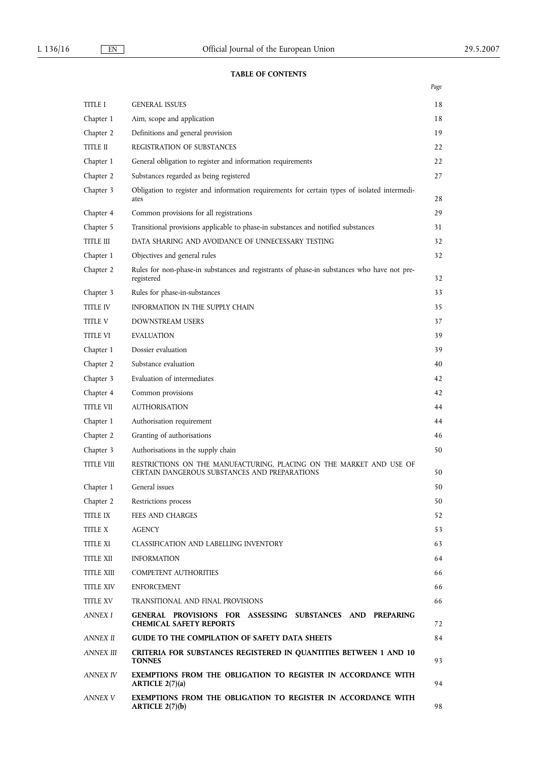# **TABLE OF CONTENTS**

|                   |                                                                                                                      | Page |
|-------------------|----------------------------------------------------------------------------------------------------------------------|------|
| TITLE I           | <b>GENERAL ISSUES</b>                                                                                                | 18   |
| Chapter 1         | Aim, scope and application                                                                                           | 18   |
| Chapter 2         | Definitions and general provision                                                                                    | 19   |
| <b>TITLE II</b>   | REGISTRATION OF SUBSTANCES                                                                                           | 22   |
| Chapter 1         | General obligation to register and information requirements                                                          | 22   |
| Chapter 2         | Substances regarded as being registered                                                                              | 27   |
| Chapter 3         | Obligation to register and information requirements for certain types of isolated intermedi-<br>ates                 | 28   |
| Chapter 4         | Common provisions for all registrations                                                                              | 29   |
| Chapter 5         | Transitional provisions applicable to phase-in substances and notified substances                                    | 31   |
| <b>TITLE III</b>  | DATA SHARING AND AVOIDANCE OF UNNECESSARY TESTING                                                                    | 32   |
| Chapter 1         | Objectives and general rules                                                                                         | 32   |
| Chapter 2         | Rules for non-phase-in substances and registrants of phase-in substances who have not pre-<br>registered             | 32   |
| Chapter 3         | Rules for phase-in-substances                                                                                        | 33   |
| <b>TITLE IV</b>   | INFORMATION IN THE SUPPLY CHAIN                                                                                      | 35   |
| TITLE V           | DOWNSTREAM USERS                                                                                                     | 37   |
| TITLE VI          | <b>EVALUATION</b>                                                                                                    | 39   |
| Chapter 1         | Dossier evaluation                                                                                                   | 39   |
| Chapter 2         | Substance evaluation                                                                                                 | 40   |
| Chapter 3         | Evaluation of intermediates                                                                                          | 42   |
| Chapter 4         | Common provisions                                                                                                    | 42   |
| <b>TITLE VII</b>  | <b>AUTHORISATION</b>                                                                                                 | 44   |
| Chapter 1         | Authorisation requirement                                                                                            | 44   |
| Chapter 2         | Granting of authorisations                                                                                           | 46   |
| Chapter 3         | Authorisations in the supply chain                                                                                   | 50   |
| <b>TITLE VIII</b> | RESTRICTIONS ON THE MANUFACTURING, PLACING ON THE MARKET AND USE OF<br>CERTAIN DANGEROUS SUBSTANCES AND PREPARATIONS | 50   |
| Chapter 1         | General issues                                                                                                       | 50   |
| Chapter 2         | Restrictions process                                                                                                 | 50   |
| <b>TITLE IX</b>   | <b>FEES AND CHARGES</b>                                                                                              | 52   |
| <b>TITLE X</b>    | <b>AGENCY</b>                                                                                                        | 53   |
| <b>TITLE XI</b>   | <b>CLASSIFICATION AND LABELLING INVENTORY</b>                                                                        | 63   |
| TITLE XII         | <b>INFORMATION</b>                                                                                                   | 64   |
| <b>TITLE XIII</b> | <b>COMPETENT AUTHORITIES</b>                                                                                         | 66   |
| <b>TITLE XIV</b>  | <b>ENFORCEMENT</b>                                                                                                   | 66   |
| <b>TITLE XV</b>   | TRANSITIONAL AND FINAL PROVISIONS                                                                                    | 66   |
| <b>ANNEX I</b>    | GENERAL PROVISIONS FOR ASSESSING SUBSTANCES AND PREPARING<br><b>CHEMICAL SAFETY REPORTS</b>                          | 72   |
| ANNEX II          | <b>GUIDE TO THE COMPILATION OF SAFETY DATA SHEETS</b>                                                                | 84   |
| ANNEX III         | CRITERIA FOR SUBSTANCES REGISTERED IN QUANTITIES BETWEEN 1 AND 10<br><b>TONNES</b>                                   | 93   |
| ANNEX IV          | EXEMPTIONS FROM THE OBLIGATION TO REGISTER IN ACCORDANCE WITH<br><b>ARTICLE 2(7)(a)</b>                              | 94   |
| ANNEX V           | EXEMPTIONS FROM THE OBLIGATION TO REGISTER IN ACCORDANCE WITH<br>ARTICLE $2(7)(b)$                                   | 98   |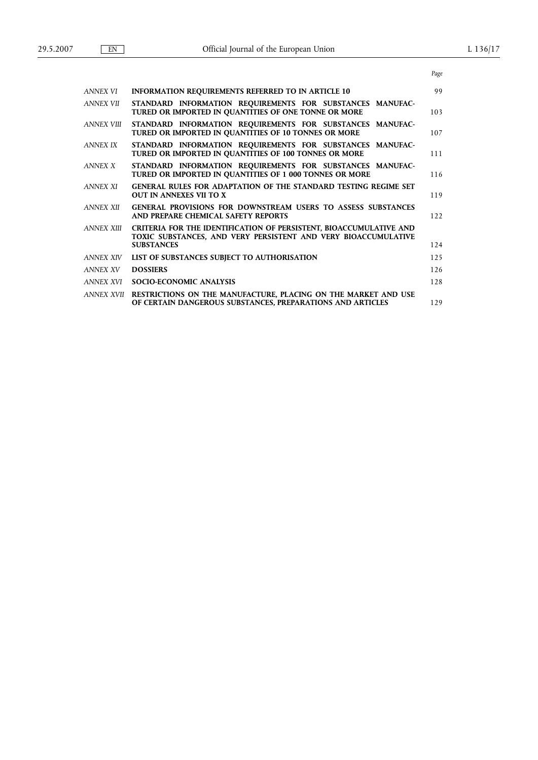|                                                                                                                              | Page                                                           |
|------------------------------------------------------------------------------------------------------------------------------|----------------------------------------------------------------|
| <b>INFORMATION REQUIREMENTS REFERRED TO IN ARTICLE 10</b>                                                                    | 99                                                             |
| STANDARD INFORMATION REQUIREMENTS FOR SUBSTANCES MANUFAC-<br>TURED OR IMPORTED IN QUANTITIES OF ONE TONNE OR MORE            | 103                                                            |
| STANDARD INFORMATION REQUIREMENTS FOR SUBSTANCES MANUFAC-<br>TURED OR IMPORTED IN QUANTITIES OF 10 TONNES OR MORE            | 107                                                            |
| STANDARD INFORMATION REQUIREMENTS FOR SUBSTANCES MANUFAC-<br>TURED OR IMPORTED IN QUANTITIES OF 100 TONNES OR MORE           | 111                                                            |
| STANDARD INFORMATION REQUIREMENTS FOR SUBSTANCES MANUFAC-<br>TURED OR IMPORTED IN QUANTITIES OF 1 000 TONNES OR MORE         | 116                                                            |
| GENERAL RULES FOR ADAPTATION OF THE STANDARD TESTING REGIME SET<br><b>OUT IN ANNEXES VII TO X</b>                            | 119                                                            |
| GENERAL PROVISIONS FOR DOWNSTREAM USERS TO ASSESS SUBSTANCES<br>AND PREPARE CHEMICAL SAFETY REPORTS                          | 122                                                            |
| <b>CRITERIA FOR THE IDENTIFICATION OF PERSISTENT, BIOACCUMULATIVE AND</b>                                                    |                                                                |
| <b>SUBSTANCES</b>                                                                                                            | 124                                                            |
| LIST OF SUBSTANCES SUBJECT TO AUTHORISATION                                                                                  | 125                                                            |
| <b>DOSSIERS</b>                                                                                                              | 126                                                            |
| <b>SOCIO-ECONOMIC ANALYSIS</b>                                                                                               | 128                                                            |
| RESTRICTIONS ON THE MANUFACTURE, PLACING ON THE MARKET AND USE<br>OF CERTAIN DANGEROUS SUBSTANCES, PREPARATIONS AND ARTICLES | 129                                                            |
|                                                                                                                              | TOXIC SUBSTANCES, AND VERY PERSISTENT AND VERY BIOACCUMULATIVE |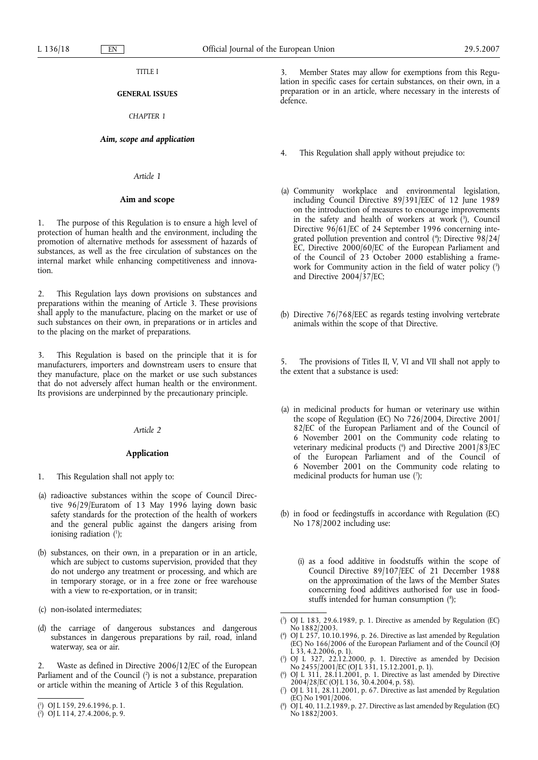# TITLE I

# **GENERAL ISSUES**

# *CHAPTER 1*

# *Aim, scope and application*

#### *Article 1*

#### **Aim and scope**

1. The purpose of this Regulation is to ensure a high level of protection of human health and the environment, including the promotion of alternative methods for assessment of hazards of substances, as well as the free circulation of substances on the internal market while enhancing competitiveness and innovation.

2. This Regulation lays down provisions on substances and preparations within the meaning of Article 3. These provisions shall apply to the manufacture, placing on the market or use of such substances on their own, in preparations or in articles and to the placing on the market of preparations.

3. This Regulation is based on the principle that it is for manufacturers, importers and downstream users to ensure that they manufacture, place on the market or use such substances that do not adversely affect human health or the environment. Its provisions are underpinned by the precautionary principle.

# *Article 2*

# **Application**

- 1. This Regulation shall not apply to:
- (a) radioactive substances within the scope of Council Directive 96/29/Euratom of 13 May 1996 laying down basic safety standards for the protection of the health of workers and the general public against the dangers arising from ionising radiation (1);
- (b) substances, on their own, in a preparation or in an article, which are subject to customs supervision, provided that they do not undergo any treatment or processing, and which are in temporary storage, or in a free zone or free warehouse with a view to re-exportation, or in transit;
- (c) non-isolated intermediates;
- (d) the carriage of dangerous substances and dangerous substances in dangerous preparations by rail, road, inland waterway, sea or air.

Waste as defined in Directive 2006/12/EC of the European Parliament and of the Council (<sup>2</sup>) is not a substance, preparation or article within the meaning of Article 3 of this Regulation.

3. Member States may allow for exemptions from this Regulation in specific cases for certain substances, on their own, in a preparation or in an article, where necessary in the interests of defence.

- 4. This Regulation shall apply without prejudice to:
- (a) Community workplace and environmental legislation, including Council Directive 89/391/EEC of 12 June 1989 on the introduction of measures to encourage improvements in the safety and health of workers at work  $(3)$ , Council Directive 96/61/EC of 24 September 1996 concerning integrated pollution prevention and control (4 ); Directive 98/24/ EC, Directive 2000/60/EC of the European Parliament and of the Council of 23 October 2000 establishing a framework for Community action in the field of water policy  $(5)$ and Directive 2004/37/EC;
- (b) Directive 76/768/EEC as regards testing involving vertebrate animals within the scope of that Directive.

The provisions of Titles II, V, VI and VII shall not apply to the extent that a substance is used:

- (a) in medicinal products for human or veterinary use within the scope of Regulation (EC) No 726/2004, Directive 2001/ 82/EC of the European Parliament and of the Council of 6 November 2001 on the Community code relating to veterinary medicinal products (<sup>6</sup>) and Directive 2001/83/EC of the European Parliament and of the Council of 6 November 2001 on the Community code relating to medicinal products for human use  $(7)$ ;
- (b) in food or feedingstuffs in accordance with Regulation (EC) No 178/2002 including use:
	- (i) as a food additive in foodstuffs within the scope of Council Directive 89/107/EEC of 21 December 1988 on the approximation of the laws of the Member States concerning food additives authorised for use in foodstuffs intended for human consumption (<sup>8</sup>);
- ( 3 ) OJ L 183, 29.6.1989, p. 1. Directive as amended by Regulation (EC) No 1882/2003.
- ( 4 ) OJ L 257, 10.10.1996, p. 26. Directive as last amended by Regulation (EC) No 166/2006 of the European Parliament and of the Council (OJ L 33, 4.2.2006, p. 1).
- ( 5 ) OJ L 327, 22.12.2000, p. 1. Directive as amended by Decision No 2455/2001/EC (OJ L 331, 15.12.2001, p. 1).
- ( 6 ) OJ L 311, 28.11.2001, p. 1. Directive as last amended by Directive 2004/28/EC (OJ L 136, 30.4.2004, p. 58).
- ( 7 ) OJ L 311, 28.11.2001, p. 67. Directive as last amended by Regulation (EC) No 1901/2006.
- ( 8 ) OJ L 40, 11.2.1989, p. 27. Directive as last amended by Regulation (EC) No 1882/2003.

<sup>(</sup> 1 ) OJ L 159, 29.6.1996, p. 1.

<sup>(</sup> 2 ) OJ L 114, 27.4.2006, p. 9.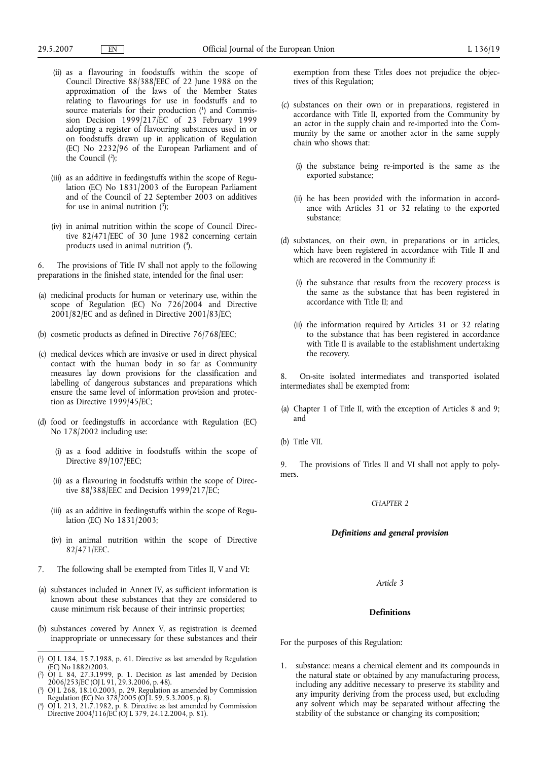- (ii) as a flavouring in foodstuffs within the scope of Council Directive 88/388/EEC of 22 June 1988 on the approximation of the laws of the Member States relating to flavourings for use in foodstuffs and to source materials for their production (1) and Commission Decision 1999/217/EC of 23 February 1999 adopting a register of flavouring substances used in or on foodstuffs drawn up in application of Regulation (EC) No 2232/96 of the European Parliament and of the Council (2 );
- (iii) as an additive in feedingstuffs within the scope of Regulation (EC) No 1831/2003 of the European Parliament and of the Council of 22 September 2003 on additives for use in animal nutrition  $(3)$ ;
- (iv) in animal nutrition within the scope of Council Directive  $82/471/EEC$  of 30 June 1982 concerning certain products used in animal nutrition (4 ).

6. The provisions of Title IV shall not apply to the following preparations in the finished state, intended for the final user:

- (a) medicinal products for human or veterinary use, within the scope of Regulation (EC) No 726/2004 and Directive 2001/82/EC and as defined in Directive 2001/83/EC;
- (b) cosmetic products as defined in Directive 76/768/EEC;
- (c) medical devices which are invasive or used in direct physical contact with the human body in so far as Community measures lay down provisions for the classification and labelling of dangerous substances and preparations which ensure the same level of information provision and protection as Directive 1999/45/EC;
- (d) food or feedingstuffs in accordance with Regulation (EC) No 178/2002 including use:
	- (i) as a food additive in foodstuffs within the scope of Directive 89/107/EEC;
	- (ii) as a flavouring in foodstuffs within the scope of Directive 88/388/EEC and Decision 1999/217/EC;
	- (iii) as an additive in feedingstuffs within the scope of Regulation (EC) No 1831/2003;
	- (iv) in animal nutrition within the scope of Directive 82/471/EEC.
- 7. The following shall be exempted from Titles II, V and VI:
- (a) substances included in Annex IV, as sufficient information is known about these substances that they are considered to cause minimum risk because of their intrinsic properties;
- (b) substances covered by Annex V, as registration is deemed inappropriate or unnecessary for these substances and their
- ( 1 ) OJ L 184, 15.7.1988, p. 61. Directive as last amended by Regulation (EC) No 1882/2003.
- ( 2 ) OJ L 84, 27.3.1999, p. 1. Decision as last amended by Decision 2006/253/EC (OJ L 91, 29.3.2006, p. 48).
- ( 3 ) OJ L 268, 18.10.2003, p. 29. Regulation as amended by Commission Regulation (EC) No 378/2005 (OJ L 59, 5.3.2005, p. 8).
- ( 4 ) OJ L 213, 21.7.1982, p. 8. Directive as last amended by Commission Directive 2004/116/EC (OJ L 379, 24.12.2004, p. 81).

exemption from these Titles does not prejudice the objectives of this Regulation;

- (c) substances on their own or in preparations, registered in accordance with Title II, exported from the Community by an actor in the supply chain and re-imported into the Community by the same or another actor in the same supply chain who shows that:
	- (i) the substance being re-imported is the same as the exported substance;
	- (ii) he has been provided with the information in accordance with Articles 31 or 32 relating to the exported substance;
- (d) substances, on their own, in preparations or in articles, which have been registered in accordance with Title II and which are recovered in the Community if:
	- (i) the substance that results from the recovery process is the same as the substance that has been registered in accordance with Title II; and
	- (ii) the information required by Articles 31 or 32 relating to the substance that has been registered in accordance with Title II is available to the establishment undertaking the recovery.

8. On-site isolated intermediates and transported isolated intermediates shall be exempted from:

- (a) Chapter 1 of Title II, with the exception of Articles 8 and 9; and
- (b) Title VII.

9. The provisions of Titles II and VI shall not apply to polymers.

# *CHAPTER 2*

# *Definitions and general provision*

*Article 3*

## **Definitions**

For the purposes of this Regulation:

substance: means a chemical element and its compounds in the natural state or obtained by any manufacturing process, including any additive necessary to preserve its stability and any impurity deriving from the process used, but excluding any solvent which may be separated without affecting the stability of the substance or changing its composition;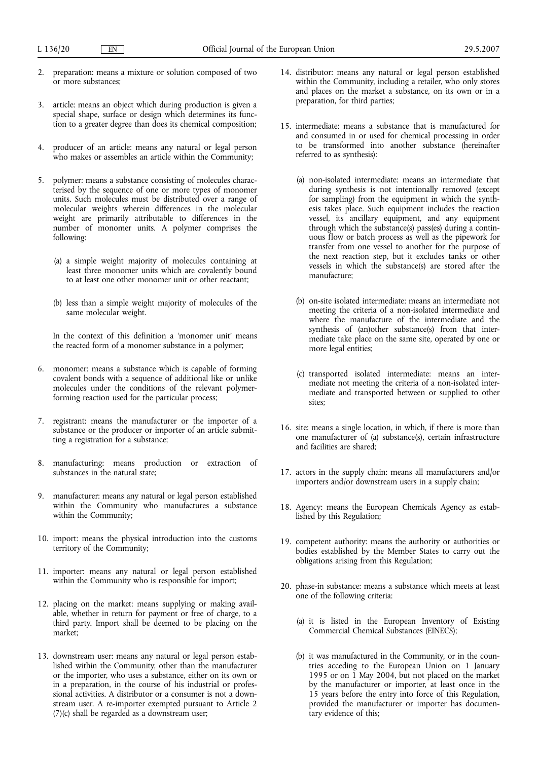- 2. preparation: means a mixture or solution composed of two or more substances;
- 3. article: means an object which during production is given a special shape, surface or design which determines its function to a greater degree than does its chemical composition;
- 4. producer of an article: means any natural or legal person who makes or assembles an article within the Community;
- 5. polymer: means a substance consisting of molecules characterised by the sequence of one or more types of monomer units. Such molecules must be distributed over a range of molecular weights wherein differences in the molecular weight are primarily attributable to differences in the number of monomer units. A polymer comprises the following:
	- (a) a simple weight majority of molecules containing at least three monomer units which are covalently bound to at least one other monomer unit or other reactant;
	- (b) less than a simple weight majority of molecules of the same molecular weight.

In the context of this definition a 'monomer unit' means the reacted form of a monomer substance in a polymer;

- 6. monomer: means a substance which is capable of forming covalent bonds with a sequence of additional like or unlike molecules under the conditions of the relevant polymerforming reaction used for the particular process;
- 7. registrant: means the manufacturer or the importer of a substance or the producer or importer of an article submitting a registration for a substance;
- 8. manufacturing: means production or extraction of substances in the natural state;
- 9. manufacturer: means any natural or legal person established within the Community who manufactures a substance within the Community;
- 10. import: means the physical introduction into the customs territory of the Community;
- 11. importer: means any natural or legal person established within the Community who is responsible for import;
- 12. placing on the market: means supplying or making available, whether in return for payment or free of charge, to a third party. Import shall be deemed to be placing on the market;
- 13. downstream user: means any natural or legal person established within the Community, other than the manufacturer or the importer, who uses a substance, either on its own or in a preparation, in the course of his industrial or professional activities. A distributor or a consumer is not a downstream user. A re-importer exempted pursuant to Article 2 (7)(c) shall be regarded as a downstream user;
- 14. distributor: means any natural or legal person established within the Community, including a retailer, who only stores and places on the market a substance, on its own or in a preparation, for third parties;
- 15. intermediate: means a substance that is manufactured for and consumed in or used for chemical processing in order to be transformed into another substance (hereinafter referred to as synthesis):
	- (a) non-isolated intermediate: means an intermediate that during synthesis is not intentionally removed (except for sampling) from the equipment in which the synthesis takes place. Such equipment includes the reaction vessel, its ancillary equipment, and any equipment through which the substance(s) pass(es) during a continuous flow or batch process as well as the pipework for transfer from one vessel to another for the purpose of the next reaction step, but it excludes tanks or other vessels in which the substance(s) are stored after the manufacture;
	- (b) on-site isolated intermediate: means an intermediate not meeting the criteria of a non-isolated intermediate and where the manufacture of the intermediate and the synthesis of (an)other substance(s) from that intermediate take place on the same site, operated by one or more legal entities;
	- (c) transported isolated intermediate: means an intermediate not meeting the criteria of a non-isolated intermediate and transported between or supplied to other sites;
- 16. site: means a single location, in which, if there is more than one manufacturer of (a) substance(s), certain infrastructure and facilities are shared;
- 17. actors in the supply chain: means all manufacturers and/or importers and/or downstream users in a supply chain;
- 18. Agency: means the European Chemicals Agency as established by this Regulation;
- 19. competent authority: means the authority or authorities or bodies established by the Member States to carry out the obligations arising from this Regulation;
- 20. phase-in substance: means a substance which meets at least one of the following criteria:
	- (a) it is listed in the European Inventory of Existing Commercial Chemical Substances (EINECS);
	- (b) it was manufactured in the Community, or in the countries acceding to the European Union on 1 January 1995 or on 1 May 2004, but not placed on the market by the manufacturer or importer, at least once in the 15 years before the entry into force of this Regulation, provided the manufacturer or importer has documentary evidence of this;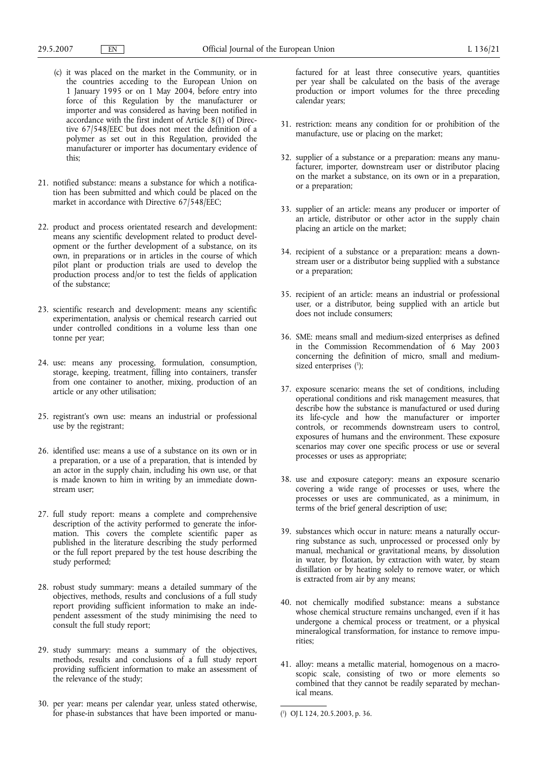- (c) it was placed on the market in the Community, or in the countries acceding to the European Union on 1 January 1995 or on 1 May 2004, before entry into force of this Regulation by the manufacturer or importer and was considered as having been notified in accordance with the first indent of Article 8(1) of Directive 67/548/EEC but does not meet the definition of a polymer as set out in this Regulation, provided the manufacturer or importer has documentary evidence of this;
- 21. notified substance: means a substance for which a notification has been submitted and which could be placed on the market in accordance with Directive 67/548/EEC;
- 22. product and process orientated research and development: means any scientific development related to product development or the further development of a substance, on its own, in preparations or in articles in the course of which pilot plant or production trials are used to develop the production process and/or to test the fields of application of the substance;
- 23. scientific research and development: means any scientific experimentation, analysis or chemical research carried out under controlled conditions in a volume less than one tonne per year;
- 24. use: means any processing, formulation, consumption, storage, keeping, treatment, filling into containers, transfer from one container to another, mixing, production of an article or any other utilisation;
- 25. registrant's own use: means an industrial or professional use by the registrant;
- 26. identified use: means a use of a substance on its own or in a preparation, or a use of a preparation, that is intended by an actor in the supply chain, including his own use, or that is made known to him in writing by an immediate downstream user;
- 27. full study report: means a complete and comprehensive description of the activity performed to generate the information. This covers the complete scientific paper as published in the literature describing the study performed or the full report prepared by the test house describing the study performed;
- 28. robust study summary: means a detailed summary of the objectives, methods, results and conclusions of a full study report providing sufficient information to make an independent assessment of the study minimising the need to consult the full study report;
- 29. study summary: means a summary of the objectives, methods, results and conclusions of a full study report providing sufficient information to make an assessment of the relevance of the study;
- 30. per year: means per calendar year, unless stated otherwise, for phase-in substances that have been imported or manu-

factured for at least three consecutive years, quantities per year shall be calculated on the basis of the average production or import volumes for the three preceding calendar years;

- 31. restriction: means any condition for or prohibition of the manufacture, use or placing on the market;
- 32. supplier of a substance or a preparation: means any manufacturer, importer, downstream user or distributor placing on the market a substance, on its own or in a preparation, or a preparation;
- 33. supplier of an article: means any producer or importer of an article, distributor or other actor in the supply chain placing an article on the market;
- 34. recipient of a substance or a preparation: means a downstream user or a distributor being supplied with a substance or a preparation;
- 35. recipient of an article: means an industrial or professional user, or a distributor, being supplied with an article but does not include consumers;
- 36. SME: means small and medium-sized enterprises as defined in the Commission Recommendation of 6 May 2003 concerning the definition of micro, small and mediumsized enterprises (1);
- 37. exposure scenario: means the set of conditions, including operational conditions and risk management measures, that describe how the substance is manufactured or used during its life-cycle and how the manufacturer or importer controls, or recommends downstream users to control, exposures of humans and the environment. These exposure scenarios may cover one specific process or use or several processes or uses as appropriate;
- 38. use and exposure category: means an exposure scenario covering a wide range of processes or uses, where the processes or uses are communicated, as a minimum, in terms of the brief general description of use;
- 39. substances which occur in nature: means a naturally occurring substance as such, unprocessed or processed only by manual, mechanical or gravitational means, by dissolution in water, by flotation, by extraction with water, by steam distillation or by heating solely to remove water, or which is extracted from air by any means;
- 40. not chemically modified substance: means a substance whose chemical structure remains unchanged, even if it has undergone a chemical process or treatment, or a physical mineralogical transformation, for instance to remove impurities;
- 41. alloy: means a metallic material, homogenous on a macroscopic scale, consisting of two or more elements so combined that they cannot be readily separated by mechanical means.

<sup>(</sup> 1 ) OJ L 124, 20.5.2003, p. 36.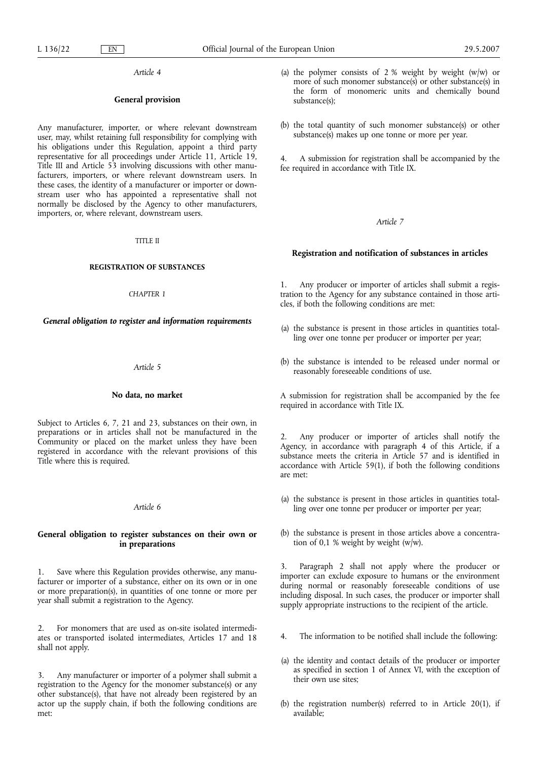#### **General provision**

Any manufacturer, importer, or where relevant downstream user, may, whilst retaining full responsibility for complying with his obligations under this Regulation, appoint a third party representative for all proceedings under Article 11, Article 19, Title III and Article 53 involving discussions with other manufacturers, importers, or where relevant downstream users. In these cases, the identity of a manufacturer or importer or downstream user who has appointed a representative shall not normally be disclosed by the Agency to other manufacturers, importers, or, where relevant, downstream users.

#### TITLE II

## **REGISTRATION OF SUBSTANCES**

### *CHAPTER 1*

## *General obligation to register and information requirements*

## *Article 5*

#### **No data, no market**

Subject to Articles 6, 7, 21 and 23, substances on their own, in preparations or in articles shall not be manufactured in the Community or placed on the market unless they have been registered in accordance with the relevant provisions of this Title where this is required.

## *Article 6*

# **General obligation to register substances on their own or in preparations**

1. Save where this Regulation provides otherwise, any manufacturer or importer of a substance, either on its own or in one or more preparation(s), in quantities of one tonne or more per year shall submit a registration to the Agency.

2. For monomers that are used as on-site isolated intermediates or transported isolated intermediates, Articles 17 and 18 shall not apply.

3. Any manufacturer or importer of a polymer shall submit a registration to the Agency for the monomer substance(s) or any other substance(s), that have not already been registered by an actor up the supply chain, if both the following conditions are met:

- (a) the polymer consists of 2 % weight by weight  $(w/w)$  or more of such monomer substance(s) or other substance(s) in the form of monomeric units and chemically bound substance(s);
- (b) the total quantity of such monomer substance(s) or other substance $(s)$  makes up one tonne or more per year.

4. A submission for registration shall be accompanied by the fee required in accordance with Title IX.

# *Article 7*

#### **Registration and notification of substances in articles**

1. Any producer or importer of articles shall submit a registration to the Agency for any substance contained in those articles, if both the following conditions are met:

- (a) the substance is present in those articles in quantities totalling over one tonne per producer or importer per year;
- (b) the substance is intended to be released under normal or reasonably foreseeable conditions of use.

A submission for registration shall be accompanied by the fee required in accordance with Title IX.

2. Any producer or importer of articles shall notify the Agency, in accordance with paragraph 4 of this Article, if a substance meets the criteria in Article 57 and is identified in accordance with Article 59(1), if both the following conditions are met:

- (a) the substance is present in those articles in quantities totalling over one tonne per producer or importer per year;
- (b) the substance is present in those articles above a concentration of 0,1 % weight by weight (w/w).

3. Paragraph 2 shall not apply where the producer or importer can exclude exposure to humans or the environment during normal or reasonably foreseeable conditions of use including disposal. In such cases, the producer or importer shall supply appropriate instructions to the recipient of the article.

- 4. The information to be notified shall include the following:
- (a) the identity and contact details of the producer or importer as specified in section 1 of Annex VI, with the exception of their own use sites;
- (b) the registration number(s) referred to in Article 20(1), if available;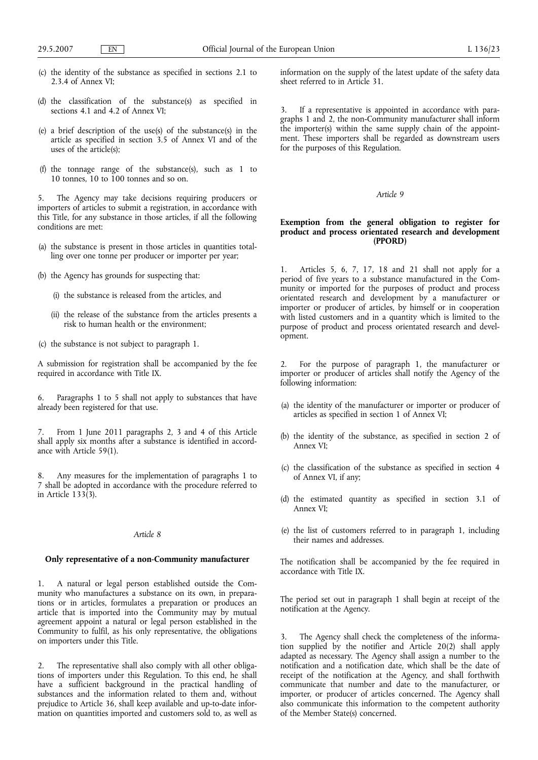- (c) the identity of the substance as specified in sections 2.1 to 2.3.4 of Annex VI;
- (d) the classification of the substance(s) as specified in sections 4.1 and 4.2 of Annex VI;
- (e) a brief description of the use(s) of the substance(s) in the article as specified in section 3.5 of Annex VI and of the uses of the article(s);
- (f) the tonnage range of the substance(s), such as 1 to 10 tonnes, 10 to 100 tonnes and so on.

5. The Agency may take decisions requiring producers or importers of articles to submit a registration, in accordance with this Title, for any substance in those articles, if all the following conditions are met:

- (a) the substance is present in those articles in quantities totalling over one tonne per producer or importer per year;
- (b) the Agency has grounds for suspecting that:
	- (i) the substance is released from the articles, and
	- (ii) the release of the substance from the articles presents a risk to human health or the environment;
- (c) the substance is not subject to paragraph 1.

A submission for registration shall be accompanied by the fee required in accordance with Title IX.

6. Paragraphs 1 to 5 shall not apply to substances that have already been registered for that use.

7. From 1 June 2011 paragraphs 2, 3 and 4 of this Article shall apply six months after a substance is identified in accordance with Article 59(1).

Any measures for the implementation of paragraphs 1 to 7 shall be adopted in accordance with the procedure referred to in Article 133(3).

# *Article 8*

# **Only representative of a non-Community manufacturer**

1. A natural or legal person established outside the Community who manufactures a substance on its own, in preparations or in articles, formulates a preparation or produces an article that is imported into the Community may by mutual agreement appoint a natural or legal person established in the Community to fulfil, as his only representative, the obligations on importers under this Title.

2. The representative shall also comply with all other obligations of importers under this Regulation. To this end, he shall have a sufficient background in the practical handling of substances and the information related to them and, without prejudice to Article 36, shall keep available and up-to-date information on quantities imported and customers sold to, as well as information on the supply of the latest update of the safety data sheet referred to in Article 31.

3. If a representative is appointed in accordance with paragraphs 1 and 2, the non-Community manufacturer shall inform the importer(s) within the same supply chain of the appointment. These importers shall be regarded as downstream users for the purposes of this Regulation.

# *Article 9*

# **Exemption from the general obligation to register for product and process orientated research and development (PPORD)**

1. Articles 5, 6, 7, 17, 18 and 21 shall not apply for a period of five years to a substance manufactured in the Community or imported for the purposes of product and process orientated research and development by a manufacturer or importer or producer of articles, by himself or in cooperation with listed customers and in a quantity which is limited to the purpose of product and process orientated research and development.

2. For the purpose of paragraph 1, the manufacturer or importer or producer of articles shall notify the Agency of the following information:

- (a) the identity of the manufacturer or importer or producer of articles as specified in section 1 of Annex VI;
- (b) the identity of the substance, as specified in section 2 of Annex VI;
- (c) the classification of the substance as specified in section 4 of Annex VI, if any;
- (d) the estimated quantity as specified in section 3.1 of Annex VI;
- (e) the list of customers referred to in paragraph 1, including their names and addresses.

The notification shall be accompanied by the fee required in accordance with Title IX.

The period set out in paragraph 1 shall begin at receipt of the notification at the Agency.

3. The Agency shall check the completeness of the information supplied by the notifier and Article 20(2) shall apply adapted as necessary. The Agency shall assign a number to the notification and a notification date, which shall be the date of receipt of the notification at the Agency, and shall forthwith communicate that number and date to the manufacturer, or importer, or producer of articles concerned. The Agency shall also communicate this information to the competent authority of the Member State(s) concerned.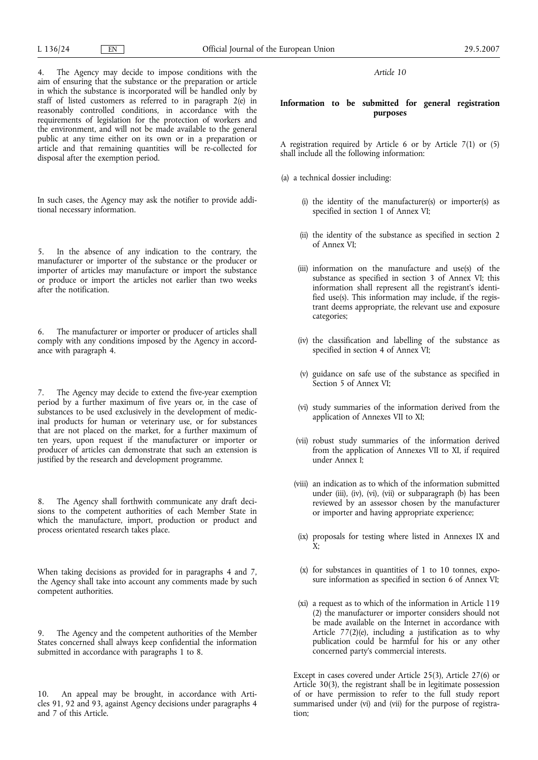disposal after the exemption period.

4. The Agency may decide to impose conditions with the aim of ensuring that the substance or the preparation or article in which the substance is incorporated will be handled only by staff of listed customers as referred to in paragraph 2(e) in reasonably controlled conditions, in accordance with the requirements of legislation for the protection of workers and the environment, and will not be made available to the general

In such cases, the Agency may ask the notifier to provide additional necessary information.

public at any time either on its own or in a preparation or article and that remaining quantities will be re-collected for

5. In the absence of any indication to the contrary, the manufacturer or importer of the substance or the producer or importer of articles may manufacture or import the substance or produce or import the articles not earlier than two weeks after the notification.

6. The manufacturer or importer or producer of articles shall comply with any conditions imposed by the Agency in accordance with paragraph 4.

7. The Agency may decide to extend the five-year exemption period by a further maximum of five years or, in the case of substances to be used exclusively in the development of medicinal products for human or veterinary use, or for substances that are not placed on the market, for a further maximum of ten years, upon request if the manufacturer or importer or producer of articles can demonstrate that such an extension is justified by the research and development programme.

8. The Agency shall forthwith communicate any draft decisions to the competent authorities of each Member State in which the manufacture, import, production or product and process orientated research takes place.

When taking decisions as provided for in paragraphs 4 and 7, the Agency shall take into account any comments made by such competent authorities.

9. The Agency and the competent authorities of the Member States concerned shall always keep confidential the information submitted in accordance with paragraphs 1 to 8.

10. An appeal may be brought, in accordance with Articles 91, 92 and 93, against Agency decisions under paragraphs 4 and 7 of this Article.

*Article 10*

# **Information to be submitted for general registration purposes**

A registration required by Article 6 or by Article 7(1) or (5) shall include all the following information:

- (a) a technical dossier including:
	- (i) the identity of the manufacturer(s) or importer(s) as specified in section 1 of Annex VI;
	- (ii) the identity of the substance as specified in section 2 of Annex VI;
	- (iii) information on the manufacture and use(s) of the substance as specified in section 3 of Annex VI; this information shall represent all the registrant's identified use(s). This information may include, if the registrant deems appropriate, the relevant use and exposure categories;
	- (iv) the classification and labelling of the substance as specified in section 4 of Annex VI;
	- (v) guidance on safe use of the substance as specified in Section 5 of Annex VI;
	- (vi) study summaries of the information derived from the application of Annexes VII to XI;
	- (vii) robust study summaries of the information derived from the application of Annexes VII to XI, if required under Annex I;
	- (viii) an indication as to which of the information submitted under (iii), (iv), (vi), (vii) or subparagraph (b) has been reviewed by an assessor chosen by the manufacturer or importer and having appropriate experience;
	- (ix) proposals for testing where listed in Annexes IX and  $X^{\mathbf{\cdot}}$
	- (x) for substances in quantities of 1 to 10 tonnes, exposure information as specified in section 6 of Annex VI;
	- (xi) a request as to which of the information in Article 119 (2) the manufacturer or importer considers should not be made available on the Internet in accordance with Article 77(2)(e), including a justification as to why publication could be harmful for his or any other concerned party's commercial interests.

Except in cases covered under Article 25(3), Article 27(6) or Article 30(3), the registrant shall be in legitimate possession of or have permission to refer to the full study report summarised under (vi) and (vii) for the purpose of registration;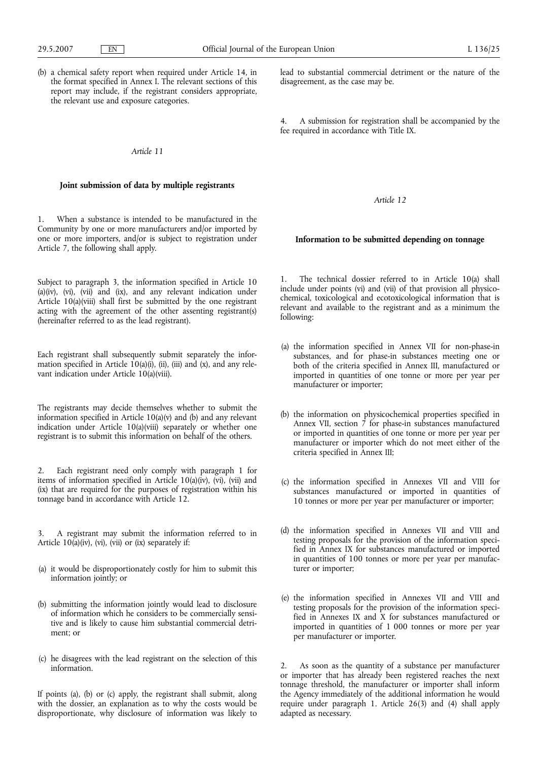(b) a chemical safety report when required under Article 14, in the format specified in Annex I. The relevant sections of this report may include, if the registrant considers appropriate, the relevant use and exposure categories.

### *Article 11*

# **Joint submission of data by multiple registrants**

1. When a substance is intended to be manufactured in the Community by one or more manufacturers and/or imported by one or more importers, and/or is subject to registration under Article 7, the following shall apply.

Subject to paragraph 3, the information specified in Article 10  $(a)(iv)$ ,  $(vi)$ ,  $(vii)$  and  $(ix)$ , and any relevant indication under Article 10(a)(viii) shall first be submitted by the one registrant acting with the agreement of the other assenting registrant(s) (hereinafter referred to as the lead registrant).

Each registrant shall subsequently submit separately the information specified in Article  $10(a)(i)$ , (ii), (iii) and (x), and any relevant indication under Article 10(a)(viii).

The registrants may decide themselves whether to submit the information specified in Article 10(a)(v) and (b) and any relevant indication under Article 10(a)(viii) separately or whether one registrant is to submit this information on behalf of the others.

2. Each registrant need only comply with paragraph 1 for items of information specified in Article 10(a)(iv), (vi), (vii) and (ix) that are required for the purposes of registration within his tonnage band in accordance with Article 12.

3. A registrant may submit the information referred to in Article  $10(a)(iv)$ , (vi), (vii) or (ix) separately if:

- (a) it would be disproportionately costly for him to submit this information jointly; or
- (b) submitting the information jointly would lead to disclosure of information which he considers to be commercially sensitive and is likely to cause him substantial commercial detriment; or
- (c) he disagrees with the lead registrant on the selection of this information.

If points (a), (b) or (c) apply, the registrant shall submit, along with the dossier, an explanation as to why the costs would be disproportionate, why disclosure of information was likely to lead to substantial commercial detriment or the nature of the disagreement, as the case may be.

4. A submission for registration shall be accompanied by the fee required in accordance with Title IX.

*Article 12*

# **Information to be submitted depending on tonnage**

1. The technical dossier referred to in Article 10(a) shall include under points (vi) and (vii) of that provision all physicochemical, toxicological and ecotoxicological information that is relevant and available to the registrant and as a minimum the following:

- (a) the information specified in Annex VII for non-phase-in substances, and for phase-in substances meeting one or both of the criteria specified in Annex III, manufactured or imported in quantities of one tonne or more per year per manufacturer or importer;
- (b) the information on physicochemical properties specified in Annex VII, section  $\overline{7}$  for phase-in substances manufactured or imported in quantities of one tonne or more per year per manufacturer or importer which do not meet either of the criteria specified in Annex III;
- (c) the information specified in Annexes VII and VIII for substances manufactured or imported in quantities of 10 tonnes or more per year per manufacturer or importer;
- (d) the information specified in Annexes VII and VIII and testing proposals for the provision of the information specified in Annex IX for substances manufactured or imported in quantities of 100 tonnes or more per year per manufacturer or importer;
- (e) the information specified in Annexes VII and VIII and testing proposals for the provision of the information specified in Annexes IX and X for substances manufactured or imported in quantities of 1 000 tonnes or more per year per manufacturer or importer.

2. As soon as the quantity of a substance per manufacturer or importer that has already been registered reaches the next tonnage threshold, the manufacturer or importer shall inform the Agency immediately of the additional information he would require under paragraph 1. Article 26(3) and (4) shall apply adapted as necessary.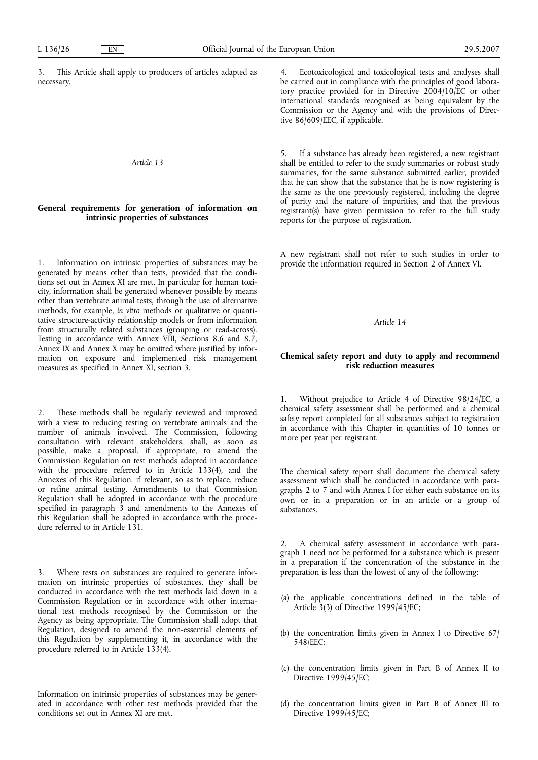3. This Article shall apply to producers of articles adapted as necessary.

# *Article 13*

# **General requirements for generation of information on intrinsic properties of substances**

1. Information on intrinsic properties of substances may be generated by means other than tests, provided that the conditions set out in Annex XI are met. In particular for human toxicity, information shall be generated whenever possible by means other than vertebrate animal tests, through the use of alternative methods, for example, *in vitro* methods or qualitative or quantitative structure-activity relationship models or from information from structurally related substances (grouping or read-across). Testing in accordance with Annex VIII, Sections 8.6 and 8.7, Annex IX and Annex X may be omitted where justified by information on exposure and implemented risk management measures as specified in Annex XI, section 3.

2. These methods shall be regularly reviewed and improved with a view to reducing testing on vertebrate animals and the number of animals involved. The Commission, following consultation with relevant stakeholders, shall, as soon as possible, make a proposal, if appropriate, to amend the Commission Regulation on test methods adopted in accordance with the procedure referred to in Article 133(4), and the Annexes of this Regulation, if relevant, so as to replace, reduce or refine animal testing. Amendments to that Commission Regulation shall be adopted in accordance with the procedure specified in paragraph 3 and amendments to the Annexes of this Regulation shall be adopted in accordance with the procedure referred to in Article 131.

3. Where tests on substances are required to generate information on intrinsic properties of substances, they shall be conducted in accordance with the test methods laid down in a Commission Regulation or in accordance with other international test methods recognised by the Commission or the Agency as being appropriate. The Commission shall adopt that Regulation, designed to amend the non-essential elements of this Regulation by supplementing it, in accordance with the procedure referred to in Article 133(4).

Information on intrinsic properties of substances may be generated in accordance with other test methods provided that the conditions set out in Annex XI are met.

4. Ecotoxicological and toxicological tests and analyses shall be carried out in compliance with the principles of good laboratory practice provided for in Directive 2004/10/EC or other international standards recognised as being equivalent by the Commission or the Agency and with the provisions of Directive 86/609/EEC, if applicable.

5. If a substance has already been registered, a new registrant shall be entitled to refer to the study summaries or robust study summaries, for the same substance submitted earlier, provided that he can show that the substance that he is now registering is the same as the one previously registered, including the degree of purity and the nature of impurities, and that the previous registrant(s) have given permission to refer to the full study reports for the purpose of registration.

A new registrant shall not refer to such studies in order to provide the information required in Section 2 of Annex VI.

*Article 14*

# **Chemical safety report and duty to apply and recommend risk reduction measures**

1. Without prejudice to Article 4 of Directive 98/24/EC, a chemical safety assessment shall be performed and a chemical safety report completed for all substances subject to registration in accordance with this Chapter in quantities of 10 tonnes or more per year per registrant.

The chemical safety report shall document the chemical safety assessment which shall be conducted in accordance with paragraphs 2 to 7 and with Annex I for either each substance on its own or in a preparation or in an article or a group of substances.

2. A chemical safety assessment in accordance with paragraph 1 need not be performed for a substance which is present in a preparation if the concentration of the substance in the preparation is less than the lowest of any of the following:

- (a) the applicable concentrations defined in the table of Article 3(3) of Directive 1999/45/EC;
- (b) the concentration limits given in Annex I to Directive 67/ 548/EEC;
- (c) the concentration limits given in Part B of Annex II to Directive 1999/45/EC;
- (d) the concentration limits given in Part B of Annex III to Directive 1999/45/EC;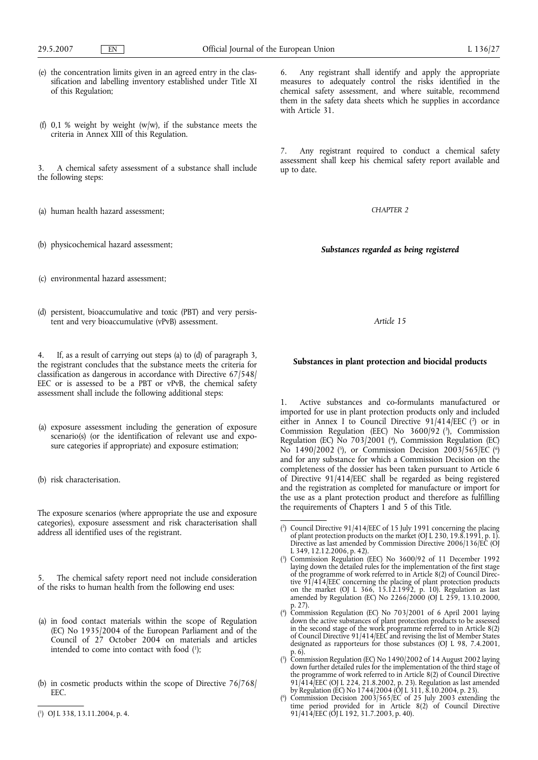- (e) the concentration limits given in an agreed entry in the classification and labelling inventory established under Title XI of this Regulation;
- (f)  $0.1$  % weight by weight (w/w), if the substance meets the criteria in Annex XIII of this Regulation.

3. A chemical safety assessment of a substance shall include the following steps:

- (a) human health hazard assessment;
- (b) physicochemical hazard assessment;

6. Any registrant shall identify and apply the appropriate measures to adequately control the risks identified in the chemical safety assessment, and where suitable, recommend them in the safety data sheets which he supplies in accordance with Article 31.

Any registrant required to conduct a chemical safety assessment shall keep his chemical safety report available and up to date.

*CHAPTER 2*

*Substances regarded as being registered*

(c) environmental hazard assessment;

(d) persistent, bioaccumulative and toxic (PBT) and very persistent and very bioaccumulative (vPvB) assessment.

4. If, as a result of carrying out steps (a) to (d) of paragraph 3, the registrant concludes that the substance meets the criteria for classification as dangerous in accordance with Directive 67/548/ EEC or is assessed to be a PBT or vPvB, the chemical safety assessment shall include the following additional steps:

- (a) exposure assessment including the generation of exposure scenario(s) (or the identification of relevant use and exposure categories if appropriate) and exposure estimation;
- (b) risk characterisation.

The exposure scenarios (where appropriate the use and exposure categories), exposure assessment and risk characterisation shall address all identified uses of the registrant.

5. The chemical safety report need not include consideration of the risks to human health from the following end uses:

- (a) in food contact materials within the scope of Regulation (EC) No 1935/2004 of the European Parliament and of the Council of 27 October 2004 on materials and articles intended to come into contact with food (1);
- (b) in cosmetic products within the scope of Directive 76/768/ EEC.
- ( 1 ) OJ L 338, 13.11.2004, p. 4.

*Article 15*

# **Substances in plant protection and biocidal products**

Active substances and co-formulants manufactured or imported for use in plant protection products only and included either in Annex I to Council Directive  $91/414/EEC$  ( $^{2}$ ) or in Commission Regulation (EEC) No 3600/92 (3), Commission Regulation (EC) No 703/2001 (<sup>4</sup>), Commission Regulation (EC) No 1490/2002 (5), or Commission Decision 2003/565/EC (6) and for any substance for which a Commission Decision on the completeness of the dossier has been taken pursuant to Article 6 of Directive 91/414/EEC shall be regarded as being registered and the registration as completed for manufacture or import for the use as a plant protection product and therefore as fulfilling the requirements of Chapters 1 and 5 of this Title.

( 6 Commission Decision 2003/565/ $\overline{EC}$  of 25 July 2003 extending the time period provided for in Article 8(2) of Council Directive 91/414/EEC (OJ L 192, 31.7.2003, p. 40).

 $(2)$ ) Council Directive 91/414/EEC of 15 July 1991 concerning the placing of plant protection products on the market (OJ L 230, 19.8.1991, p. 1). Directive as last amended by Commission Directive 2006/136/EC (OJ L 349, 12.12.2006, p. 42).

<sup>(</sup> 3 ) Commission Regulation (EEC) No 3600/92 of 11 December 1992 laying down the detailed rules for the implementation of the first stage of the programme of work referred to in Article 8(2) of Council Directive 91/414/EEC concerning the placing of plant protection products on the market (OJ L 366, 15.12.1992, p. 10). Regulation as last amended by Regulation (EC) No 2266/2000 (OJ L 259, 13.10.2000, p. 27).

<sup>(</sup> 4 ) Commission Regulation (EC) No 703/2001 of 6 April 2001 laying down the active substances of plant protection products to be assessed in the second stage of the work programme referred to in Article 8(2) of Council Directive 91/414/EEC and revising the list of Member States designated as rapporteurs for those substances (OJ L 98, 7.4.2001, p. 6).

<sup>(</sup> 5 ) Commission Regulation (EC) No 1490/2002 of 14 August 2002 laying down further detailed rules for the implementation of the third stage of the programme of work referred to in Article 8(2) of Council Directive 91/414/EEC (OJ L 224, 21.8.2002, p. 23). Regulation as last amended by Regulation (EC) No 1744/2004 (OJ L 311, 8.10.2004, p. 23).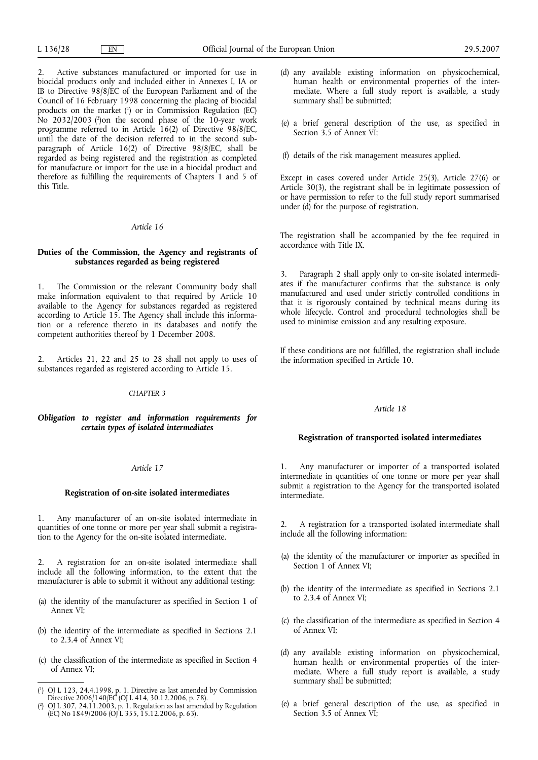2. Active substances manufactured or imported for use in biocidal products only and included either in Annexes I, IA or IB to Directive 98/8/EC of the European Parliament and of the Council of 16 February 1998 concerning the placing of biocidal products on the market (1 ) or in Commission Regulation (EC) No 2032/2003 (2 )on the second phase of the 10-year work programme referred to in Article 16(2) of Directive 98/8/EC, until the date of the decision referred to in the second subparagraph of Article 16(2) of Directive 98/8/EC, shall be regarded as being registered and the registration as completed for manufacture or import for the use in a biocidal product and therefore as fulfilling the requirements of Chapters 1 and 5 of this Title.

# *Article 16*

# **Duties of the Commission, the Agency and registrants of substances regarded as being registered**

1. The Commission or the relevant Community body shall make information equivalent to that required by Article 10 available to the Agency for substances regarded as registered according to Article 15. The Agency shall include this information or a reference thereto in its databases and notify the competent authorities thereof by 1 December 2008.

2. Articles 21, 22 and 25 to 28 shall not apply to uses of substances regarded as registered according to Article 15.

# *CHAPTER 3*

# *Obligation to register and information requirements for certain types of isolated intermediates*

### *Article 17*

## **Registration of on-site isolated intermediates**

1. Any manufacturer of an on-site isolated intermediate in quantities of one tonne or more per year shall submit a registration to the Agency for the on-site isolated intermediate.

2. A registration for an on-site isolated intermediate shall include all the following information, to the extent that the manufacturer is able to submit it without any additional testing:

- (a) the identity of the manufacturer as specified in Section 1 of Annex VI;
- (b) the identity of the intermediate as specified in Sections 2.1 to 2.3.4 of Annex VI;
- (c) the classification of the intermediate as specified in Section 4 of Annex VI;
- (d) any available existing information on physicochemical, human health or environmental properties of the intermediate. Where a full study report is available, a study summary shall be submitted;
- (e) a brief general description of the use, as specified in Section 3.5 of Annex VI;
- (f) details of the risk management measures applied.

Except in cases covered under Article 25(3), Article 27(6) or Article 30(3), the registrant shall be in legitimate possession of or have permission to refer to the full study report summarised under  $(d)$  for the purpose of registration.

The registration shall be accompanied by the fee required in accordance with Title IX.

3. Paragraph 2 shall apply only to on-site isolated intermediates if the manufacturer confirms that the substance is only manufactured and used under strictly controlled conditions in that it is rigorously contained by technical means during its whole lifecycle. Control and procedural technologies shall be used to minimise emission and any resulting exposure.

If these conditions are not fulfilled, the registration shall include the information specified in Article 10.

# *Article 18*

## **Registration of transported isolated intermediates**

1. Any manufacturer or importer of a transported isolated intermediate in quantities of one tonne or more per year shall submit a registration to the Agency for the transported isolated intermediate.

2. A registration for a transported isolated intermediate shall include all the following information:

- (a) the identity of the manufacturer or importer as specified in Section 1 of Annex VI:
- (b) the identity of the intermediate as specified in Sections 2.1 to 2.3.4 of Annex VI;
- (c) the classification of the intermediate as specified in Section 4 of Annex VI;
- (d) any available existing information on physicochemical, human health or environmental properties of the intermediate. Where a full study report is available, a study summary shall be submitted;
- (e) a brief general description of the use, as specified in Section 3.5 of Annex VI;

<sup>(</sup> 1 ) OJ L 123, 24.4.1998, p. 1. Directive as last amended by Commission Directive 2006/140/EC (OJ L 414, 30.12.2006, p. 78).

<sup>(</sup> 2 ) OJ L 307, 24.11.2003, p. 1. Regulation as last amended by Regulation (EC) No 1849/2006 (OJ L 355, 15.12.2006, p. 63).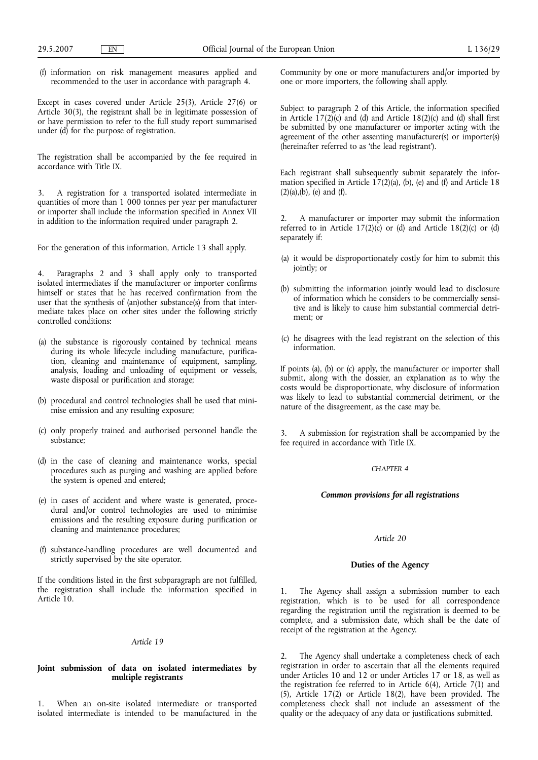(f) information on risk management measures applied and recommended to the user in accordance with paragraph 4.

Except in cases covered under Article 25(3), Article 27(6) or Article 30(3), the registrant shall be in legitimate possession of or have permission to refer to the full study report summarised under (d) for the purpose of registration.

The registration shall be accompanied by the fee required in accordance with Title IX.

3. A registration for a transported isolated intermediate in quantities of more than 1 000 tonnes per year per manufacturer or importer shall include the information specified in Annex VII in addition to the information required under paragraph 2.

For the generation of this information, Article 13 shall apply.

4. Paragraphs 2 and 3 shall apply only to transported isolated intermediates if the manufacturer or importer confirms himself or states that he has received confirmation from the user that the synthesis of (an)other substance(s) from that intermediate takes place on other sites under the following strictly controlled conditions:

- (a) the substance is rigorously contained by technical means during its whole lifecycle including manufacture, purification, cleaning and maintenance of equipment, sampling, analysis, loading and unloading of equipment or vessels, waste disposal or purification and storage;
- (b) procedural and control technologies shall be used that minimise emission and any resulting exposure;
- (c) only properly trained and authorised personnel handle the substance;
- (d) in the case of cleaning and maintenance works, special procedures such as purging and washing are applied before the system is opened and entered;
- (e) in cases of accident and where waste is generated, procedural and/or control technologies are used to minimise emissions and the resulting exposure during purification or cleaning and maintenance procedures;
- (f) substance-handling procedures are well documented and strictly supervised by the site operator.

If the conditions listed in the first subparagraph are not fulfilled, the registration shall include the information specified in Article 10.

### *Article 19*

# **Joint submission of data on isolated intermediates by multiple registrants**

When an on-site isolated intermediate or transported isolated intermediate is intended to be manufactured in the Community by one or more manufacturers and/or imported by one or more importers, the following shall apply.

Subject to paragraph 2 of this Article, the information specified in Article  $17(2)(c)$  and (d) and Article  $18(2)(c)$  and (d) shall first be submitted by one manufacturer or importer acting with the agreement of the other assenting manufacturer(s) or importer(s) (hereinafter referred to as 'the lead registrant').

Each registrant shall subsequently submit separately the information specified in Article  $17(2)(a)$ , (b), (e) and (f) and Article 18  $(2)(a),(b), (e)$  and  $(f).$ 

2. A manufacturer or importer may submit the information referred to in Article  $17(2)(c)$  or (d) and Article  $18(2)(c)$  or (d) separately if:

- (a) it would be disproportionately costly for him to submit this jointly; or
- (b) submitting the information jointly would lead to disclosure of information which he considers to be commercially sensitive and is likely to cause him substantial commercial detriment; or
- (c) he disagrees with the lead registrant on the selection of this information.

If points (a), (b) or (c) apply, the manufacturer or importer shall submit, along with the dossier, an explanation as to why the costs would be disproportionate, why disclosure of information was likely to lead to substantial commercial detriment, or the nature of the disagreement, as the case may be.

A submission for registration shall be accompanied by the fee required in accordance with Title IX.

# *CHAPTER 4*

# *Common provisions for all registrations*

# *Article 20*

# **Duties of the Agency**

1. The Agency shall assign a submission number to each registration, which is to be used for all correspondence regarding the registration until the registration is deemed to be complete, and a submission date, which shall be the date of receipt of the registration at the Agency.

2. The Agency shall undertake a completeness check of each registration in order to ascertain that all the elements required under Articles 10 and 12 or under Articles 17 or 18, as well as the registration fee referred to in Article 6(4), Article 7(1) and (5), Article 17(2) or Article 18(2), have been provided. The completeness check shall not include an assessment of the quality or the adequacy of any data or justifications submitted.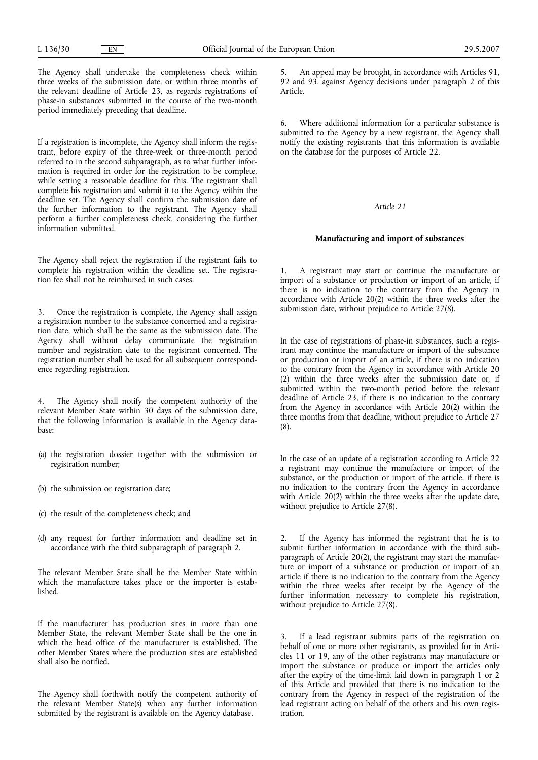The Agency shall undertake the completeness check within three weeks of the submission date, or within three months of the relevant deadline of Article 23, as regards registrations of phase-in substances submitted in the course of the two-month period immediately preceding that deadline.

If a registration is incomplete, the Agency shall inform the registrant, before expiry of the three-week or three-month period referred to in the second subparagraph, as to what further information is required in order for the registration to be complete, while setting a reasonable deadline for this. The registrant shall complete his registration and submit it to the Agency within the deadline set. The Agency shall confirm the submission date of the further information to the registrant. The Agency shall perform a further completeness check, considering the further information submitted.

The Agency shall reject the registration if the registrant fails to complete his registration within the deadline set. The registration fee shall not be reimbursed in such cases.

3. Once the registration is complete, the Agency shall assign a registration number to the substance concerned and a registration date, which shall be the same as the submission date. The Agency shall without delay communicate the registration number and registration date to the registrant concerned. The registration number shall be used for all subsequent correspondence regarding registration.

4. The Agency shall notify the competent authority of the relevant Member State within 30 days of the submission date, that the following information is available in the Agency database:

- (a) the registration dossier together with the submission or registration number;
- (b) the submission or registration date;
- (c) the result of the completeness check; and
- (d) any request for further information and deadline set in accordance with the third subparagraph of paragraph 2.

The relevant Member State shall be the Member State within which the manufacture takes place or the importer is established.

If the manufacturer has production sites in more than one Member State, the relevant Member State shall be the one in which the head office of the manufacturer is established. The other Member States where the production sites are established shall also be notified.

The Agency shall forthwith notify the competent authority of the relevant Member State(s) when any further information submitted by the registrant is available on the Agency database.

5. An appeal may be brought, in accordance with Articles 91, 92 and 93, against Agency decisions under paragraph 2 of this Article.

6. Where additional information for a particular substance is submitted to the Agency by a new registrant, the Agency shall notify the existing registrants that this information is available on the database for the purposes of Article 22.

*Article 21*

## **Manufacturing and import of substances**

1. A registrant may start or continue the manufacture or import of a substance or production or import of an article, if there is no indication to the contrary from the Agency in accordance with Article 20(2) within the three weeks after the submission date, without prejudice to Article 27(8).

In the case of registrations of phase-in substances, such a registrant may continue the manufacture or import of the substance or production or import of an article, if there is no indication to the contrary from the Agency in accordance with Article 20 (2) within the three weeks after the submission date or, if submitted within the two-month period before the relevant deadline of Article 23, if there is no indication to the contrary from the Agency in accordance with Article 20(2) within the three months from that deadline, without prejudice to Article 27 (8).

In the case of an update of a registration according to Article 22 a registrant may continue the manufacture or import of the substance, or the production or import of the article, if there is no indication to the contrary from the Agency in accordance with Article 20(2) within the three weeks after the update date, without prejudice to Article 27(8).

2. If the Agency has informed the registrant that he is to submit further information in accordance with the third subparagraph of Article 20(2), the registrant may start the manufacture or import of a substance or production or import of an article if there is no indication to the contrary from the Agency within the three weeks after receipt by the Agency of the further information necessary to complete his registration, without prejudice to Article 27(8).

3. If a lead registrant submits parts of the registration on behalf of one or more other registrants, as provided for in Articles 11 or 19, any of the other registrants may manufacture or import the substance or produce or import the articles only after the expiry of the time-limit laid down in paragraph 1 or 2 of this Article and provided that there is no indication to the contrary from the Agency in respect of the registration of the lead registrant acting on behalf of the others and his own registration.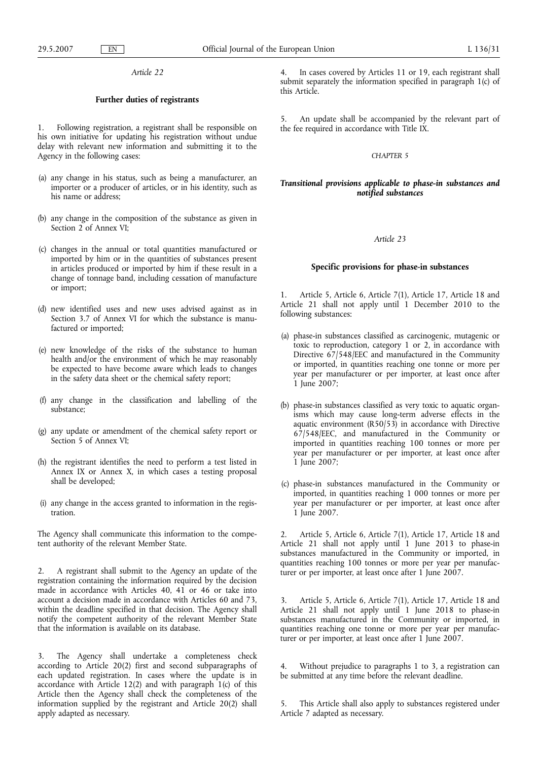### **Further duties of registrants**

1. Following registration, a registrant shall be responsible on his own initiative for updating his registration without undue delay with relevant new information and submitting it to the Agency in the following cases:

- (a) any change in his status, such as being a manufacturer, an importer or a producer of articles, or in his identity, such as his name or address;
- (b) any change in the composition of the substance as given in Section 2 of Annex VI;
- (c) changes in the annual or total quantities manufactured or imported by him or in the quantities of substances present in articles produced or imported by him if these result in a change of tonnage band, including cessation of manufacture or import;
- (d) new identified uses and new uses advised against as in Section 3.7 of Annex VI for which the substance is manufactured or imported;
- (e) new knowledge of the risks of the substance to human health and/or the environment of which he may reasonably be expected to have become aware which leads to changes in the safety data sheet or the chemical safety report;
- (f) any change in the classification and labelling of the substance;
- (g) any update or amendment of the chemical safety report or Section 5 of Annex VI:
- (h) the registrant identifies the need to perform a test listed in Annex IX or Annex X, in which cases a testing proposal shall be developed;
- (i) any change in the access granted to information in the registration.

The Agency shall communicate this information to the competent authority of the relevant Member State.

2. A registrant shall submit to the Agency an update of the registration containing the information required by the decision made in accordance with Articles 40, 41 or 46 or take into account a decision made in accordance with Articles 60 and 73, within the deadline specified in that decision. The Agency shall notify the competent authority of the relevant Member State that the information is available on its database.

3. The Agency shall undertake a completeness check according to Article 20(2) first and second subparagraphs of each updated registration. In cases where the update is in accordance with Article 12(2) and with paragraph 1(c) of this Article then the Agency shall check the completeness of the information supplied by the registrant and Article 20(2) shall apply adapted as necessary.

4. In cases covered by Articles 11 or 19, each registrant shall submit separately the information specified in paragraph 1(c) of this Article.

5. An update shall be accompanied by the relevant part of the fee required in accordance with Title IX.

# *CHAPTER 5*

# *Transitional provisions applicable to phase-in substances and notified substances*

#### *Article 23*

## **Specific provisions for phase-in substances**

1. Article 5, Article 6, Article 7(1), Article 17, Article 18 and Article 21 shall not apply until 1 December 2010 to the following substances:

- (a) phase-in substances classified as carcinogenic, mutagenic or toxic to reproduction, category 1 or 2, in accordance with Directive 67/548/EEC and manufactured in the Community or imported, in quantities reaching one tonne or more per year per manufacturer or per importer, at least once after 1 June 2007;
- (b) phase-in substances classified as very toxic to aquatic organisms which may cause long-term adverse effects in the aquatic environment  $(R50/53)$  in accordance with Directive 67/548/EEC, and manufactured in the Community or imported in quantities reaching 100 tonnes or more per year per manufacturer or per importer, at least once after 1 June 2007;
- (c) phase-in substances manufactured in the Community or imported, in quantities reaching 1 000 tonnes or more per year per manufacturer or per importer, at least once after 1 June 2007.

2. Article 5, Article 6, Article 7(1), Article 17, Article 18 and Article 21 shall not apply until 1 June 2013 to phase-in substances manufactured in the Community or imported, in quantities reaching 100 tonnes or more per year per manufacturer or per importer, at least once after 1 June 2007.

3. Article 5, Article 6, Article 7(1), Article 17, Article 18 and Article 21 shall not apply until 1 June 2018 to phase-in substances manufactured in the Community or imported, in quantities reaching one tonne or more per year per manufacturer or per importer, at least once after 1 June 2007.

Without prejudice to paragraphs 1 to 3, a registration can be submitted at any time before the relevant deadline.

This Article shall also apply to substances registered under Article 7 adapted as necessary.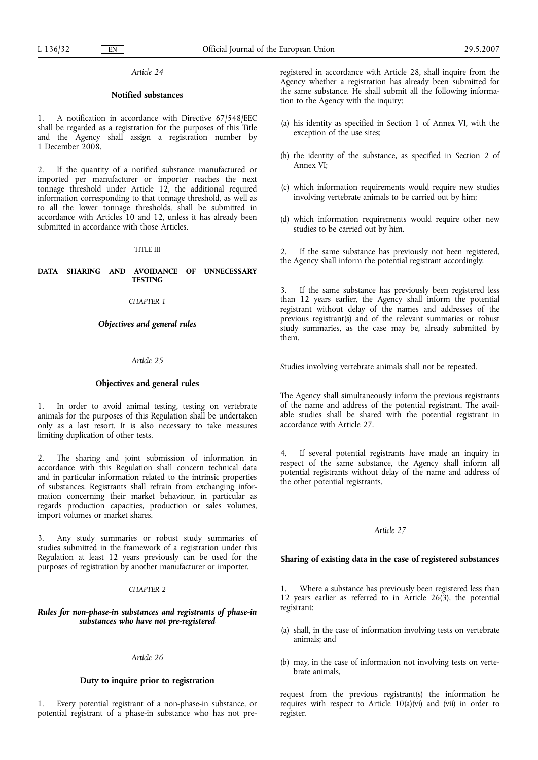# **Notified substances**

1. A notification in accordance with Directive 67/548/EEC shall be regarded as a registration for the purposes of this Title and the Agency shall assign a registration number by 1 December 2008.

2. If the quantity of a notified substance manufactured or imported per manufacturer or importer reaches the next tonnage threshold under Article 12, the additional required information corresponding to that tonnage threshold, as well as to all the lower tonnage thresholds, shall be submitted in accordance with Articles 10 and 12, unless it has already been submitted in accordance with those Articles.

## TITLE III

## **DATA SHARING AND AVOIDANCE OF UNNECESSARY TESTING**

# *CHAPTER 1*

# *Objectives and general rules*

# *Article 25*

# **Objectives and general rules**

1. In order to avoid animal testing, testing on vertebrate animals for the purposes of this Regulation shall be undertaken only as a last resort. It is also necessary to take measures limiting duplication of other tests.

2. The sharing and joint submission of information in accordance with this Regulation shall concern technical data and in particular information related to the intrinsic properties of substances. Registrants shall refrain from exchanging information concerning their market behaviour, in particular as regards production capacities, production or sales volumes, import volumes or market shares.

3. Any study summaries or robust study summaries of studies submitted in the framework of a registration under this Regulation at least 12 years previously can be used for the purposes of registration by another manufacturer or importer.

## *CHAPTER 2*

# *Rules for non-phase-in substances and registrants of phase-in substances who have not pre-registered*

### *Article 26*

# **Duty to inquire prior to registration**

Every potential registrant of a non-phase-in substance, or potential registrant of a phase-in substance who has not preregistered in accordance with Article 28, shall inquire from the Agency whether a registration has already been submitted for the same substance. He shall submit all the following information to the Agency with the inquiry:

- (a) his identity as specified in Section 1 of Annex VI, with the exception of the use sites;
- (b) the identity of the substance, as specified in Section 2 of Annex VI;
- (c) which information requirements would require new studies involving vertebrate animals to be carried out by him;
- (d) which information requirements would require other new studies to be carried out by him.

2. If the same substance has previously not been registered, the Agency shall inform the potential registrant accordingly.

3. If the same substance has previously been registered less than 12 years earlier, the Agency shall inform the potential registrant without delay of the names and addresses of the previous registrant(s) and of the relevant summaries or robust study summaries, as the case may be, already submitted by them.

Studies involving vertebrate animals shall not be repeated.

The Agency shall simultaneously inform the previous registrants of the name and address of the potential registrant. The available studies shall be shared with the potential registrant in accordance with Article 27.

4. If several potential registrants have made an inquiry in respect of the same substance, the Agency shall inform all potential registrants without delay of the name and address of the other potential registrants.

### *Article 27*

# **Sharing of existing data in the case of registered substances**

1. Where a substance has previously been registered less than 12 years earlier as referred to in Article 26(3), the potential registrant:

- (a) shall, in the case of information involving tests on vertebrate animals; and
- (b) may, in the case of information not involving tests on vertebrate animals,

request from the previous registrant(s) the information he requires with respect to Article  $10(a)(vi)$  and (vii) in order to register.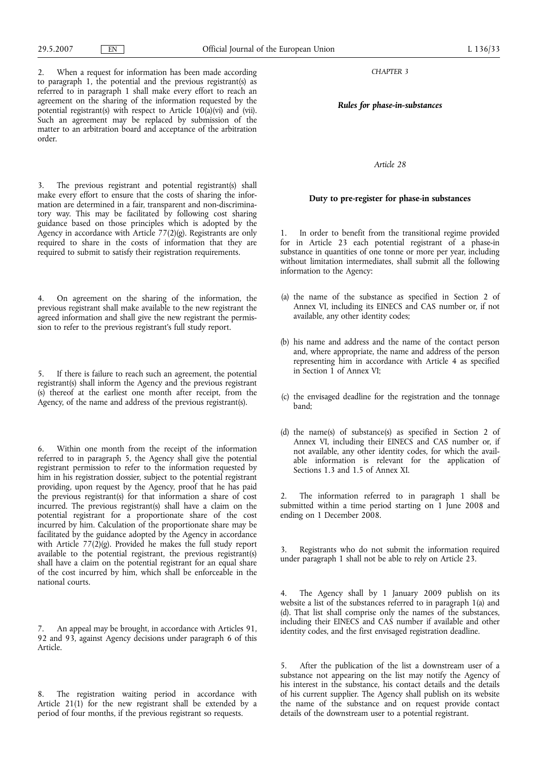*CHAPTER 3*

*Rules for phase-in-substances*

*Article 28*

# **Duty to pre-register for phase-in substances**

1. In order to benefit from the transitional regime provided for in Article 23 each potential registrant of a phase-in substance in quantities of one tonne or more per year, including without limitation intermediates, shall submit all the following information to the Agency:

- (a) the name of the substance as specified in Section 2 of Annex VI, including its EINECS and CAS number or, if not available, any other identity codes;
- (b) his name and address and the name of the contact person and, where appropriate, the name and address of the person representing him in accordance with Article 4 as specified in Section 1 of Annex VI;
- (c) the envisaged deadline for the registration and the tonnage band;
- (d) the name(s) of substance(s) as specified in Section 2 of Annex VI, including their EINECS and CAS number or, if not available, any other identity codes, for which the available information is relevant for the application of Sections 1.3 and 1.5 of Annex XI.

The information referred to in paragraph 1 shall be submitted within a time period starting on 1 June 2008 and ending on 1 December 2008.

3. Registrants who do not submit the information required under paragraph 1 shall not be able to rely on Article 23.

4. The Agency shall by 1 January 2009 publish on its website a list of the substances referred to in paragraph 1(a) and (d). That list shall comprise only the names of the substances, including their EINECS and CAS number if available and other identity codes, and the first envisaged registration deadline.

After the publication of the list a downstream user of a substance not appearing on the list may notify the Agency of his interest in the substance, his contact details and the details of his current supplier. The Agency shall publish on its website the name of the substance and on request provide contact details of the downstream user to a potential registrant.

2. When a request for information has been made according to paragraph 1, the potential and the previous registrant(s) as referred to in paragraph 1 shall make every effort to reach an agreement on the sharing of the information requested by the potential registrant(s) with respect to Article 10(a)(vi) and (vii). Such an agreement may be replaced by submission of the matter to an arbitration board and acceptance of the arbitration order.

3. The previous registrant and potential registrant(s) shall make every effort to ensure that the costs of sharing the information are determined in a fair, transparent and non-discriminatory way. This may be facilitated by following cost sharing guidance based on those principles which is adopted by the Agency in accordance with Article 77(2)(g). Registrants are only required to share in the costs of information that they are required to submit to satisfy their registration requirements.

4. On agreement on the sharing of the information, the previous registrant shall make available to the new registrant the agreed information and shall give the new registrant the permission to refer to the previous registrant's full study report.

5. If there is failure to reach such an agreement, the potential registrant(s) shall inform the Agency and the previous registrant (s) thereof at the earliest one month after receipt, from the Agency, of the name and address of the previous registrant(s).

6. Within one month from the receipt of the information referred to in paragraph 5, the Agency shall give the potential registrant permission to refer to the information requested by him in his registration dossier, subject to the potential registrant providing, upon request by the Agency, proof that he has paid the previous registrant(s) for that information a share of cost incurred. The previous registrant(s) shall have a claim on the potential registrant for a proportionate share of the cost incurred by him. Calculation of the proportionate share may be facilitated by the guidance adopted by the Agency in accordance with Article 77(2)(g). Provided he makes the full study report available to the potential registrant, the previous registrant(s) shall have a claim on the potential registrant for an equal share of the cost incurred by him, which shall be enforceable in the national courts.

7. An appeal may be brought, in accordance with Articles 91, 92 and 93, against Agency decisions under paragraph 6 of this Article.

8. The registration waiting period in accordance with Article 21(1) for the new registrant shall be extended by a period of four months, if the previous registrant so requests.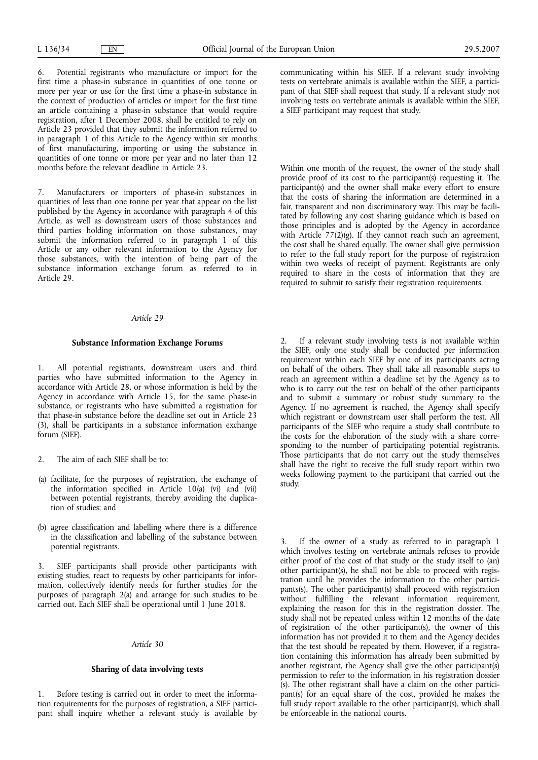6. Potential registrants who manufacture or import for the first time a phase-in substance in quantities of one tonne or more per year or use for the first time a phase-in substance in the context of production of articles or import for the first time an article containing a phase-in substance that would require registration, after 1 December 2008, shall be entitled to rely on Article 23 provided that they submit the information referred to in paragraph 1 of this Article to the Agency within six months of first manufacturing, importing or using the substance in quantities of one tonne or more per year and no later than 12 months before the relevant deadline in Article 23.

7. Manufacturers or importers of phase-in substances in quantities of less than one tonne per year that appear on the list published by the Agency in accordance with paragraph 4 of this Article, as well as downstream users of those substances and third parties holding information on those substances, may submit the information referred to in paragraph 1 of this Article or any other relevant information to the Agency for those substances, with the intention of being part of the substance information exchange forum as referred to in Article 29.

#### *Article 29*

## **Substance Information Exchange Forums**

1. All potential registrants, downstream users and third parties who have submitted information to the Agency in accordance with Article 28, or whose information is held by the Agency in accordance with Article 15, for the same phase-in substance, or registrants who have submitted a registration for that phase-in substance before the deadline set out in Article 23 (3), shall be participants in a substance information exchange forum (SIEF).

- 2. The aim of each SIEF shall be to:
- (a) facilitate, for the purposes of registration, the exchange of the information specified in Article 10(a) (vi) and (vii) between potential registrants, thereby avoiding the duplication of studies; and
- (b) agree classification and labelling where there is a difference in the classification and labelling of the substance between potential registrants.

3. SIEF participants shall provide other participants with existing studies, react to requests by other participants for information, collectively identify needs for further studies for the purposes of paragraph 2(a) and arrange for such studies to be carried out. Each SIEF shall be operational until 1 June 2018.

### *Article 30*

# **Sharing of data involving tests**

1. Before testing is carried out in order to meet the information requirements for the purposes of registration, a SIEF participant shall inquire whether a relevant study is available by communicating within his SIEF. If a relevant study involving tests on vertebrate animals is available within the SIEF, a participant of that SIEF shall request that study. If a relevant study not involving tests on vertebrate animals is available within the SIEF, a SIEF participant may request that study.

Within one month of the request, the owner of the study shall provide proof of its cost to the participant(s) requesting it. The participant(s) and the owner shall make every effort to ensure that the costs of sharing the information are determined in a fair, transparent and non discriminatory way. This may be facilitated by following any cost sharing guidance which is based on those principles and is adopted by the Agency in accordance with Article  $77(2)(g)$ . If they cannot reach such an agreement, the cost shall be shared equally. The owner shall give permission to refer to the full study report for the purpose of registration within two weeks of receipt of payment. Registrants are only required to share in the costs of information that they are required to submit to satisfy their registration requirements.

2. If a relevant study involving tests is not available within the SIEF, only one study shall be conducted per information requirement within each SIEF by one of its participants acting on behalf of the others. They shall take all reasonable steps to reach an agreement within a deadline set by the Agency as to who is to carry out the test on behalf of the other participants and to submit a summary or robust study summary to the Agency. If no agreement is reached, the Agency shall specify which registrant or downstream user shall perform the test. All participants of the SIEF who require a study shall contribute to the costs for the elaboration of the study with a share corresponding to the number of participating potential registrants. Those participants that do not carry out the study themselves shall have the right to receive the full study report within two weeks following payment to the participant that carried out the study.

3. If the owner of a study as referred to in paragraph 1 which involves testing on vertebrate animals refuses to provide either proof of the cost of that study or the study itself to (an) other participant(s), he shall not be able to proceed with registration until he provides the information to the other participants(s). The other participant(s) shall proceed with registration without fulfilling the relevant information requirement, explaining the reason for this in the registration dossier. The study shall not be repeated unless within 12 months of the date of registration of the other participant(s), the owner of this information has not provided it to them and the Agency decides that the test should be repeated by them. However, if a registration containing this information has already been submitted by another registrant, the Agency shall give the other participant(s) permission to refer to the information in his registration dossier (s). The other registrant shall have a claim on the other participant(s) for an equal share of the cost, provided he makes the full study report available to the other participant(s), which shall be enforceable in the national courts.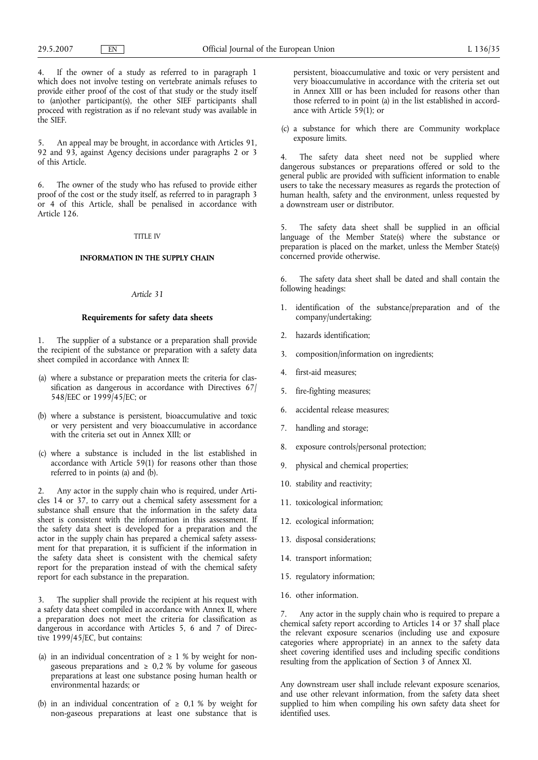4. If the owner of a study as referred to in paragraph 1 which does not involve testing on vertebrate animals refuses to provide either proof of the cost of that study or the study itself to (an)other participant(s), the other SIEF participants shall proceed with registration as if no relevant study was available in the SIEF.

5. An appeal may be brought, in accordance with Articles 91, 92 and 93, against Agency decisions under paragraphs 2 or 3 of this Article.

6. The owner of the study who has refused to provide either proof of the cost or the study itself, as referred to in paragraph 3 or 4 of this Article, shall be penalised in accordance with Article 126.

#### TITLE IV

#### **INFORMATION IN THE SUPPLY CHAIN**

#### *Article 31*

## **Requirements for safety data sheets**

1. The supplier of a substance or a preparation shall provide the recipient of the substance or preparation with a safety data sheet compiled in accordance with Annex II:

- (a) where a substance or preparation meets the criteria for classification as dangerous in accordance with Directives 67/ 548/EEC or 1999/45/EC; or
- (b) where a substance is persistent, bioaccumulative and toxic or very persistent and very bioaccumulative in accordance with the criteria set out in Annex XIII; or
- (c) where a substance is included in the list established in accordance with Article 59(1) for reasons other than those referred to in points (a) and (b).

2. Any actor in the supply chain who is required, under Articles 14 or 37, to carry out a chemical safety assessment for a substance shall ensure that the information in the safety data sheet is consistent with the information in this assessment. If the safety data sheet is developed for a preparation and the actor in the supply chain has prepared a chemical safety assessment for that preparation, it is sufficient if the information in the safety data sheet is consistent with the chemical safety report for the preparation instead of with the chemical safety report for each substance in the preparation.

3. The supplier shall provide the recipient at his request with a safety data sheet compiled in accordance with Annex II, where a preparation does not meet the criteria for classification as dangerous in accordance with Articles 5, 6 and 7 of Directive 1999/45/EC, but contains:

- (a) in an individual concentration of  $\geq 1$  % by weight for nongaseous preparations and  $\geq 0.2$  % by volume for gaseous preparations at least one substance posing human health or environmental hazards; or
- (b) in an individual concentration of  $\geq$  0,1 % by weight for non-gaseous preparations at least one substance that is

persistent, bioaccumulative and toxic or very persistent and very bioaccumulative in accordance with the criteria set out in Annex XIII or has been included for reasons other than those referred to in point (a) in the list established in accordance with Article 59(1); or

(c) a substance for which there are Community workplace exposure limits.

4. The safety data sheet need not be supplied where dangerous substances or preparations offered or sold to the general public are provided with sufficient information to enable users to take the necessary measures as regards the protection of human health, safety and the environment, unless requested by a downstream user or distributor.

5. The safety data sheet shall be supplied in an official language of the Member State(s) where the substance or preparation is placed on the market, unless the Member State(s) concerned provide otherwise.

6. The safety data sheet shall be dated and shall contain the following headings:

- 1. identification of the substance/preparation and of the company/undertaking;
- 2. hazards identification;
- 3. composition/information on ingredients;
- 4. first-aid measures;
- 5. fire-fighting measures;
- 6. accidental release measures;
- 7. handling and storage;
- 8. exposure controls/personal protection;
- physical and chemical properties;
- 10. stability and reactivity;
- 11. toxicological information;
- 12. ecological information;
- 13. disposal considerations;
- 14. transport information;
- 15. regulatory information;
- 16. other information.

7. Any actor in the supply chain who is required to prepare a chemical safety report according to Articles 14 or 37 shall place the relevant exposure scenarios (including use and exposure categories where appropriate) in an annex to the safety data sheet covering identified uses and including specific conditions resulting from the application of Section 3 of Annex XI.

Any downstream user shall include relevant exposure scenarios, and use other relevant information, from the safety data sheet supplied to him when compiling his own safety data sheet for identified uses.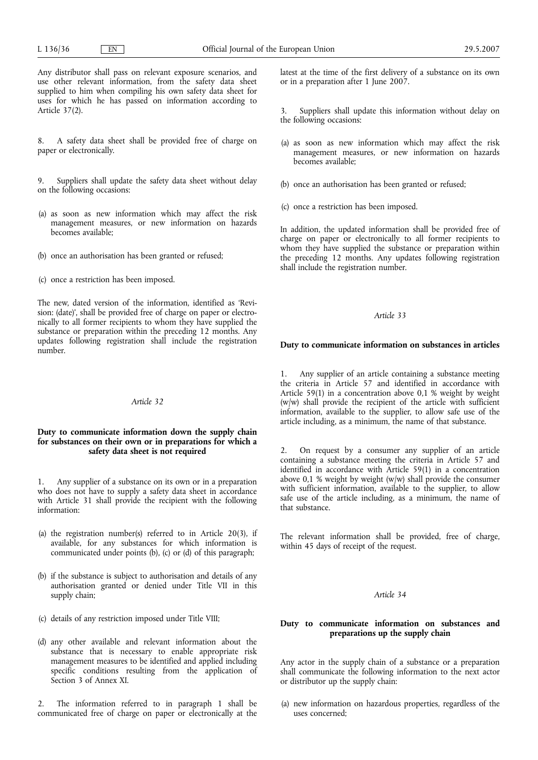Any distributor shall pass on relevant exposure scenarios, and use other relevant information, from the safety data sheet supplied to him when compiling his own safety data sheet for uses for which he has passed on information according to Article 37(2).

8. A safety data sheet shall be provided free of charge on paper or electronically.

9. Suppliers shall update the safety data sheet without delay on the following occasions:

- (a) as soon as new information which may affect the risk management measures, or new information on hazards becomes available;
- (b) once an authorisation has been granted or refused;
- (c) once a restriction has been imposed.

The new, dated version of the information, identified as 'Revision: (date)', shall be provided free of charge on paper or electronically to all former recipients to whom they have supplied the substance or preparation within the preceding 12 months. Any updates following registration shall include the registration number.

# *Article 32*

# **Duty to communicate information down the supply chain for substances on their own or in preparations for which a safety data sheet is not required**

1. Any supplier of a substance on its own or in a preparation who does not have to supply a safety data sheet in accordance with Article 31 shall provide the recipient with the following information:

- (a) the registration number(s) referred to in Article 20(3), if available, for any substances for which information is communicated under points (b), (c) or (d) of this paragraph;
- (b) if the substance is subject to authorisation and details of any authorisation granted or denied under Title VII in this supply chain;
- (c) details of any restriction imposed under Title VIII;
- (d) any other available and relevant information about the substance that is necessary to enable appropriate risk management measures to be identified and applied including specific conditions resulting from the application of Section 3 of Annex XI.

2. The information referred to in paragraph 1 shall be communicated free of charge on paper or electronically at the latest at the time of the first delivery of a substance on its own or in a preparation after 1 June 2007.

Suppliers shall update this information without delay on the following occasions:

- (a) as soon as new information which may affect the risk management measures, or new information on hazards becomes available;
- (b) once an authorisation has been granted or refused;
- (c) once a restriction has been imposed.

In addition, the updated information shall be provided free of charge on paper or electronically to all former recipients to whom they have supplied the substance or preparation within the preceding 12 months. Any updates following registration shall include the registration number.

#### *Article 33*

# **Duty to communicate information on substances in articles**

1. Any supplier of an article containing a substance meeting the criteria in Article 57 and identified in accordance with Article 59(1) in a concentration above 0,1 % weight by weight (w/w) shall provide the recipient of the article with sufficient information, available to the supplier, to allow safe use of the article including, as a minimum, the name of that substance.

2. On request by a consumer any supplier of an article containing a substance meeting the criteria in Article 57 and identified in accordance with Article 59(1) in a concentration above 0,1 % weight by weight (w/w) shall provide the consumer with sufficient information, available to the supplier, to allow safe use of the article including, as a minimum, the name of that substance.

The relevant information shall be provided, free of charge, within 45 days of receipt of the request.

### *Article 34*

# **Duty to communicate information on substances and preparations up the supply chain**

Any actor in the supply chain of a substance or a preparation shall communicate the following information to the next actor or distributor up the supply chain:

(a) new information on hazardous properties, regardless of the uses concerned;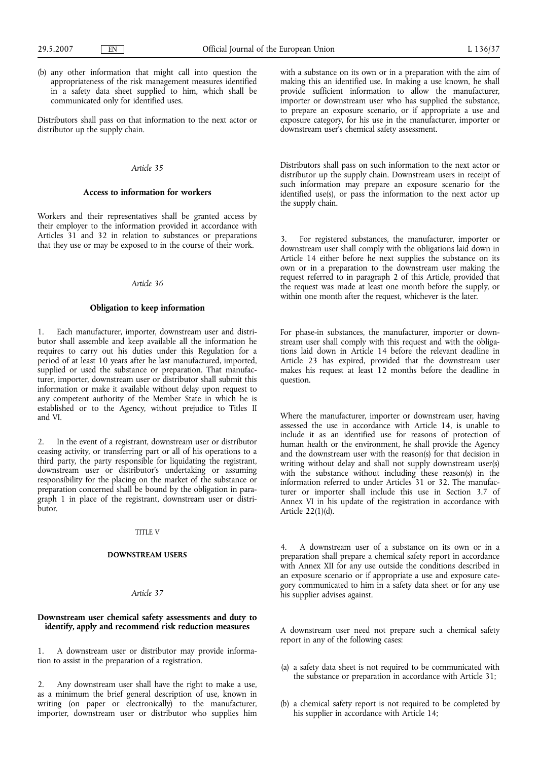(b) any other information that might call into question the appropriateness of the risk management measures identified in a safety data sheet supplied to him, which shall be communicated only for identified uses.

Distributors shall pass on that information to the next actor or distributor up the supply chain.

## *Article 35*

# **Access to information for workers**

Workers and their representatives shall be granted access by their employer to the information provided in accordance with Articles 31 and 32 in relation to substances or preparations that they use or may be exposed to in the course of their work.

### *Article 36*

#### **Obligation to keep information**

1. Each manufacturer, importer, downstream user and distributor shall assemble and keep available all the information he requires to carry out his duties under this Regulation for a period of at least 10 years after he last manufactured, imported, supplied or used the substance or preparation. That manufacturer, importer, downstream user or distributor shall submit this information or make it available without delay upon request to any competent authority of the Member State in which he is established or to the Agency, without prejudice to Titles II and VI.

2. In the event of a registrant, downstream user or distributor ceasing activity, or transferring part or all of his operations to a third party, the party responsible for liquidating the registrant, downstream user or distributor's undertaking or assuming responsibility for the placing on the market of the substance or preparation concerned shall be bound by the obligation in paragraph 1 in place of the registrant, downstream user or distributor.

#### TITLE V

## **DOWNSTREAM USERS**

# *Article 37*

# **Downstream user chemical safety assessments and duty to identify, apply and recommend risk reduction measures**

1. A downstream user or distributor may provide information to assist in the preparation of a registration.

2. Any downstream user shall have the right to make a use, as a minimum the brief general description of use, known in writing (on paper or electronically) to the manufacturer, importer, downstream user or distributor who supplies him with a substance on its own or in a preparation with the aim of making this an identified use. In making a use known, he shall provide sufficient information to allow the manufacturer, importer or downstream user who has supplied the substance, to prepare an exposure scenario, or if appropriate a use and exposure category, for his use in the manufacturer, importer or downstream user's chemical safety assessment.

Distributors shall pass on such information to the next actor or distributor up the supply chain. Downstream users in receipt of such information may prepare an exposure scenario for the identified use(s), or pass the information to the next actor up the supply chain.

3. For registered substances, the manufacturer, importer or downstream user shall comply with the obligations laid down in Article 14 either before he next supplies the substance on its own or in a preparation to the downstream user making the request referred to in paragraph 2 of this Article, provided that the request was made at least one month before the supply, or within one month after the request, whichever is the later.

For phase-in substances, the manufacturer, importer or downstream user shall comply with this request and with the obligations laid down in Article 14 before the relevant deadline in Article 23 has expired, provided that the downstream user makes his request at least 12 months before the deadline in question.

Where the manufacturer, importer or downstream user, having assessed the use in accordance with Article 14, is unable to include it as an identified use for reasons of protection of human health or the environment, he shall provide the Agency and the downstream user with the reason(s) for that decision in writing without delay and shall not supply downstream user(s) with the substance without including these reason(s) in the information referred to under Articles 31 or 32. The manufacturer or importer shall include this use in Section 3.7 of Annex VI in his update of the registration in accordance with Article 22(1)(d).

4. A downstream user of a substance on its own or in a preparation shall prepare a chemical safety report in accordance with Annex XII for any use outside the conditions described in an exposure scenario or if appropriate a use and exposure category communicated to him in a safety data sheet or for any use his supplier advises against.

A downstream user need not prepare such a chemical safety report in any of the following cases:

- (a) a safety data sheet is not required to be communicated with the substance or preparation in accordance with Article 31;
- (b) a chemical safety report is not required to be completed by his supplier in accordance with Article 14;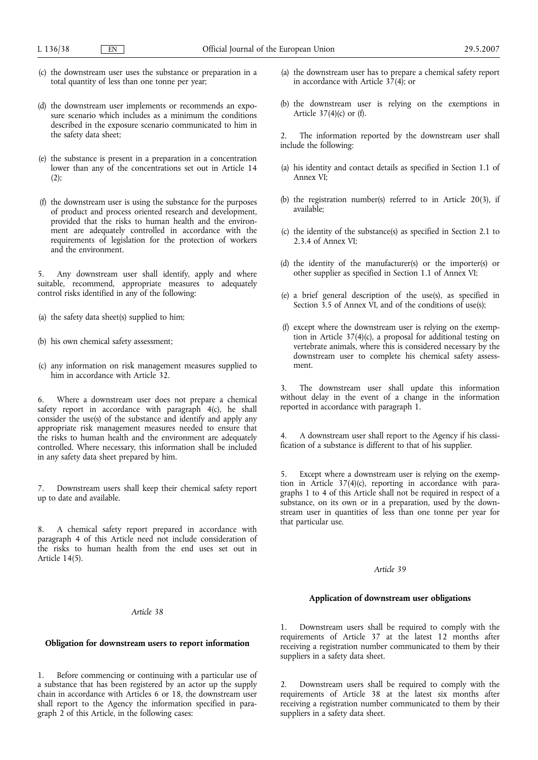- (c) the downstream user uses the substance or preparation in a total quantity of less than one tonne per year;
- (d) the downstream user implements or recommends an exposure scenario which includes as a minimum the conditions described in the exposure scenario communicated to him in the safety data sheet;
- (e) the substance is present in a preparation in a concentration lower than any of the concentrations set out in Article 14  $(2);$
- (f) the downstream user is using the substance for the purposes of product and process oriented research and development, provided that the risks to human health and the environment are adequately controlled in accordance with the requirements of legislation for the protection of workers and the environment.

5. Any downstream user shall identify, apply and where suitable, recommend, appropriate measures to adequately control risks identified in any of the following:

- (a) the safety data sheet(s) supplied to him;
- (b) his own chemical safety assessment;
- (c) any information on risk management measures supplied to him in accordance with Article 32.

6. Where a downstream user does not prepare a chemical safety report in accordance with paragraph 4(c), he shall consider the use(s) of the substance and identify and apply any appropriate risk management measures needed to ensure that the risks to human health and the environment are adequately controlled. Where necessary, this information shall be included in any safety data sheet prepared by him.

7. Downstream users shall keep their chemical safety report up to date and available.

8. A chemical safety report prepared in accordance with paragraph 4 of this Article need not include consideration of the risks to human health from the end uses set out in Article 14(5).

#### *Article 38*

# **Obligation for downstream users to report information**

1. Before commencing or continuing with a particular use of a substance that has been registered by an actor up the supply chain in accordance with Articles 6 or 18, the downstream user shall report to the Agency the information specified in paragraph 2 of this Article, in the following cases:

- (a) the downstream user has to prepare a chemical safety report in accordance with Article  $3\overline{7}(4)$ ; or
- (b) the downstream user is relying on the exemptions in Article 37(4)(c) or (f).

2. The information reported by the downstream user shall include the following:

- (a) his identity and contact details as specified in Section 1.1 of Annex VI;
- (b) the registration number(s) referred to in Article 20(3), if available;
- (c) the identity of the substance(s) as specified in Section 2.1 to 2.3.4 of Annex VI;
- (d) the identity of the manufacturer(s) or the importer(s) or other supplier as specified in Section 1.1 of Annex VI;
- (e) a brief general description of the use(s), as specified in Section 3.5 of Annex  $\overline{VI}$ , and of the conditions of use(s);
- (f) except where the downstream user is relying on the exemption in Article 37(4)(c), a proposal for additional testing on vertebrate animals, where this is considered necessary by the downstream user to complete his chemical safety assessment.

3. The downstream user shall update this information without delay in the event of a change in the information reported in accordance with paragraph 1.

4. A downstream user shall report to the Agency if his classification of a substance is different to that of his supplier.

5. Except where a downstream user is relying on the exemption in Article 37(4)(c), reporting in accordance with paragraphs 1 to 4 of this Article shall not be required in respect of a substance, on its own or in a preparation, used by the downstream user in quantities of less than one tonne per year for that particular use.

# *Article 39*

# **Application of downstream user obligations**

1. Downstream users shall be required to comply with the requirements of Article 37 at the latest 12 months after receiving a registration number communicated to them by their suppliers in a safety data sheet.

2. Downstream users shall be required to comply with the requirements of Article 38 at the latest six months after receiving a registration number communicated to them by their suppliers in a safety data sheet.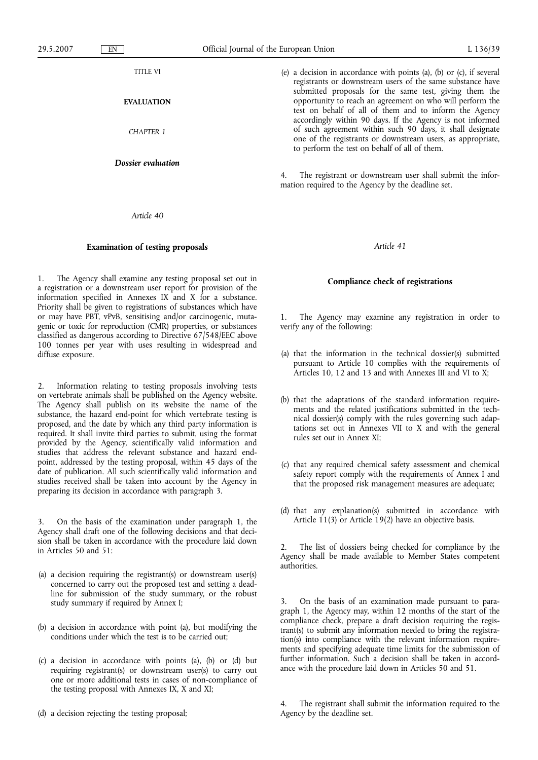TITLE VI **EVALUATION** *CHAPTER 1 Dossier evaluation* (e) a decision in accordance with points (a), (b) or (c), if several registrants or downstream users of the same substance have submitted proposals for the same test, giving them the opportunity to reach an agreement on who will perform the test on behalf of all of them and to inform the Agency accordingly within 90 days. If the Agency is not informed of such agreement within such 90 days, it shall designate one of the registrants or downstream users, as appropriate, to perform the test on behalf of all of them. 4. The registrant or downstream user shall submit the information required to the Agency by the deadline set.

## *Article 41*

# **Compliance check of registrations**

1. The Agency may examine any registration in order to verify any of the following:

- (a) that the information in the technical dossier(s) submitted pursuant to Article 10 complies with the requirements of Articles 10, 12 and 13 and with Annexes III and VI to X;
- (b) that the adaptations of the standard information requirements and the related justifications submitted in the technical dossier(s) comply with the rules governing such adaptations set out in Annexes VII to X and with the general rules set out in Annex XI;
- (c) that any required chemical safety assessment and chemical safety report comply with the requirements of Annex I and that the proposed risk management measures are adequate;
- (d) that any explanation(s) submitted in accordance with Article 11(3) or Article 19(2) have an objective basis.

The list of dossiers being checked for compliance by the Agency shall be made available to Member States competent authorities.

3. On the basis of an examination made pursuant to paragraph 1, the Agency may, within 12 months of the start of the compliance check, prepare a draft decision requiring the registrant(s) to submit any information needed to bring the registration(s) into compliance with the relevant information requirements and specifying adequate time limits for the submission of further information. Such a decision shall be taken in accordance with the procedure laid down in Articles 50 and 51.

(d) a decision rejecting the testing proposal;

*Article 40*

# **Examination of testing proposals**

1. The Agency shall examine any testing proposal set out in a registration or a downstream user report for provision of the information specified in Annexes IX and X for a substance. Priority shall be given to registrations of substances which have or may have PBT, vPvB, sensitising and/or carcinogenic, mutagenic or toxic for reproduction (CMR) properties, or substances classified as dangerous according to Directive 67/548/EEC above 100 tonnes per year with uses resulting in widespread and diffuse exposure.

2. Information relating to testing proposals involving tests on vertebrate animals shall be published on the Agency website. The Agency shall publish on its website the name of the substance, the hazard end-point for which vertebrate testing is proposed, and the date by which any third party information is required. It shall invite third parties to submit, using the format provided by the Agency, scientifically valid information and studies that address the relevant substance and hazard endpoint, addressed by the testing proposal, within 45 days of the date of publication. All such scientifically valid information and studies received shall be taken into account by the Agency in preparing its decision in accordance with paragraph 3.

3. On the basis of the examination under paragraph 1, the Agency shall draft one of the following decisions and that decision shall be taken in accordance with the procedure laid down in Articles 50 and 51:

- (a) a decision requiring the registrant(s) or downstream user(s) concerned to carry out the proposed test and setting a deadline for submission of the study summary, or the robust study summary if required by Annex I;
- (b) a decision in accordance with point (a), but modifying the conditions under which the test is to be carried out;
- (c) a decision in accordance with points (a), (b) or (d) but requiring registrant(s) or downstream user(s) to carry out one or more additional tests in cases of non-compliance of the testing proposal with Annexes IX, X and XI;

The registrant shall submit the information required to the Agency by the deadline set.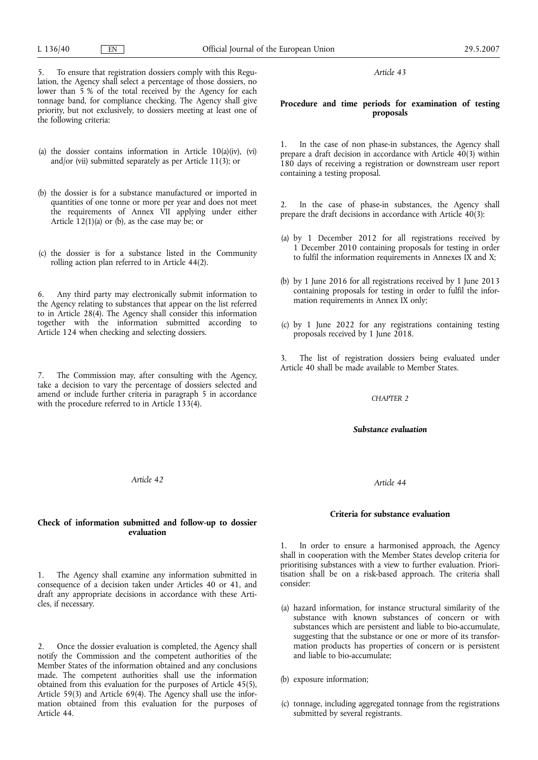# **Procedure and time periods for examination of testing proposals**

In the case of non phase-in substances, the Agency shall prepare a draft decision in accordance with Article 40(3) within 180 days of receiving a registration or downstream user report containing a testing proposal.

2. In the case of phase-in substances, the Agency shall prepare the draft decisions in accordance with Article  $40(3)$ :

- (a) by 1 December 2012 for all registrations received by 1 December 2010 containing proposals for testing in order to fulfil the information requirements in Annexes IX and X;
- (b) by 1 June 2016 for all registrations received by 1 June 2013 containing proposals for testing in order to fulfil the information requirements in Annex IX only;
- (c) by 1 June 2022 for any registrations containing testing proposals received by 1 June 2018.

3. The list of registration dossiers being evaluated under Article 40 shall be made available to Member States.

# *CHAPTER 2*

## *Substance evaluation*

#### *Article 44*

## **Criteria for substance evaluation**

1. In order to ensure a harmonised approach, the Agency shall in cooperation with the Member States develop criteria for prioritising substances with a view to further evaluation. Prioritisation shall be on a risk-based approach. The criteria shall consider:

- (a) hazard information, for instance structural similarity of the substance with known substances of concern or with substances which are persistent and liable to bio-accumulate, suggesting that the substance or one or more of its transformation products has properties of concern or is persistent and liable to bio-accumulate;
- (b) exposure information;
- (c) tonnage, including aggregated tonnage from the registrations submitted by several registrants.

5. To ensure that registration dossiers comply with this Regulation, the Agency shall select a percentage of those dossiers, no lower than 5 % of the total received by the Agency for each tonnage band, for compliance checking. The Agency shall give priority, but not exclusively, to dossiers meeting at least one of the following criteria:

- (a) the dossier contains information in Article 10(a)(iv), (vi) and/or (vii) submitted separately as per Article 11(3); or
- (b) the dossier is for a substance manufactured or imported in quantities of one tonne or more per year and does not meet the requirements of Annex VII applying under either Article  $12(1)(a)$  or (b), as the case may be; or
- (c) the dossier is for a substance listed in the Community rolling action plan referred to in Article 44(2).

6. Any third party may electronically submit information to the Agency relating to substances that appear on the list referred to in Article 28(4). The Agency shall consider this information together with the information submitted according to Article 124 when checking and selecting dossiers.

7. The Commission may, after consulting with the Agency, take a decision to vary the percentage of dossiers selected and amend or include further criteria in paragraph 5 in accordance with the procedure referred to in Article  $133(4)$ .

*Article 42*

# **Check of information submitted and follow-up to dossier evaluation**

1. The Agency shall examine any information submitted in consequence of a decision taken under Articles 40 or 41, and draft any appropriate decisions in accordance with these Articles, if necessary.

2. Once the dossier evaluation is completed, the Agency shall notify the Commission and the competent authorities of the Member States of the information obtained and any conclusions made. The competent authorities shall use the information obtained from this evaluation for the purposes of Article 45(5), Article 59(3) and Article 69(4). The Agency shall use the information obtained from this evaluation for the purposes of Article 44.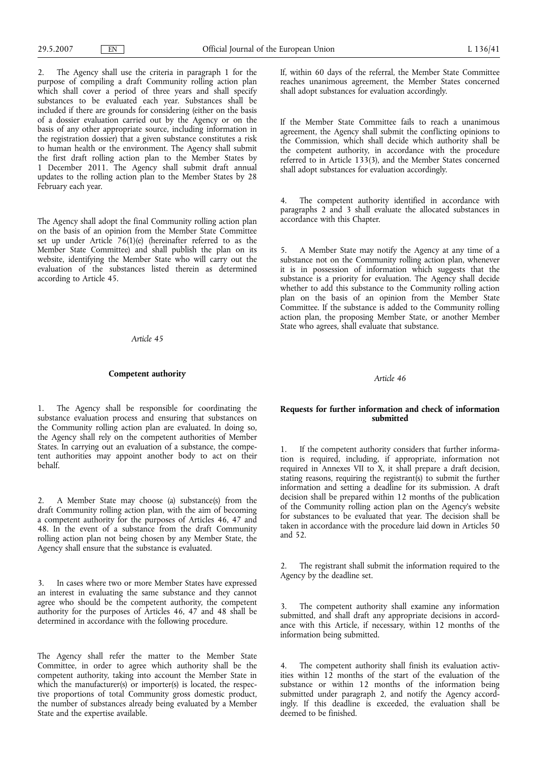2. The Agency shall use the criteria in paragraph 1 for the purpose of compiling a draft Community rolling action plan which shall cover a period of three years and shall specify substances to be evaluated each year. Substances shall be included if there are grounds for considering (either on the basis of a dossier evaluation carried out by the Agency or on the basis of any other appropriate source, including information in the registration dossier) that a given substance constitutes a risk to human health or the environment. The Agency shall submit the first draft rolling action plan to the Member States by 1 December 2011. The Agency shall submit draft annual updates to the rolling action plan to the Member States by 28 February each year.

The Agency shall adopt the final Community rolling action plan on the basis of an opinion from the Member State Committee set up under Article 76(1)(e) (hereinafter referred to as the Member State Committee) and shall publish the plan on its website, identifying the Member State who will carry out the evaluation of the substances listed therein as determined according to Article 45.

# *Article 45*

# **Competent authority**

1. The Agency shall be responsible for coordinating the substance evaluation process and ensuring that substances on the Community rolling action plan are evaluated. In doing so, the Agency shall rely on the competent authorities of Member States. In carrying out an evaluation of a substance, the competent authorities may appoint another body to act on their behalf.

2. A Member State may choose (a) substance(s) from the draft Community rolling action plan, with the aim of becoming a competent authority for the purposes of Articles 46, 47 and 48. In the event of a substance from the draft Community rolling action plan not being chosen by any Member State, the Agency shall ensure that the substance is evaluated.

3. In cases where two or more Member States have expressed an interest in evaluating the same substance and they cannot agree who should be the competent authority, the competent authority for the purposes of Articles 46, 47 and 48 shall be determined in accordance with the following procedure.

The Agency shall refer the matter to the Member State Committee, in order to agree which authority shall be the competent authority, taking into account the Member State in which the manufacturer(s) or importer(s) is located, the respective proportions of total Community gross domestic product, the number of substances already being evaluated by a Member State and the expertise available.

If, within 60 days of the referral, the Member State Committee reaches unanimous agreement, the Member States concerned shall adopt substances for evaluation accordingly.

If the Member State Committee fails to reach a unanimous agreement, the Agency shall submit the conflicting opinions to the Commission, which shall decide which authority shall be the competent authority, in accordance with the procedure referred to in Article 133(3), and the Member States concerned shall adopt substances for evaluation accordingly.

The competent authority identified in accordance with paragraphs 2 and 3 shall evaluate the allocated substances in accordance with this Chapter.

5. A Member State may notify the Agency at any time of a substance not on the Community rolling action plan, whenever it is in possession of information which suggests that the substance is a priority for evaluation. The Agency shall decide whether to add this substance to the Community rolling action plan on the basis of an opinion from the Member State Committee. If the substance is added to the Community rolling action plan, the proposing Member State, or another Member State who agrees, shall evaluate that substance.

# *Article 46*

# **Requests for further information and check of information submitted**

1. If the competent authority considers that further information is required, including, if appropriate, information not required in Annexes VII to X, it shall prepare a draft decision, stating reasons, requiring the registrant(s) to submit the further information and setting a deadline for its submission. A draft decision shall be prepared within 12 months of the publication of the Community rolling action plan on the Agency's website for substances to be evaluated that year. The decision shall be taken in accordance with the procedure laid down in Articles 50 and 52.

2. The registrant shall submit the information required to the Agency by the deadline set.

3. The competent authority shall examine any information submitted, and shall draft any appropriate decisions in accordance with this Article, if necessary, within 12 months of the information being submitted.

4. The competent authority shall finish its evaluation activities within 12 months of the start of the evaluation of the substance or within 12 months of the information being submitted under paragraph 2, and notify the Agency accordingly. If this deadline is exceeded, the evaluation shall be deemed to be finished.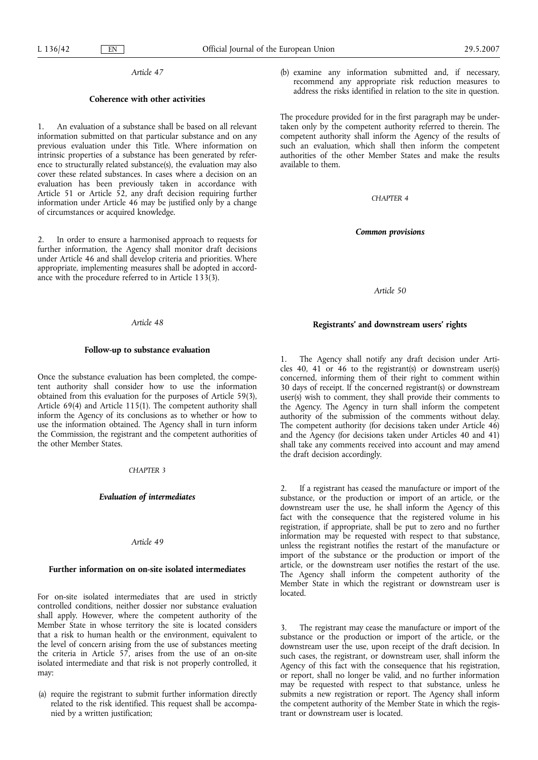## **Coherence with other activities**

1. An evaluation of a substance shall be based on all relevant information submitted on that particular substance and on any previous evaluation under this Title. Where information on intrinsic properties of a substance has been generated by reference to structurally related substance(s), the evaluation may also cover these related substances. In cases where a decision on an evaluation has been previously taken in accordance with Article 51 or Article  $52$ , any draft decision requiring further information under Article 46 may be justified only by a change of circumstances or acquired knowledge.

2. In order to ensure a harmonised approach to requests for further information, the Agency shall monitor draft decisions under Article 46 and shall develop criteria and priorities. Where appropriate, implementing measures shall be adopted in accordance with the procedure referred to in Article 133(3).

# *Article 48*

# **Follow-up to substance evaluation**

Once the substance evaluation has been completed, the competent authority shall consider how to use the information obtained from this evaluation for the purposes of Article 59(3), Article 69(4) and Article 115(1). The competent authority shall inform the Agency of its conclusions as to whether or how to use the information obtained. The Agency shall in turn inform the Commission, the registrant and the competent authorities of the other Member States.

# *CHAPTER 3*

## *Evaluation of intermediates*

# *Article 49*

# **Further information on on-site isolated intermediates**

For on-site isolated intermediates that are used in strictly controlled conditions, neither dossier nor substance evaluation shall apply. However, where the competent authority of the Member State in whose territory the site is located considers that a risk to human health or the environment, equivalent to the level of concern arising from the use of substances meeting the criteria in Article 57, arises from the use of an on-site isolated intermediate and that risk is not properly controlled, it may:

(a) require the registrant to submit further information directly related to the risk identified. This request shall be accompanied by a written justification;

(b) examine any information submitted and, if necessary, recommend any appropriate risk reduction measures to address the risks identified in relation to the site in question.

The procedure provided for in the first paragraph may be undertaken only by the competent authority referred to therein. The competent authority shall inform the Agency of the results of such an evaluation, which shall then inform the competent authorities of the other Member States and make the results available to them.

*CHAPTER 4*

*Common provisions*

*Article 50*

## **Registrants' and downstream users' rights**

The Agency shall notify any draft decision under Articles 40, 41 or 46 to the registrant(s) or downstream user(s) concerned, informing them of their right to comment within 30 days of receipt. If the concerned registrant(s) or downstream user(s) wish to comment, they shall provide their comments to the Agency. The Agency in turn shall inform the competent authority of the submission of the comments without delay. The competent authority (for decisions taken under Article 46) and the Agency (for decisions taken under Articles 40 and 41) shall take any comments received into account and may amend the draft decision accordingly.

If a registrant has ceased the manufacture or import of the substance, or the production or import of an article, or the downstream user the use, he shall inform the Agency of this fact with the consequence that the registered volume in his registration, if appropriate, shall be put to zero and no further information may be requested with respect to that substance, unless the registrant notifies the restart of the manufacture or import of the substance or the production or import of the article, or the downstream user notifies the restart of the use. The Agency shall inform the competent authority of the Member State in which the registrant or downstream user is located.

The registrant may cease the manufacture or import of the substance or the production or import of the article, or the downstream user the use, upon receipt of the draft decision. In such cases, the registrant, or downstream user, shall inform the Agency of this fact with the consequence that his registration, or report, shall no longer be valid, and no further information may be requested with respect to that substance, unless he submits a new registration or report. The Agency shall inform the competent authority of the Member State in which the registrant or downstream user is located.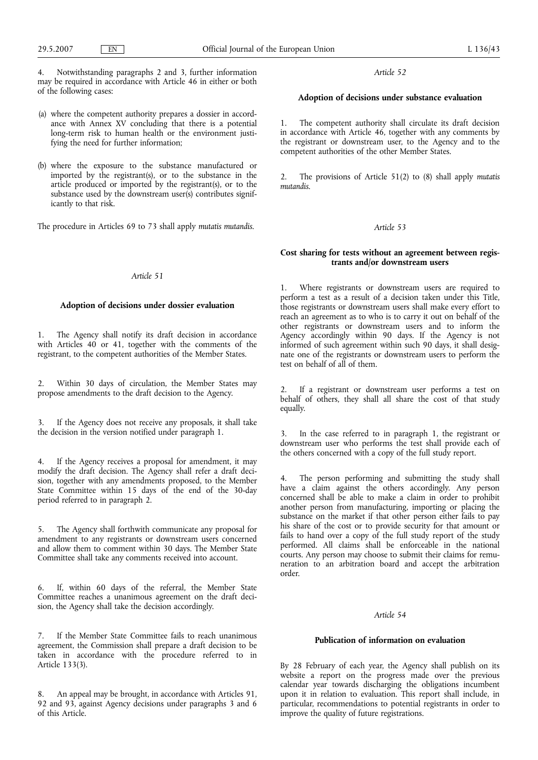4. Notwithstanding paragraphs 2 and 3, further information may be required in accordance with Article 46 in either or both of the following cases:

- (a) where the competent authority prepares a dossier in accordance with Annex XV concluding that there is a potential long-term risk to human health or the environment justifying the need for further information;
- (b) where the exposure to the substance manufactured or imported by the registrant(s), or to the substance in the article produced or imported by the registrant(s), or to the substance used by the downstream user(s) contributes significantly to that risk.

The procedure in Articles 69 to 73 shall apply *mutatis mutandis*.

# *Article 51*

# **Adoption of decisions under dossier evaluation**

1. The Agency shall notify its draft decision in accordance with Articles 40 or 41, together with the comments of the registrant, to the competent authorities of the Member States.

2. Within 30 days of circulation, the Member States may propose amendments to the draft decision to the Agency.

If the Agency does not receive any proposals, it shall take the decision in the version notified under paragraph 1.

4. If the Agency receives a proposal for amendment, it may modify the draft decision. The Agency shall refer a draft decision, together with any amendments proposed, to the Member State Committee within 15 days of the end of the 30-day period referred to in paragraph 2.

5. The Agency shall forthwith communicate any proposal for amendment to any registrants or downstream users concerned and allow them to comment within 30 days. The Member State Committee shall take any comments received into account.

6. If, within 60 days of the referral, the Member State Committee reaches a unanimous agreement on the draft decision, the Agency shall take the decision accordingly.

7. If the Member State Committee fails to reach unanimous agreement, the Commission shall prepare a draft decision to be taken in accordance with the procedure referred to in Article 133(3).

8. An appeal may be brought, in accordance with Articles 91, 92 and 93, against Agency decisions under paragraphs 3 and 6 of this Article.

*Article 52*

## **Adoption of decisions under substance evaluation**

1. The competent authority shall circulate its draft decision in accordance with Article 46, together with any comments by the registrant or downstream user, to the Agency and to the competent authorities of the other Member States.

2. The provisions of Article 51(2) to (8) shall apply *mutatis mutandis*.

## *Article 53*

# **Cost sharing for tests without an agreement between registrants and/or downstream users**

1. Where registrants or downstream users are required to perform a test as a result of a decision taken under this Title, those registrants or downstream users shall make every effort to reach an agreement as to who is to carry it out on behalf of the other registrants or downstream users and to inform the Agency accordingly within 90 days. If the Agency is not informed of such agreement within such 90 days, it shall designate one of the registrants or downstream users to perform the test on behalf of all of them.

2. If a registrant or downstream user performs a test on behalf of others, they shall all share the cost of that study equally.

3. In the case referred to in paragraph 1, the registrant or downstream user who performs the test shall provide each of the others concerned with a copy of the full study report.

4. The person performing and submitting the study shall have a claim against the others accordingly. Any person concerned shall be able to make a claim in order to prohibit another person from manufacturing, importing or placing the substance on the market if that other person either fails to pay his share of the cost or to provide security for that amount or fails to hand over a copy of the full study report of the study performed. All claims shall be enforceable in the national courts. Any person may choose to submit their claims for remuneration to an arbitration board and accept the arbitration order.

#### *Article 54*

# **Publication of information on evaluation**

By 28 February of each year, the Agency shall publish on its website a report on the progress made over the previous calendar year towards discharging the obligations incumbent upon it in relation to evaluation. This report shall include, in particular, recommendations to potential registrants in order to improve the quality of future registrations.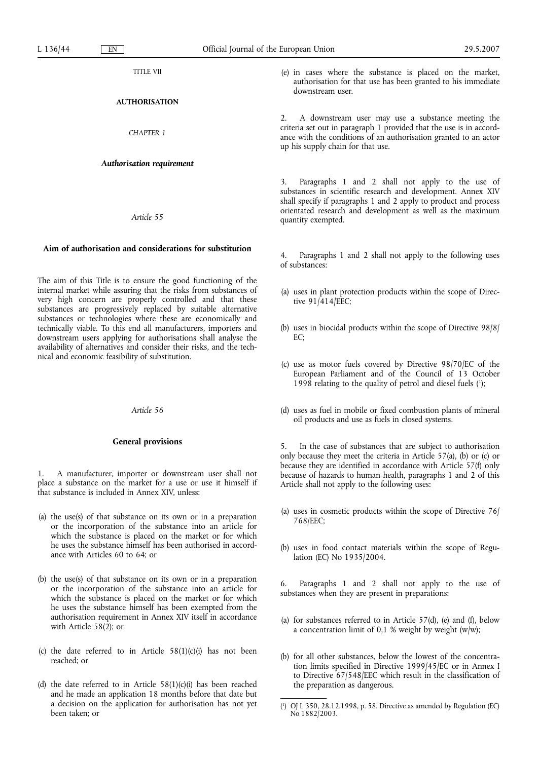TITLE VII

# **AUTHORISATION**

*CHAPTER 1*

### *Authorisation requirement*

*Article 55*

# **Aim of authorisation and considerations for substitution**

The aim of this Title is to ensure the good functioning of the internal market while assuring that the risks from substances of very high concern are properly controlled and that these substances are progressively replaced by suitable alternative substances or technologies where these are economically and technically viable. To this end all manufacturers, importers and downstream users applying for authorisations shall analyse the availability of alternatives and consider their risks, and the technical and economic feasibility of substitution.

#### *Article 56*

## **General provisions**

1. A manufacturer, importer or downstream user shall not place a substance on the market for a use or use it himself if that substance is included in Annex XIV, unless:

- (a) the use(s) of that substance on its own or in a preparation or the incorporation of the substance into an article for which the substance is placed on the market or for which he uses the substance himself has been authorised in accordance with Articles 60 to 64; or
- (b) the use(s) of that substance on its own or in a preparation or the incorporation of the substance into an article for which the substance is placed on the market or for which he uses the substance himself has been exempted from the authorisation requirement in Annex XIV itself in accordance with Article 58 $(2)$ ; or
- (c) the date referred to in Article  $58(1)(c)(i)$  has not been reached; or
- (d) the date referred to in Article 58(1)(c)(i) has been reached and he made an application 18 months before that date but a decision on the application for authorisation has not yet been taken; or

(e) in cases where the substance is placed on the market, authorisation for that use has been granted to his immediate downstream user.

2. A downstream user may use a substance meeting the criteria set out in paragraph 1 provided that the use is in accordance with the conditions of an authorisation granted to an actor up his supply chain for that use.

Paragraphs 1 and 2 shall not apply to the use of substances in scientific research and development. Annex XIV shall specify if paragraphs 1 and 2 apply to product and process orientated research and development as well as the maximum quantity exempted.

Paragraphs 1 and 2 shall not apply to the following uses of substances:

- (a) uses in plant protection products within the scope of Directive  $91/414$ /EEC;
- (b) uses in biocidal products within the scope of Directive 98/8/  $E$ <sup> $\cdot$ </sup>
- (c) use as motor fuels covered by Directive 98/70/EC of the European Parliament and of the Council of 13 October 1998 relating to the quality of petrol and diesel fuels (1 );
- (d) uses as fuel in mobile or fixed combustion plants of mineral oil products and use as fuels in closed systems.

5. In the case of substances that are subject to authorisation only because they meet the criteria in Article 57(a), (b) or (c) or because they are identified in accordance with Article 57(f) only because of hazards to human health, paragraphs 1 and 2 of this Article shall not apply to the following uses:

- (a) uses in cosmetic products within the scope of Directive 76/ 768/EEC;
- (b) uses in food contact materials within the scope of Regulation (EC) No 1935/2004.

6. Paragraphs 1 and 2 shall not apply to the use of substances when they are present in preparations:

- (a) for substances referred to in Article 57(d), (e) and (f), below a concentration limit of 0,1 % weight by weight  $(w/w)$ ;
- (b) for all other substances, below the lowest of the concentration limits specified in Directive 1999/45/EC or in Annex I to Directive 67/548/EEC which result in the classification of the preparation as dangerous.

 $($ <sup>1</sup> ) OJ L 350, 28.12.1998, p. 58. Directive as amended by Regulation (EC) No 1882/2003.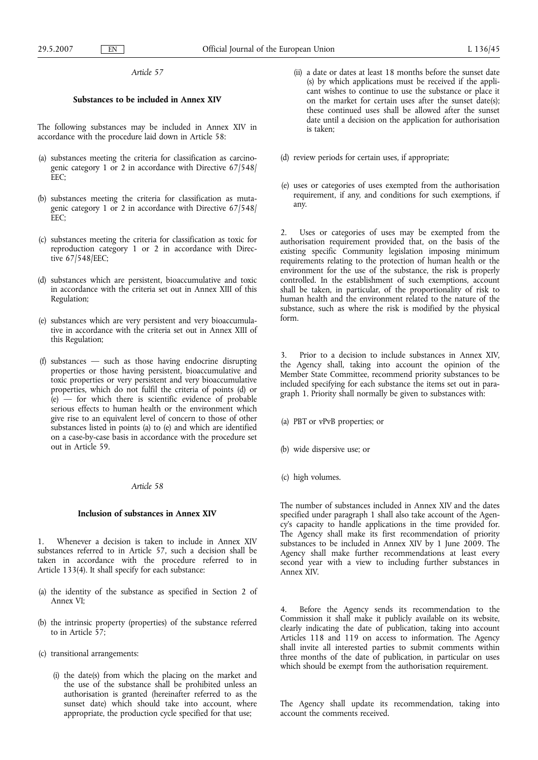# **Substances to be included in Annex XIV**

The following substances may be included in Annex XIV in accordance with the procedure laid down in Article 58:

- (a) substances meeting the criteria for classification as carcinogenic category 1 or 2 in accordance with Directive 67/548/ EEC;
- (b) substances meeting the criteria for classification as mutagenic category 1 or 2 in accordance with Directive 67/548/ EEC;
- (c) substances meeting the criteria for classification as toxic for reproduction category 1 or 2 in accordance with Directive 67/548/EEC;
- (d) substances which are persistent, bioaccumulative and toxic in accordance with the criteria set out in Annex XIII of this Regulation;
- (e) substances which are very persistent and very bioaccumulative in accordance with the criteria set out in Annex XIII of this Regulation;
- (f) substances such as those having endocrine disrupting properties or those having persistent, bioaccumulative and toxic properties or very persistent and very bioaccumulative properties, which do not fulfil the criteria of points (d) or  $(e)$  — for which there is scientific evidence of probable serious effects to human health or the environment which give rise to an equivalent level of concern to those of other substances listed in points (a) to (e) and which are identified on a case-by-case basis in accordance with the procedure set out in Article 59.

## *Article 58*

## **Inclusion of substances in Annex XIV**

1. Whenever a decision is taken to include in Annex XIV substances referred to in Article 57, such a decision shall be taken in accordance with the procedure referred to in Article 133(4). It shall specify for each substance:

- (a) the identity of the substance as specified in Section 2 of Annex VI;
- (b) the intrinsic property (properties) of the substance referred to in Article 57;
- (c) transitional arrangements:
	- (i) the date(s) from which the placing on the market and the use of the substance shall be prohibited unless an authorisation is granted (hereinafter referred to as the sunset date) which should take into account, where appropriate, the production cycle specified for that use;
- (ii) a date or dates at least 18 months before the sunset date (s) by which applications must be received if the applicant wishes to continue to use the substance or place it on the market for certain uses after the sunset date(s); these continued uses shall be allowed after the sunset date until a decision on the application for authorisation is taken;
- (d) review periods for certain uses, if appropriate;
- (e) uses or categories of uses exempted from the authorisation requirement, if any, and conditions for such exemptions, if any.

Uses or categories of uses may be exempted from the authorisation requirement provided that, on the basis of the existing specific Community legislation imposing minimum requirements relating to the protection of human health or the environment for the use of the substance, the risk is properly controlled. In the establishment of such exemptions, account shall be taken, in particular, of the proportionality of risk to human health and the environment related to the nature of the substance, such as where the risk is modified by the physical form.

3. Prior to a decision to include substances in Annex XIV, the Agency shall, taking into account the opinion of the Member State Committee, recommend priority substances to be included specifying for each substance the items set out in paragraph 1. Priority shall normally be given to substances with:

(a) PBT or vPvB properties; or

- (b) wide dispersive use; or
- (c) high volumes.

The number of substances included in Annex XIV and the dates specified under paragraph 1 shall also take account of the Agency's capacity to handle applications in the time provided for. The Agency shall make its first recommendation of priority substances to be included in Annex XIV by 1 June 2009. The Agency shall make further recommendations at least every second year with a view to including further substances in Annex XIV.

4. Before the Agency sends its recommendation to the Commission it shall make it publicly available on its website, clearly indicating the date of publication, taking into account Articles 118 and 119 on access to information. The Agency shall invite all interested parties to submit comments within three months of the date of publication, in particular on uses which should be exempt from the authorisation requirement.

The Agency shall update its recommendation, taking into account the comments received.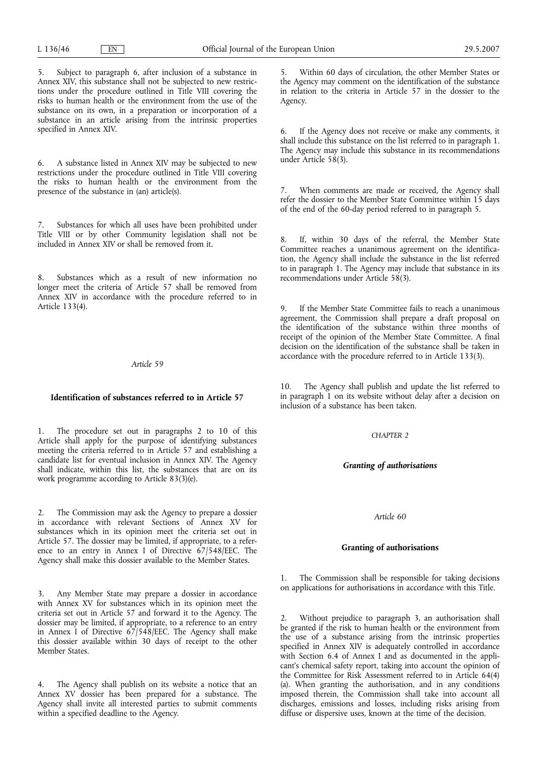5. Subject to paragraph 6, after inclusion of a substance in Annex XIV, this substance shall not be subjected to new restrictions under the procedure outlined in Title VIII covering the risks to human health or the environment from the use of the substance on its own, in a preparation or incorporation of a substance in an article arising from the intrinsic properties specified in Annex XIV.

6. A substance listed in Annex XIV may be subjected to new restrictions under the procedure outlined in Title VIII covering the risks to human health or the environment from the presence of the substance in (an) article(s).

Substances for which all uses have been prohibited under Title VIII or by other Community legislation shall not be included in Annex XIV or shall be removed from it.

8. Substances which as a result of new information no longer meet the criteria of Article 57 shall be removed from Annex XIV in accordance with the procedure referred to in Article 133(4).

### *Article 59*

#### **Identification of substances referred to in Article 57**

1. The procedure set out in paragraphs 2 to 10 of this Article shall apply for the purpose of identifying substances meeting the criteria referred to in Article 57 and establishing a candidate list for eventual inclusion in Annex XIV. The Agency shall indicate, within this list, the substances that are on its work programme according to Article 83(3)(e).

2. The Commission may ask the Agency to prepare a dossier in accordance with relevant Sections of Annex XV for substances which in its opinion meet the criteria set out in Article 57. The dossier may be limited, if appropriate, to a reference to an entry in Annex I of Directive 67/548/EEC. The Agency shall make this dossier available to the Member States.

3. Any Member State may prepare a dossier in accordance with Annex XV for substances which in its opinion meet the criteria set out in Article 57 and forward it to the Agency. The dossier may be limited, if appropriate, to a reference to an entry in Annex I of Directive  $67/548/EEC$ . The Agency shall make this dossier available within 30 days of receipt to the other Member States.

4. The Agency shall publish on its website a notice that an Annex XV dossier has been prepared for a substance. The Agency shall invite all interested parties to submit comments within a specified deadline to the Agency.

5. Within 60 days of circulation, the other Member States or the Agency may comment on the identification of the substance in relation to the criteria in Article 57 in the dossier to the Agency.

6. If the Agency does not receive or make any comments, it shall include this substance on the list referred to in paragraph 1. The Agency may include this substance in its recommendations under Article 58(3).

7. When comments are made or received, the Agency shall refer the dossier to the Member State Committee within 15 days of the end of the 60-day period referred to in paragraph 5.

8. If, within 30 days of the referral, the Member State Committee reaches a unanimous agreement on the identification, the Agency shall include the substance in the list referred to in paragraph 1. The Agency may include that substance in its recommendations under Article 58(3).

If the Member State Committee fails to reach a unanimous agreement, the Commission shall prepare a draft proposal on the identification of the substance within three months of receipt of the opinion of the Member State Committee. A final decision on the identification of the substance shall be taken in accordance with the procedure referred to in Article 133(3).

10. The Agency shall publish and update the list referred to in paragraph 1 on its website without delay after a decision on inclusion of a substance has been taken.

#### *CHAPTER 2*

# *Granting of authorisations*

## *Article 60*

# **Granting of authorisations**

1. The Commission shall be responsible for taking decisions on applications for authorisations in accordance with this Title.

Without prejudice to paragraph 3, an authorisation shall be granted if the risk to human health or the environment from the use of a substance arising from the intrinsic properties specified in Annex XIV is adequately controlled in accordance with Section 6.4 of Annex I and as documented in the applicant's chemical safety report, taking into account the opinion of the Committee for Risk Assessment referred to in Article 64(4) (a). When granting the authorisation, and in any conditions imposed therein, the Commission shall take into account all discharges, emissions and losses, including risks arising from diffuse or dispersive uses, known at the time of the decision.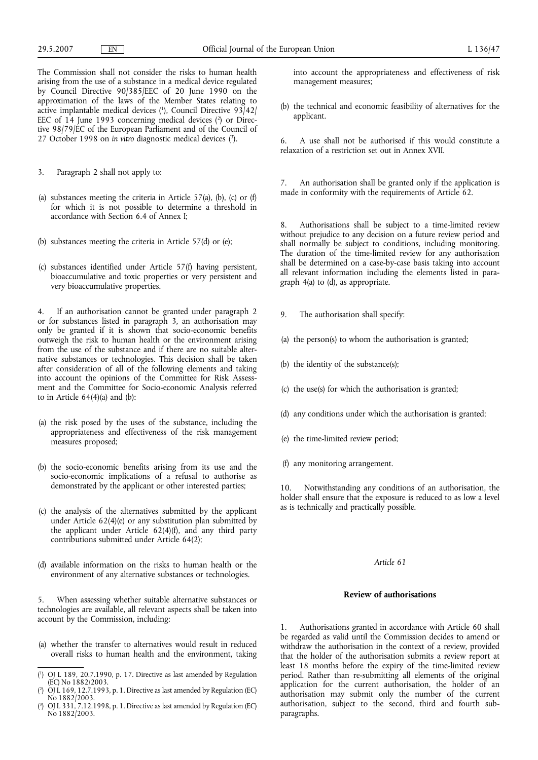The Commission shall not consider the risks to human health arising from the use of a substance in a medical device regulated by Council Directive 90/385/EEC of 20 June 1990 on the approximation of the laws of the Member States relating to active implantable medical devices (1 ), Council Directive 93/42/ EEC of 14 June 1993 concerning medical devices (2) or Directive 98/79/EC of the European Parliament and of the Council of 27 October 1998 on *in vitro* diagnostic medical devices (3 ).

- 3. Paragraph 2 shall not apply to:
- (a) substances meeting the criteria in Article  $57(a)$ , (b), (c) or (f) for which it is not possible to determine a threshold in accordance with Section 6.4 of Annex I;
- (b) substances meeting the criteria in Article 57(d) or (e);
- (c) substances identified under Article 57(f) having persistent, bioaccumulative and toxic properties or very persistent and very bioaccumulative properties.

4. If an authorisation cannot be granted under paragraph 2 or for substances listed in paragraph 3, an authorisation may only be granted if it is shown that socio-economic benefits outweigh the risk to human health or the environment arising from the use of the substance and if there are no suitable alternative substances or technologies. This decision shall be taken after consideration of all of the following elements and taking into account the opinions of the Committee for Risk Assessment and the Committee for Socio-economic Analysis referred to in Article  $64(4)(a)$  and  $(b)$ :

- (a) the risk posed by the uses of the substance, including the appropriateness and effectiveness of the risk management measures proposed;
- (b) the socio-economic benefits arising from its use and the socio-economic implications of a refusal to authorise as demonstrated by the applicant or other interested parties;
- (c) the analysis of the alternatives submitted by the applicant under Article 62(4)(e) or any substitution plan submitted by the applicant under Article 62(4)(f), and any third party contributions submitted under Article 64(2);
- (d) available information on the risks to human health or the environment of any alternative substances or technologies.

5. When assessing whether suitable alternative substances or technologies are available, all relevant aspects shall be taken into account by the Commission, including:

- (a) whether the transfer to alternatives would result in reduced overall risks to human health and the environment, taking
- ( 1 ) OJ L 189, 20.7.1990, p. 17. Directive as last amended by Regulation (EC) No 1882/2003.
- ( 2 ) OJ L 169, 12.7.1993, p. 1. Directive as last amended by Regulation (EC) No 1882/2003.
- ( 3 ) OJ L 331, 7.12.1998, p. 1. Directive as last amended by Regulation (EC) No 1882/2003.

into account the appropriateness and effectiveness of risk management measures;

(b) the technical and economic feasibility of alternatives for the applicant.

6. A use shall not be authorised if this would constitute a relaxation of a restriction set out in Annex XVII.

7. An authorisation shall be granted only if the application is made in conformity with the requirements of Article 62.

8. Authorisations shall be subject to a time-limited review without prejudice to any decision on a future review period and shall normally be subject to conditions, including monitoring. The duration of the time-limited review for any authorisation shall be determined on a case-by-case basis taking into account all relevant information including the elements listed in paragraph 4(a) to (d), as appropriate.

- 9. The authorisation shall specify:
- (a) the person(s) to whom the authorisation is granted;
- (b) the identity of the substance(s);
- (c) the use(s) for which the authorisation is granted;
- (d) any conditions under which the authorisation is granted;
- (e) the time-limited review period;
- (f) any monitoring arrangement.

10. Notwithstanding any conditions of an authorisation, the holder shall ensure that the exposure is reduced to as low a level as is technically and practically possible.

### *Article 61*

## **Review of authorisations**

1. Authorisations granted in accordance with Article 60 shall be regarded as valid until the Commission decides to amend or withdraw the authorisation in the context of a review, provided that the holder of the authorisation submits a review report at least 18 months before the expiry of the time-limited review period. Rather than re-submitting all elements of the original application for the current authorisation, the holder of an authorisation may submit only the number of the current authorisation, subject to the second, third and fourth subparagraphs.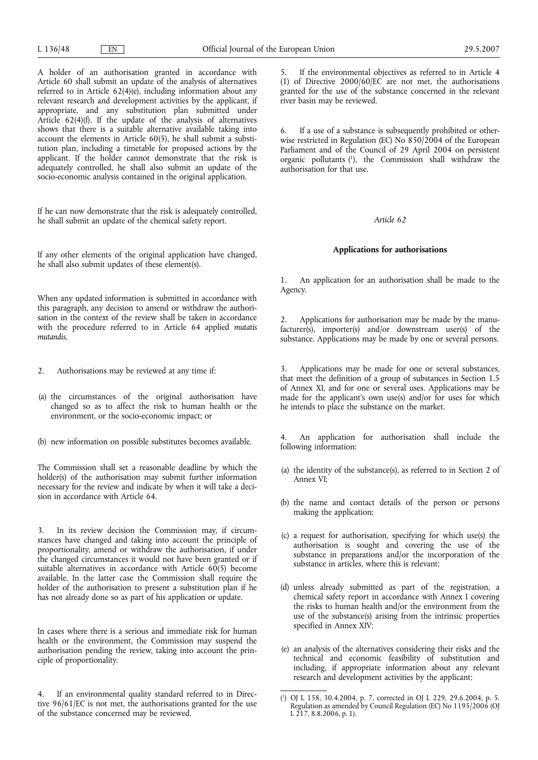A holder of an authorisation granted in accordance with Article 60 shall submit an update of the analysis of alternatives referred to in Article 62(4)(e), including information about any relevant research and development activities by the applicant, if appropriate, and any substitution plan submitted under Article 62(4)(f). If the update of the analysis of alternatives shows that there is a suitable alternative available taking into account the elements in Article 60(5), he shall submit a substitution plan, including a timetable for proposed actions by the applicant. If the holder cannot demonstrate that the risk is adequately controlled, he shall also submit an update of the socio-economic analysis contained in the original application.

If he can now demonstrate that the risk is adequately controlled, he shall submit an update of the chemical safety report.

If any other elements of the original application have changed, he shall also submit updates of these element(s).

When any updated information is submitted in accordance with this paragraph, any decision to amend or withdraw the authorisation in the context of the review shall be taken in accordance with the procedure referred to in Article 64 applied *mutatis mutandis.*

- 2. Authorisations may be reviewed at any time if:
- (a) the circumstances of the original authorisation have changed so as to affect the risk to human health or the environment, or the socio-economic impact; or
- (b) new information on possible substitutes becomes available.

The Commission shall set a reasonable deadline by which the holder(s) of the authorisation may submit further information necessary for the review and indicate by when it will take a decision in accordance with Article 64.

3. In its review decision the Commission may, if circumstances have changed and taking into account the principle of proportionality, amend or withdraw the authorisation, if under the changed circumstances it would not have been granted or if suitable alternatives in accordance with Article  $60(5)$  become available. In the latter case the Commission shall require the holder of the authorisation to present a substitution plan if he has not already done so as part of his application or update.

In cases where there is a serious and immediate risk for human health or the environment, the Commission may suspend the authorisation pending the review, taking into account the principle of proportionality.

4. If an environmental quality standard referred to in Directive 96/61/EC is not met, the authorisations granted for the use of the substance concerned may be reviewed.

5. If the environmental objectives as referred to in Article 4 (1) of Directive 2000/60/EC are not met, the authorisations granted for the use of the substance concerned in the relevant river basin may be reviewed.

6. If a use of a substance is subsequently prohibited or otherwise restricted in Regulation (EC) No  $850/2004$  of the European Parliament and of the Council of 29 April 2004 on persistent organic pollutants (1 ), the Commission shall withdraw the authorisation for that use.

#### *Article 62*

## **Applications for authorisations**

1. An application for an authorisation shall be made to the Agency.

2. Applications for authorisation may be made by the manufacturer(s), importer(s) and/or downstream user(s) of the substance. Applications may be made by one or several persons.

Applications may be made for one or several substances, that meet the definition of a group of substances in Section 1.5 of Annex XI, and for one or several uses. Applications may be made for the applicant's own use(s) and/or for uses for which he intends to place the substance on the market.

4. An application for authorisation shall include the following information:

- (a) the identity of the substance(s), as referred to in Section 2 of Annex VI;
- (b) the name and contact details of the person or persons making the application;
- (c) a request for authorisation, specifying for which use(s) the authorisation is sought and covering the use of the substance in preparations and/or the incorporation of the substance in articles, where this is relevant;
- (d) unless already submitted as part of the registration, a chemical safety report in accordance with Annex I covering the risks to human health and/or the environment from the use of the substance(s) arising from the intrinsic properties specified in Annex XIV;
- (e) an analysis of the alternatives considering their risks and the technical and economic feasibility of substitution and including, if appropriate information about any relevant research and development activities by the applicant;

<sup>(</sup> 1 ) OJ L 158, 30.4.2004, p. 7, corrected in OJ L 229, 29.6.2004, p. 5. Regulation as amended by Council Regulation (EC) No 1195/2006 (OJ L 217, 8.8.2006, p. 1).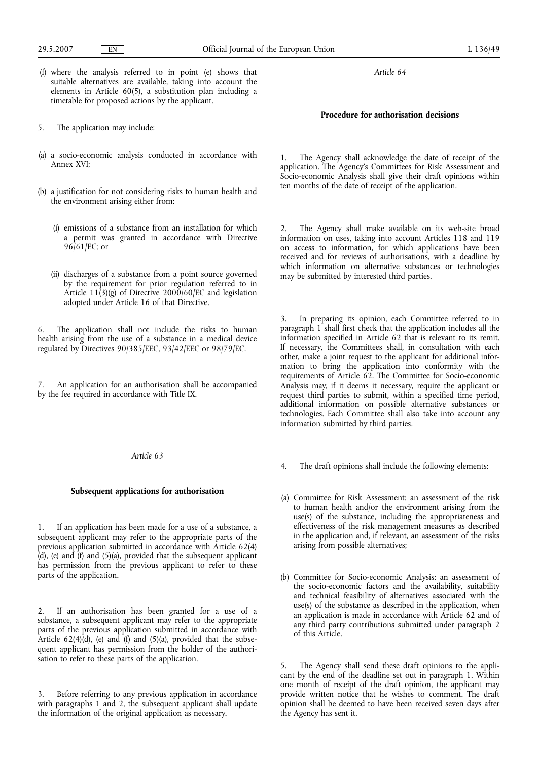- (f) where the analysis referred to in point (e) shows that suitable alternatives are available, taking into account the elements in Article 60(5), a substitution plan including a timetable for proposed actions by the applicant.
- 5. The application may include:
- (a) a socio-economic analysis conducted in accordance with Annex XVI;
- (b) a justification for not considering risks to human health and the environment arising either from:
	- (i) emissions of a substance from an installation for which a permit was granted in accordance with Directive  $96/61/EC$ ; or
	- (ii) discharges of a substance from a point source governed by the requirement for prior regulation referred to in Article  $11(3)(g)$  of Directive 2000/60/EC and legislation adopted under Article 16 of that Directive.

6. The application shall not include the risks to human health arising from the use of a substance in a medical device regulated by Directives 90/385/EEC, 93/42/EEC or 98/79/EC.

An application for an authorisation shall be accompanied by the fee required in accordance with Title IX.

# *Article 63*

## **Subsequent applications for authorisation**

1. If an application has been made for a use of a substance, a subsequent applicant may refer to the appropriate parts of the previous application submitted in accordance with Article 62(4)  $(d)$ , (e) and  $(f)$  and  $(5)(a)$ , provided that the subsequent applicant has permission from the previous applicant to refer to these parts of the application.

2. If an authorisation has been granted for a use of a substance, a subsequent applicant may refer to the appropriate parts of the previous application submitted in accordance with Article  $62(4)(d)$ , (e) and  $(f)$  and  $(5)(a)$ , provided that the subsequent applicant has permission from the holder of the authorisation to refer to these parts of the application.

3. Before referring to any previous application in accordance with paragraphs 1 and 2, the subsequent applicant shall update the information of the original application as necessary.

*Article 64*

# **Procedure for authorisation decisions**

1. The Agency shall acknowledge the date of receipt of the application. The Agency's Committees for Risk Assessment and Socio-economic Analysis shall give their draft opinions within ten months of the date of receipt of the application.

2. The Agency shall make available on its web-site broad information on uses, taking into account Articles 118 and 119 on access to information, for which applications have been received and for reviews of authorisations, with a deadline by which information on alternative substances or technologies may be submitted by interested third parties.

3. In preparing its opinion, each Committee referred to in paragraph 1 shall first check that the application includes all the information specified in Article 62 that is relevant to its remit. If necessary, the Committees shall, in consultation with each other, make a joint request to the applicant for additional information to bring the application into conformity with the requirements of Article 62. The Committee for Socio-economic Analysis may, if it deems it necessary, require the applicant or request third parties to submit, within a specified time period, additional information on possible alternative substances or technologies. Each Committee shall also take into account any information submitted by third parties.

- 4. The draft opinions shall include the following elements:
- (a) Committee for Risk Assessment: an assessment of the risk to human health and/or the environment arising from the use(s) of the substance, including the appropriateness and effectiveness of the risk management measures as described in the application and, if relevant, an assessment of the risks arising from possible alternatives;
- (b) Committee for Socio-economic Analysis: an assessment of the socio-economic factors and the availability, suitability and technical feasibility of alternatives associated with the use(s) of the substance as described in the application, when an application is made in accordance with Article 62 and of any third party contributions submitted under paragraph 2 of this Article.

5. The Agency shall send these draft opinions to the applicant by the end of the deadline set out in paragraph 1. Within one month of receipt of the draft opinion, the applicant may provide written notice that he wishes to comment. The draft opinion shall be deemed to have been received seven days after the Agency has sent it.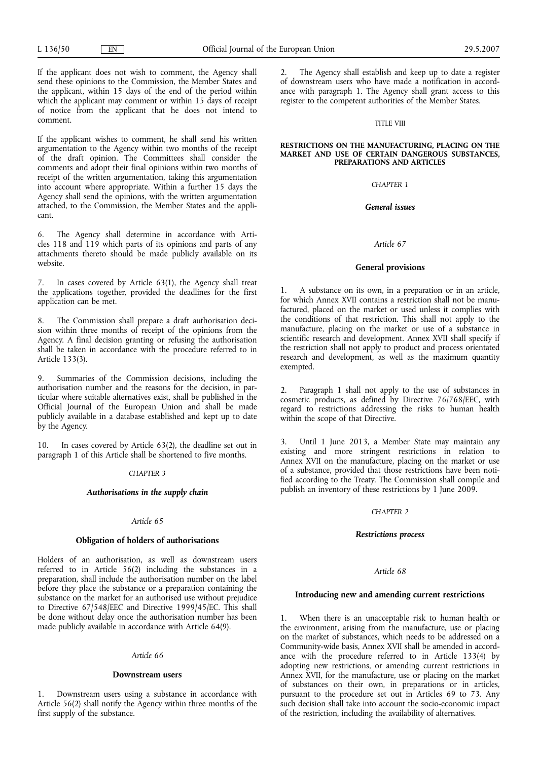If the applicant does not wish to comment, the Agency shall send these opinions to the Commission, the Member States and the applicant, within 15 days of the end of the period within which the applicant may comment or within 15 days of receipt of notice from the applicant that he does not intend to comment.

If the applicant wishes to comment, he shall send his written argumentation to the Agency within two months of the receipt of the draft opinion. The Committees shall consider the comments and adopt their final opinions within two months of receipt of the written argumentation, taking this argumentation into account where appropriate. Within a further 15 days the Agency shall send the opinions, with the written argumentation attached, to the Commission, the Member States and the applicant.

6. The Agency shall determine in accordance with Articles 118 and 119 which parts of its opinions and parts of any attachments thereto should be made publicly available on its website.

In cases covered by Article  $63(1)$ , the Agency shall treat the applications together, provided the deadlines for the first application can be met.

8. The Commission shall prepare a draft authorisation decision within three months of receipt of the opinions from the Agency. A final decision granting or refusing the authorisation shall be taken in accordance with the procedure referred to in Article 133(3).

9. Summaries of the Commission decisions, including the authorisation number and the reasons for the decision, in particular where suitable alternatives exist, shall be published in the Official Journal of the European Union and shall be made publicly available in a database established and kept up to date by the Agency.

10. In cases covered by Article 63(2), the deadline set out in paragraph 1 of this Article shall be shortened to five months.

## *CHAPTER 3*

## *Authorisations in the supply chain*

# *Article 65*

## **Obligation of holders of authorisations**

Holders of an authorisation, as well as downstream users referred to in Article 56(2) including the substances in a preparation, shall include the authorisation number on the label before they place the substance or a preparation containing the substance on the market for an authorised use without prejudice to Directive 67/548/EEC and Directive 1999/45/EC. This shall be done without delay once the authorisation number has been made publicly available in accordance with Article 64(9).

## *Article 66*

## **Downstream users**

1. Downstream users using a substance in accordance with Article 56(2) shall notify the Agency within three months of the first supply of the substance.

2. The Agency shall establish and keep up to date a register of downstream users who have made a notification in accordance with paragraph 1. The Agency shall grant access to this register to the competent authorities of the Member States.

# TITLE VIII

### **RESTRICTIONS ON THE MANUFACTURING, PLACING ON THE MARKET AND USE OF CERTAIN DANGEROUS SUBSTANCES, PREPARATIONS AND ARTICLES**

# *CHAPTER 1*

## *General issues*

# *Article 67*

## **General provisions**

1. A substance on its own, in a preparation or in an article, for which Annex XVII contains a restriction shall not be manufactured, placed on the market or used unless it complies with the conditions of that restriction. This shall not apply to the manufacture, placing on the market or use of a substance in scientific research and development. Annex XVII shall specify if the restriction shall not apply to product and process orientated research and development, as well as the maximum quantity exempted.

Paragraph 1 shall not apply to the use of substances in cosmetic products, as defined by Directive 76/768/EEC, with regard to restrictions addressing the risks to human health within the scope of that Directive.

3. Until 1 June 2013, a Member State may maintain any existing and more stringent restrictions in relation to Annex XVII on the manufacture, placing on the market or use of a substance, provided that those restrictions have been notified according to the Treaty. The Commission shall compile and publish an inventory of these restrictions by 1 June 2009.

# *CHAPTER 2*

#### *Restrictions process*

# *Article 68*

#### **Introducing new and amending current restrictions**

1. When there is an unacceptable risk to human health or the environment, arising from the manufacture, use or placing on the market of substances, which needs to be addressed on a Community-wide basis, Annex XVII shall be amended in accordance with the procedure referred to in Article 133(4) by adopting new restrictions, or amending current restrictions in Annex XVII, for the manufacture, use or placing on the market of substances on their own, in preparations or in articles, pursuant to the procedure set out in Articles 69 to 73. Any such decision shall take into account the socio-economic impact of the restriction, including the availability of alternatives.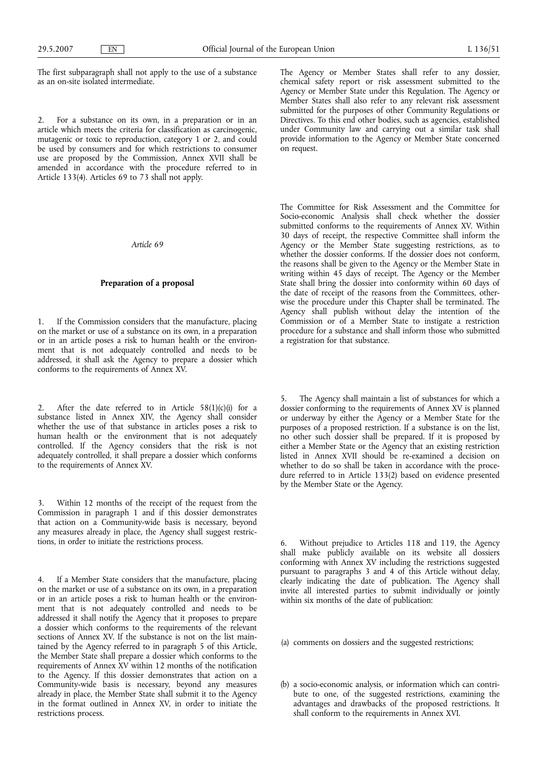The first subparagraph shall not apply to the use of a substance as an on-site isolated intermediate.

2. For a substance on its own, in a preparation or in an article which meets the criteria for classification as carcinogenic, mutagenic or toxic to reproduction, category 1 or 2, and could be used by consumers and for which restrictions to consumer use are proposed by the Commission, Annex XVII shall be amended in accordance with the procedure referred to in Article 133(4). Articles 69 to 73 shall not apply.

*Article 69*

# **Preparation of a proposal**

1. If the Commission considers that the manufacture, placing on the market or use of a substance on its own, in a preparation or in an article poses a risk to human health or the environment that is not adequately controlled and needs to be addressed, it shall ask the Agency to prepare a dossier which conforms to the requirements of Annex XV.

2. After the date referred to in Article  $58(1)(c)(i)$  for a substance listed in Annex XIV, the Agency shall consider whether the use of that substance in articles poses a risk to human health or the environment that is not adequately controlled. If the Agency considers that the risk is not adequately controlled, it shall prepare a dossier which conforms to the requirements of Annex XV.

3. Within 12 months of the receipt of the request from the Commission in paragraph 1 and if this dossier demonstrates that action on a Community-wide basis is necessary, beyond any measures already in place, the Agency shall suggest restrictions, in order to initiate the restrictions process.

4. If a Member State considers that the manufacture, placing on the market or use of a substance on its own, in a preparation or in an article poses a risk to human health or the environment that is not adequately controlled and needs to be addressed it shall notify the Agency that it proposes to prepare a dossier which conforms to the requirements of the relevant sections of Annex XV. If the substance is not on the list maintained by the Agency referred to in paragraph 5 of this Article, the Member State shall prepare a dossier which conforms to the requirements of Annex XV within 12 months of the notification to the Agency. If this dossier demonstrates that action on a Community-wide basis is necessary, beyond any measures already in place, the Member State shall submit it to the Agency in the format outlined in Annex XV, in order to initiate the restrictions process.

The Agency or Member States shall refer to any dossier, chemical safety report or risk assessment submitted to the Agency or Member State under this Regulation. The Agency or Member States shall also refer to any relevant risk assessment submitted for the purposes of other Community Regulations or Directives. To this end other bodies, such as agencies, established under Community law and carrying out a similar task shall provide information to the Agency or Member State concerned on request.

The Committee for Risk Assessment and the Committee for Socio-economic Analysis shall check whether the dossier submitted conforms to the requirements of Annex XV. Within 30 days of receipt, the respective Committee shall inform the Agency or the Member State suggesting restrictions, as to whether the dossier conforms. If the dossier does not conform, the reasons shall be given to the Agency or the Member State in writing within 45 days of receipt. The Agency or the Member State shall bring the dossier into conformity within 60 days of the date of receipt of the reasons from the Committees, otherwise the procedure under this Chapter shall be terminated. The Agency shall publish without delay the intention of the Commission or of a Member State to instigate a restriction procedure for a substance and shall inform those who submitted a registration for that substance.

5. The Agency shall maintain a list of substances for which a dossier conforming to the requirements of Annex XV is planned or underway by either the Agency or a Member State for the purposes of a proposed restriction. If a substance is on the list, no other such dossier shall be prepared. If it is proposed by either a Member State or the Agency that an existing restriction listed in Annex XVII should be re-examined a decision on whether to do so shall be taken in accordance with the procedure referred to in Article 133(2) based on evidence presented by the Member State or the Agency.

6. Without prejudice to Articles 118 and 119, the Agency shall make publicly available on its website all dossiers conforming with Annex XV including the restrictions suggested pursuant to paragraphs 3 and 4 of this Article without delay, clearly indicating the date of publication. The Agency shall invite all interested parties to submit individually or jointly within six months of the date of publication:

(a) comments on dossiers and the suggested restrictions;

(b) a socio-economic analysis, or information which can contribute to one, of the suggested restrictions, examining the advantages and drawbacks of the proposed restrictions. It shall conform to the requirements in Annex XVI.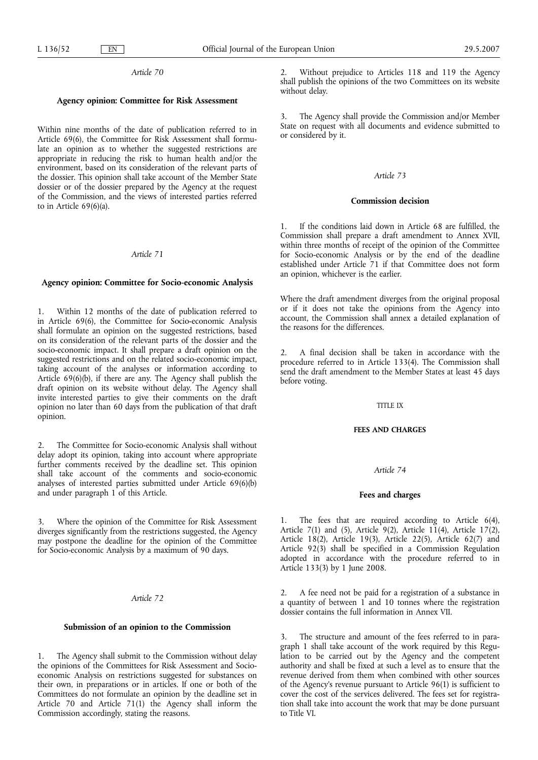### **Agency opinion: Committee for Risk Assessment**

Within nine months of the date of publication referred to in Article 69(6), the Committee for Risk Assessment shall formulate an opinion as to whether the suggested restrictions are appropriate in reducing the risk to human health and/or the environment, based on its consideration of the relevant parts of the dossier. This opinion shall take account of the Member State dossier or of the dossier prepared by the Agency at the request of the Commission, and the views of interested parties referred to in Article 69(6)(a).

# *Article 71*

# **Agency opinion: Committee for Socio-economic Analysis**

1. Within 12 months of the date of publication referred to in Article 69(6), the Committee for Socio-economic Analysis shall formulate an opinion on the suggested restrictions, based on its consideration of the relevant parts of the dossier and the socio-economic impact. It shall prepare a draft opinion on the suggested restrictions and on the related socio-economic impact, taking account of the analyses or information according to Article 69(6)(b), if there are any. The Agency shall publish the draft opinion on its website without delay. The Agency shall invite interested parties to give their comments on the draft opinion no later than 60 days from the publication of that draft opinion.

The Committee for Socio-economic Analysis shall without delay adopt its opinion, taking into account where appropriate further comments received by the deadline set. This opinion shall take account of the comments and socio-economic analyses of interested parties submitted under Article 69(6)(b) and under paragraph 1 of this Article.

3. Where the opinion of the Committee for Risk Assessment diverges significantly from the restrictions suggested, the Agency may postpone the deadline for the opinion of the Committee for Socio-economic Analysis by a maximum of 90 days.

## *Article 72*

# **Submission of an opinion to the Commission**

1. The Agency shall submit to the Commission without delay the opinions of the Committees for Risk Assessment and Socioeconomic Analysis on restrictions suggested for substances on their own, in preparations or in articles. If one or both of the Committees do not formulate an opinion by the deadline set in Article 70 and Article 71(1) the Agency shall inform the Commission accordingly, stating the reasons.

2. Without prejudice to Articles 118 and 119 the Agency shall publish the opinions of the two Committees on its website without delay.

3. The Agency shall provide the Commission and/or Member State on request with all documents and evidence submitted to or considered by it.

### *Article 73*

## **Commission decision**

1. If the conditions laid down in Article 68 are fulfilled, the Commission shall prepare a draft amendment to Annex XVII, within three months of receipt of the opinion of the Committee for Socio-economic Analysis or by the end of the deadline established under Article 71 if that Committee does not form an opinion, whichever is the earlier.

Where the draft amendment diverges from the original proposal or if it does not take the opinions from the Agency into account, the Commission shall annex a detailed explanation of the reasons for the differences.

2. A final decision shall be taken in accordance with the procedure referred to in Article 133(4). The Commission shall send the draft amendment to the Member States at least 45 days before voting.

#### TITLE IX

## **FEES AND CHARGES**

#### *Article 74*

## **Fees and charges**

1. The fees that are required according to Article 6(4), Article 7(1) and (5), Article 9(2), Article 11(4), Article 17(2), Article 18(2), Article 19(3), Article 22(5), Article 62(7) and Article 92(3) shall be specified in a Commission Regulation adopted in accordance with the procedure referred to in Article 133(3) by 1 June 2008.

2. A fee need not be paid for a registration of a substance in a quantity of between 1 and 10 tonnes where the registration dossier contains the full information in Annex VII.

3. The structure and amount of the fees referred to in paragraph 1 shall take account of the work required by this Regulation to be carried out by the Agency and the competent authority and shall be fixed at such a level as to ensure that the revenue derived from them when combined with other sources of the Agency's revenue pursuant to Article 96(1) is sufficient to cover the cost of the services delivered. The fees set for registration shall take into account the work that may be done pursuant to Title VI.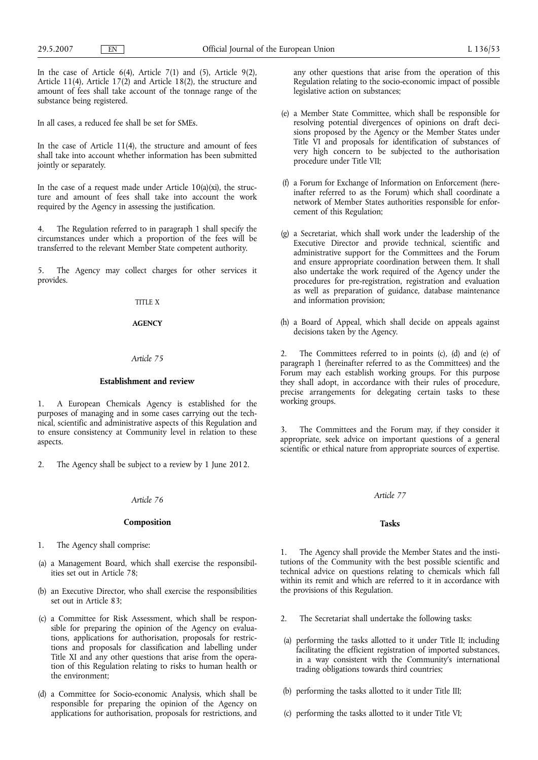In the case of Article  $6(4)$ , Article  $7(1)$  and  $(5)$ , Article  $9(2)$ , Article 11(4), Article 17(2) and Article 18(2), the structure and amount of fees shall take account of the tonnage range of the substance being registered.

In all cases, a reduced fee shall be set for SMEs.

In the case of Article 11(4), the structure and amount of fees shall take into account whether information has been submitted jointly or separately.

In the case of a request made under Article  $10(a)(xi)$ , the structure and amount of fees shall take into account the work required by the Agency in assessing the justification.

4. The Regulation referred to in paragraph 1 shall specify the circumstances under which a proportion of the fees will be transferred to the relevant Member State competent authority.

5. The Agency may collect charges for other services it provides.

# TITLE X

## **AGENCY**

## *Article 75*

# **Establishment and review**

1. A European Chemicals Agency is established for the purposes of managing and in some cases carrying out the technical, scientific and administrative aspects of this Regulation and to ensure consistency at Community level in relation to these aspects.

2. The Agency shall be subject to a review by 1 June 2012.

# *Article 76*

## **Composition**

- 1. The Agency shall comprise:
- (a) a Management Board, which shall exercise the responsibilities set out in Article 78;
- (b) an Executive Director, who shall exercise the responsibilities set out in Article 83;
- (c) a Committee for Risk Assessment, which shall be responsible for preparing the opinion of the Agency on evaluations, applications for authorisation, proposals for restrictions and proposals for classification and labelling under Title XI and any other questions that arise from the operation of this Regulation relating to risks to human health or the environment;
- (d) a Committee for Socio-economic Analysis, which shall be responsible for preparing the opinion of the Agency on applications for authorisation, proposals for restrictions, and

any other questions that arise from the operation of this Regulation relating to the socio-economic impact of possible legislative action on substances;

- (e) a Member State Committee, which shall be responsible for resolving potential divergences of opinions on draft decisions proposed by the Agency or the Member States under Title VI and proposals for identification of substances of very high concern to be subjected to the authorisation procedure under Title VII;
- (f) a Forum for Exchange of Information on Enforcement (hereinafter referred to as the Forum) which shall coordinate a network of Member States authorities responsible for enforcement of this Regulation;
- (g) a Secretariat, which shall work under the leadership of the Executive Director and provide technical, scientific and administrative support for the Committees and the Forum and ensure appropriate coordination between them. It shall also undertake the work required of the Agency under the procedures for pre-registration, registration and evaluation as well as preparation of guidance, database maintenance and information provision;
- (h) a Board of Appeal, which shall decide on appeals against decisions taken by the Agency.

2. The Committees referred to in points (c), (d) and (e) of paragraph 1 (hereinafter referred to as the Committees) and the Forum may each establish working groups. For this purpose they shall adopt, in accordance with their rules of procedure, precise arrangements for delegating certain tasks to these working groups.

The Committees and the Forum may, if they consider it appropriate, seek advice on important questions of a general scientific or ethical nature from appropriate sources of expertise.

#### *Article 77*

### **Tasks**

1. The Agency shall provide the Member States and the institutions of the Community with the best possible scientific and technical advice on questions relating to chemicals which fall within its remit and which are referred to it in accordance with the provisions of this Regulation.

- 2. The Secretariat shall undertake the following tasks:
- (a) performing the tasks allotted to it under Title II; including facilitating the efficient registration of imported substances, in a way consistent with the Community's international trading obligations towards third countries;
- (b) performing the tasks allotted to it under Title III;
- (c) performing the tasks allotted to it under Title VI;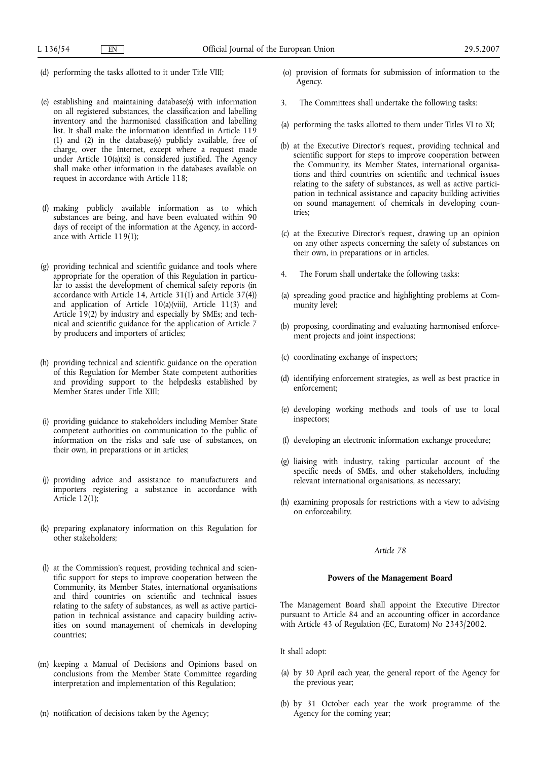- (d) performing the tasks allotted to it under Title VIII;
- (e) establishing and maintaining database(s) with information on all registered substances, the classification and labelling inventory and the harmonised classification and labelling list. It shall make the information identified in Article 119 (1) and (2) in the database(s) publicly available, free of charge, over the Internet, except where a request made under Article 10(a)(xi) is considered justified. The Agency shall make other information in the databases available on request in accordance with Article 118;
- (f) making publicly available information as to which substances are being, and have been evaluated within 90 days of receipt of the information at the Agency, in accordance with Article 119(1);
- (g) providing technical and scientific guidance and tools where appropriate for the operation of this Regulation in particular to assist the development of chemical safety reports (in accordance with Article 14, Article 31(1) and Article 37(4)) and application of Article 10(a)(viii), Article 11(3) and Article 19(2) by industry and especially by SMEs; and technical and scientific guidance for the application of Article 7 by producers and importers of articles;
- (h) providing technical and scientific guidance on the operation of this Regulation for Member State competent authorities and providing support to the helpdesks established by Member States under Title XIII;
- (i) providing guidance to stakeholders including Member State competent authorities on communication to the public of information on the risks and safe use of substances, on their own, in preparations or in articles;
- (j) providing advice and assistance to manufacturers and importers registering a substance in accordance with Article 12(1);
- (k) preparing explanatory information on this Regulation for other stakeholders;
- (l) at the Commission's request, providing technical and scientific support for steps to improve cooperation between the Community, its Member States, international organisations and third countries on scientific and technical issues relating to the safety of substances, as well as active participation in technical assistance and capacity building activities on sound management of chemicals in developing countries;
- (m) keeping a Manual of Decisions and Opinions based on conclusions from the Member State Committee regarding interpretation and implementation of this Regulation;
- (n) notification of decisions taken by the Agency;
- (o) provision of formats for submission of information to the Agency.
- 3. The Committees shall undertake the following tasks:
- (a) performing the tasks allotted to them under Titles VI to XI;
- (b) at the Executive Director's request, providing technical and scientific support for steps to improve cooperation between the Community, its Member States, international organisations and third countries on scientific and technical issues relating to the safety of substances, as well as active participation in technical assistance and capacity building activities on sound management of chemicals in developing countries;
- (c) at the Executive Director's request, drawing up an opinion on any other aspects concerning the safety of substances on their own, in preparations or in articles.
- 4. The Forum shall undertake the following tasks:
- (a) spreading good practice and highlighting problems at Community level;
- (b) proposing, coordinating and evaluating harmonised enforcement projects and joint inspections;
- (c) coordinating exchange of inspectors;
- (d) identifying enforcement strategies, as well as best practice in enforcement;
- (e) developing working methods and tools of use to local inspectors;
- (f) developing an electronic information exchange procedure;
- (g) liaising with industry, taking particular account of the specific needs of SMEs, and other stakeholders, including relevant international organisations, as necessary;
- (h) examining proposals for restrictions with a view to advising on enforceability.

# **Powers of the Management Board**

The Management Board shall appoint the Executive Director pursuant to Article 84 and an accounting officer in accordance with Article 43 of Regulation (EC, Euratom) No 2343/2002.

It shall adopt:

- (a) by 30 April each year, the general report of the Agency for the previous year;
- (b) by 31 October each year the work programme of the Agency for the coming year;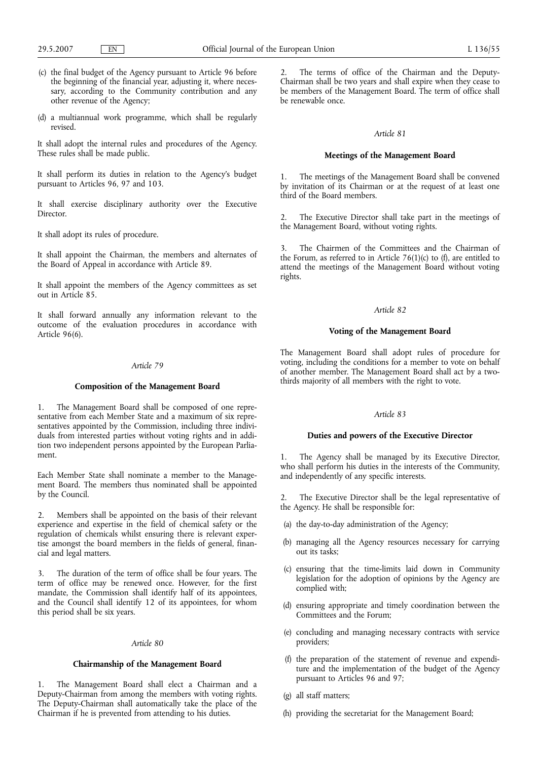- (c) the final budget of the Agency pursuant to Article 96 before the beginning of the financial year, adjusting it, where necessary, according to the Community contribution and any other revenue of the Agency;
- (d) a multiannual work programme, which shall be regularly revised.

It shall adopt the internal rules and procedures of the Agency. These rules shall be made public.

It shall perform its duties in relation to the Agency's budget pursuant to Articles 96, 97 and 103.

It shall exercise disciplinary authority over the Executive Director.

It shall adopt its rules of procedure.

It shall appoint the Chairman, the members and alternates of the Board of Appeal in accordance with Article 89.

It shall appoint the members of the Agency committees as set out in Article 85.

It shall forward annually any information relevant to the outcome of the evaluation procedures in accordance with Article 96(6).

# *Article 79*

# **Composition of the Management Board**

1. The Management Board shall be composed of one representative from each Member State and a maximum of six representatives appointed by the Commission, including three individuals from interested parties without voting rights and in addition two independent persons appointed by the European Parliament.

Each Member State shall nominate a member to the Management Board. The members thus nominated shall be appointed by the Council.

2. Members shall be appointed on the basis of their relevant experience and expertise in the field of chemical safety or the regulation of chemicals whilst ensuring there is relevant expertise amongst the board members in the fields of general, financial and legal matters.

3. The duration of the term of office shall be four years. The term of office may be renewed once. However, for the first mandate, the Commission shall identify half of its appointees, and the Council shall identify 12 of its appointees, for whom this period shall be six years.

#### *Article 80*

# **Chairmanship of the Management Board**

1. The Management Board shall elect a Chairman and a Deputy-Chairman from among the members with voting rights. The Deputy-Chairman shall automatically take the place of the Chairman if he is prevented from attending to his duties.

2. The terms of office of the Chairman and the Deputy-Chairman shall be two years and shall expire when they cease to be members of the Management Board. The term of office shall be renewable once.

## *Article 81*

## **Meetings of the Management Board**

1. The meetings of the Management Board shall be convened by invitation of its Chairman or at the request of at least one third of the Board members.

2. The Executive Director shall take part in the meetings of the Management Board, without voting rights.

3. The Chairmen of the Committees and the Chairman of the Forum, as referred to in Article  $76(1)(c)$  to (f), are entitled to attend the meetings of the Management Board without voting rights.

### *Article 82*

## **Voting of the Management Board**

The Management Board shall adopt rules of procedure for voting, including the conditions for a member to vote on behalf of another member. The Management Board shall act by a twothirds majority of all members with the right to vote.

## *Article 83*

## **Duties and powers of the Executive Director**

1. The Agency shall be managed by its Executive Director, who shall perform his duties in the interests of the Community, and independently of any specific interests.

2. The Executive Director shall be the legal representative of the Agency. He shall be responsible for:

- (a) the day-to-day administration of the Agency;
- (b) managing all the Agency resources necessary for carrying out its tasks;
- (c) ensuring that the time-limits laid down in Community legislation for the adoption of opinions by the Agency are complied with;
- (d) ensuring appropriate and timely coordination between the Committees and the Forum;
- (e) concluding and managing necessary contracts with service providers;
- (f) the preparation of the statement of revenue and expenditure and the implementation of the budget of the Agency pursuant to Articles 96 and 97;
- (g) all staff matters;
- (h) providing the secretariat for the Management Board;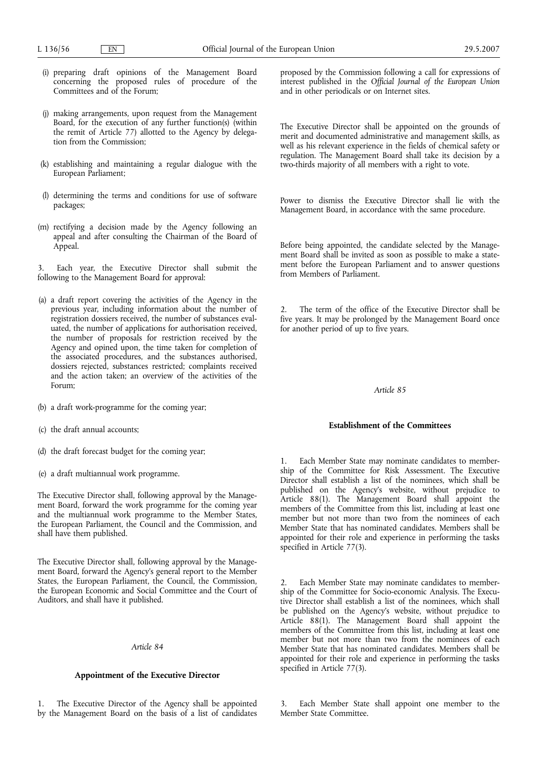- (i) preparing draft opinions of the Management Board concerning the proposed rules of procedure of the Committees and of the Forum;
- (j) making arrangements, upon request from the Management Board, for the execution of any further function(s) (within the remit of Article 77) allotted to the Agency by delegation from the Commission;
- (k) establishing and maintaining a regular dialogue with the European Parliament;
- (l) determining the terms and conditions for use of software packages;
- (m) rectifying a decision made by the Agency following an appeal and after consulting the Chairman of the Board of Appeal.

Each year, the Executive Director shall submit the following to the Management Board for approval:

- (a) a draft report covering the activities of the Agency in the previous year, including information about the number of registration dossiers received, the number of substances evaluated, the number of applications for authorisation received, the number of proposals for restriction received by the Agency and opined upon, the time taken for completion of the associated procedures, and the substances authorised, dossiers rejected, substances restricted; complaints received and the action taken; an overview of the activities of the Forum;
- (b) a draft work-programme for the coming year;
- (c) the draft annual accounts;
- (d) the draft forecast budget for the coming year;
- (e) a draft multiannual work programme.

The Executive Director shall, following approval by the Management Board, forward the work programme for the coming year and the multiannual work programme to the Member States, the European Parliament, the Council and the Commission, and shall have them published.

The Executive Director shall, following approval by the Management Board, forward the Agency's general report to the Member States, the European Parliament, the Council, the Commission, the European Economic and Social Committee and the Court of Auditors, and shall have it published.

# *Article 84*

# **Appointment of the Executive Director**

The Executive Director of the Agency shall be appointed by the Management Board on the basis of a list of candidates proposed by the Commission following a call for expressions of interest published in the *Official Journal of the European Union* and in other periodicals or on Internet sites.

The Executive Director shall be appointed on the grounds of merit and documented administrative and management skills, as well as his relevant experience in the fields of chemical safety or regulation. The Management Board shall take its decision by a two-thirds majority of all members with a right to vote.

Power to dismiss the Executive Director shall lie with the Management Board, in accordance with the same procedure.

Before being appointed, the candidate selected by the Management Board shall be invited as soon as possible to make a statement before the European Parliament and to answer questions from Members of Parliament.

2. The term of the office of the Executive Director shall be five years. It may be prolonged by the Management Board once for another period of up to five years.

# *Article 85*

#### **Establishment of the Committees**

1. Each Member State may nominate candidates to membership of the Committee for Risk Assessment. The Executive Director shall establish a list of the nominees, which shall be published on the Agency's website, without prejudice to Article 88(1). The Management Board shall appoint the members of the Committee from this list, including at least one member but not more than two from the nominees of each Member State that has nominated candidates. Members shall be appointed for their role and experience in performing the tasks specified in Article 77(3).

Each Member State may nominate candidates to membership of the Committee for Socio-economic Analysis. The Executive Director shall establish a list of the nominees, which shall be published on the Agency's website, without prejudice to Article 88(1). The Management Board shall appoint the members of the Committee from this list, including at least one member but not more than two from the nominees of each Member State that has nominated candidates. Members shall be appointed for their role and experience in performing the tasks specified in Article 77(3).

Each Member State shall appoint one member to the Member State Committee.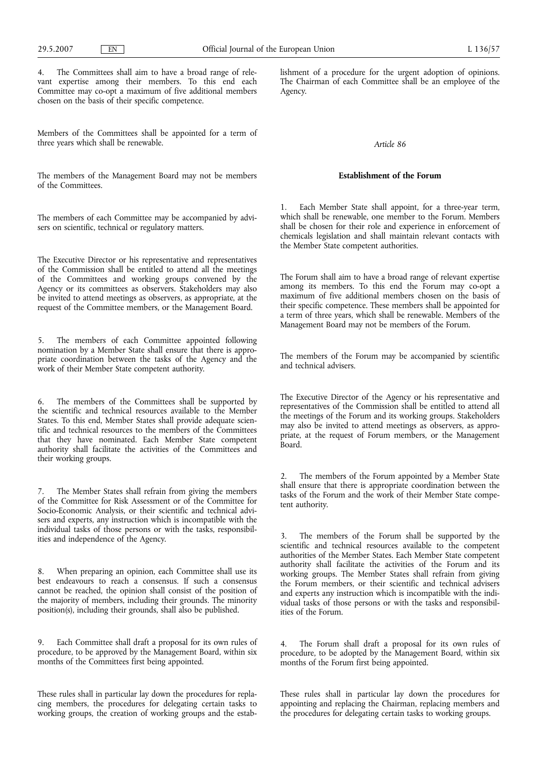4. The Committees shall aim to have a broad range of relevant expertise among their members. To this end each Committee may co-opt a maximum of five additional members chosen on the basis of their specific competence.

Members of the Committees shall be appointed for a term of three years which shall be renewable.

The members of the Management Board may not be members of the Committees.

The members of each Committee may be accompanied by advisers on scientific, technical or regulatory matters.

The Executive Director or his representative and representatives of the Commission shall be entitled to attend all the meetings of the Committees and working groups convened by the Agency or its committees as observers. Stakeholders may also be invited to attend meetings as observers, as appropriate, at the request of the Committee members, or the Management Board.

5. The members of each Committee appointed following nomination by a Member State shall ensure that there is appropriate coordination between the tasks of the Agency and the work of their Member State competent authority.

6. The members of the Committees shall be supported by the scientific and technical resources available to the Member States. To this end, Member States shall provide adequate scientific and technical resources to the members of the Committees that they have nominated. Each Member State competent authority shall facilitate the activities of the Committees and their working groups.

7. The Member States shall refrain from giving the members of the Committee for Risk Assessment or of the Committee for Socio-Economic Analysis, or their scientific and technical advisers and experts, any instruction which is incompatible with the individual tasks of those persons or with the tasks, responsibilities and independence of the Agency.

8. When preparing an opinion, each Committee shall use its best endeavours to reach a consensus. If such a consensus cannot be reached, the opinion shall consist of the position of the majority of members, including their grounds. The minority position(s), including their grounds, shall also be published.

9. Each Committee shall draft a proposal for its own rules of procedure, to be approved by the Management Board, within six months of the Committees first being appointed.

These rules shall in particular lay down the procedures for replacing members, the procedures for delegating certain tasks to working groups, the creation of working groups and the establishment of a procedure for the urgent adoption of opinions. The Chairman of each Committee shall be an employee of the Agency.

# *Article 86*

# **Establishment of the Forum**

1. Each Member State shall appoint, for a three-year term, which shall be renewable, one member to the Forum. Members shall be chosen for their role and experience in enforcement of chemicals legislation and shall maintain relevant contacts with the Member State competent authorities.

The Forum shall aim to have a broad range of relevant expertise among its members. To this end the Forum may co-opt a maximum of five additional members chosen on the basis of their specific competence. These members shall be appointed for a term of three years, which shall be renewable. Members of the Management Board may not be members of the Forum.

The members of the Forum may be accompanied by scientific and technical advisers.

The Executive Director of the Agency or his representative and representatives of the Commission shall be entitled to attend all the meetings of the Forum and its working groups. Stakeholders may also be invited to attend meetings as observers, as appropriate, at the request of Forum members, or the Management Board.

2. The members of the Forum appointed by a Member State shall ensure that there is appropriate coordination between the tasks of the Forum and the work of their Member State competent authority.

3. The members of the Forum shall be supported by the scientific and technical resources available to the competent authorities of the Member States. Each Member State competent authority shall facilitate the activities of the Forum and its working groups. The Member States shall refrain from giving the Forum members, or their scientific and technical advisers and experts any instruction which is incompatible with the individual tasks of those persons or with the tasks and responsibilities of the Forum.

4. The Forum shall draft a proposal for its own rules of procedure, to be adopted by the Management Board, within six months of the Forum first being appointed.

These rules shall in particular lay down the procedures for appointing and replacing the Chairman, replacing members and the procedures for delegating certain tasks to working groups.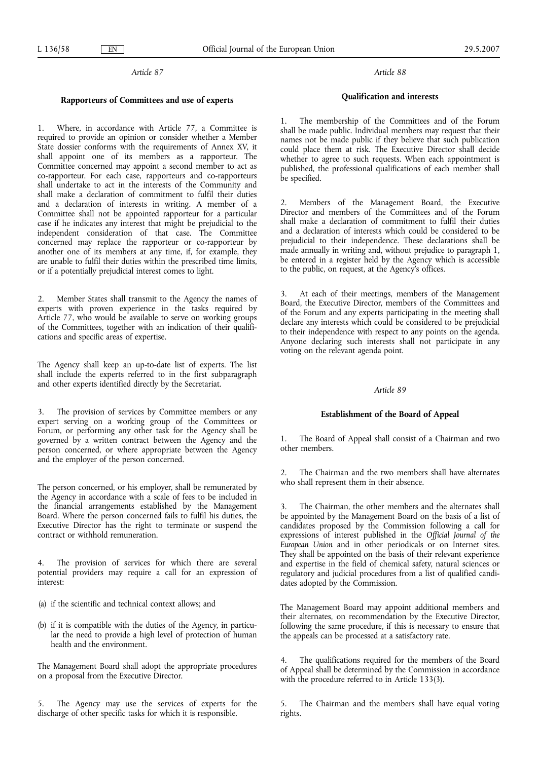## **Rapporteurs of Committees and use of experts**

1. Where, in accordance with Article 77, a Committee is required to provide an opinion or consider whether a Member State dossier conforms with the requirements of Annex XV, it shall appoint one of its members as a rapporteur. The Committee concerned may appoint a second member to act as co-rapporteur. For each case, rapporteurs and co-rapporteurs shall undertake to act in the interests of the Community and shall make a declaration of commitment to fulfil their duties and a declaration of interests in writing. A member of a Committee shall not be appointed rapporteur for a particular case if he indicates any interest that might be prejudicial to the independent consideration of that case. The Committee concerned may replace the rapporteur or co-rapporteur by another one of its members at any time, if, for example, they are unable to fulfil their duties within the prescribed time limits, or if a potentially prejudicial interest comes to light.

2. Member States shall transmit to the Agency the names of experts with proven experience in the tasks required by Article 77, who would be available to serve on working groups of the Committees, together with an indication of their qualifications and specific areas of expertise.

The Agency shall keep an up-to-date list of experts. The list shall include the experts referred to in the first subparagraph and other experts identified directly by the Secretariat.

3. The provision of services by Committee members or any expert serving on a working group of the Committees or Forum, or performing any other task for the Agency shall be governed by a written contract between the Agency and the person concerned, or where appropriate between the Agency and the employer of the person concerned.

The person concerned, or his employer, shall be remunerated by the Agency in accordance with a scale of fees to be included in the financial arrangements established by the Management Board. Where the person concerned fails to fulfil his duties, the Executive Director has the right to terminate or suspend the contract or withhold remuneration.

4. The provision of services for which there are several potential providers may require a call for an expression of interest:

(a) if the scientific and technical context allows; and

(b) if it is compatible with the duties of the Agency, in particular the need to provide a high level of protection of human health and the environment.

The Management Board shall adopt the appropriate procedures on a proposal from the Executive Director.

5. The Agency may use the services of experts for the discharge of other specific tasks for which it is responsible.

## *Article 88*

# **Qualification and interests**

The membership of the Committees and of the Forum shall be made public. Individual members may request that their names not be made public if they believe that such publication could place them at risk. The Executive Director shall decide whether to agree to such requests. When each appointment is published, the professional qualifications of each member shall be specified.

2. Members of the Management Board, the Executive Director and members of the Committees and of the Forum shall make a declaration of commitment to fulfil their duties and a declaration of interests which could be considered to be prejudicial to their independence. These declarations shall be made annually in writing and, without prejudice to paragraph 1, be entered in a register held by the Agency which is accessible to the public, on request, at the Agency's offices.

3. At each of their meetings, members of the Management Board, the Executive Director, members of the Committees and of the Forum and any experts participating in the meeting shall declare any interests which could be considered to be prejudicial to their independence with respect to any points on the agenda. Anyone declaring such interests shall not participate in any voting on the relevant agenda point.

# *Article 89*

#### **Establishment of the Board of Appeal**

1. The Board of Appeal shall consist of a Chairman and two other members.

2. The Chairman and the two members shall have alternates who shall represent them in their absence.

3. The Chairman, the other members and the alternates shall be appointed by the Management Board on the basis of a list of candidates proposed by the Commission following a call for expressions of interest published in the *Official Journal of the European Union* and in other periodicals or on Internet sites. They shall be appointed on the basis of their relevant experience and expertise in the field of chemical safety, natural sciences or regulatory and judicial procedures from a list of qualified candidates adopted by the Commission.

The Management Board may appoint additional members and their alternates, on recommendation by the Executive Director, following the same procedure, if this is necessary to ensure that the appeals can be processed at a satisfactory rate.

The qualifications required for the members of the Board of Appeal shall be determined by the Commission in accordance with the procedure referred to in Article 133(3).

5. The Chairman and the members shall have equal voting rights.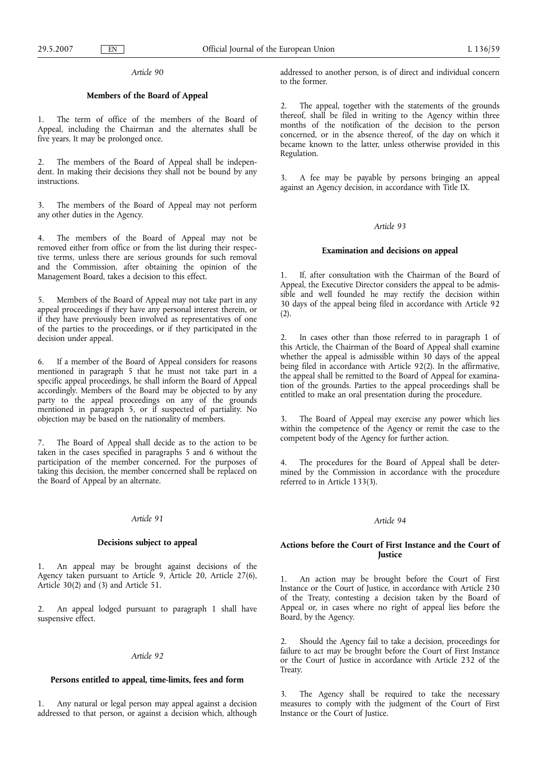# **Members of the Board of Appeal**

The term of office of the members of the Board of Appeal, including the Chairman and the alternates shall be five years. It may be prolonged once.

2. The members of the Board of Appeal shall be independent. In making their decisions they shall not be bound by any instructions.

The members of the Board of Appeal may not perform any other duties in the Agency.

4. The members of the Board of Appeal may not be removed either from office or from the list during their respective terms, unless there are serious grounds for such removal and the Commission, after obtaining the opinion of the Management Board, takes a decision to this effect.

5. Members of the Board of Appeal may not take part in any appeal proceedings if they have any personal interest therein, or if they have previously been involved as representatives of one of the parties to the proceedings, or if they participated in the decision under appeal.

6. If a member of the Board of Appeal considers for reasons mentioned in paragraph 5 that he must not take part in a specific appeal proceedings, he shall inform the Board of Appeal accordingly. Members of the Board may be objected to by any party to the appeal proceedings on any of the grounds mentioned in paragraph 5, or if suspected of partiality. No objection may be based on the nationality of members.

7. The Board of Appeal shall decide as to the action to be taken in the cases specified in paragraphs 5 and 6 without the participation of the member concerned. For the purposes of taking this decision, the member concerned shall be replaced on the Board of Appeal by an alternate.

## *Article 91*

# **Decisions subject to appeal**

1. An appeal may be brought against decisions of the Agency taken pursuant to Article 9, Article 20, Article 27(6), Article 30(2) and (3) and Article 51.

2. An appeal lodged pursuant to paragraph 1 shall have suspensive effect.

# *Article 92*

# **Persons entitled to appeal, time-limits, fees and form**

1. Any natural or legal person may appeal against a decision addressed to that person, or against a decision which, although addressed to another person, is of direct and individual concern to the former.

The appeal, together with the statements of the grounds thereof, shall be filed in writing to the Agency within three months of the notification of the decision to the person concerned, or in the absence thereof, of the day on which it became known to the latter, unless otherwise provided in this Regulation.

3. A fee may be payable by persons bringing an appeal against an Agency decision, in accordance with Title IX.

# *Article 93*

## **Examination and decisions on appeal**

1. If, after consultation with the Chairman of the Board of Appeal, the Executive Director considers the appeal to be admissible and well founded he may rectify the decision within 30 days of the appeal being filed in accordance with Article 92  $(2)$ .

2. In cases other than those referred to in paragraph 1 of this Article, the Chairman of the Board of Appeal shall examine whether the appeal is admissible within 30 days of the appeal being filed in accordance with Article 92(2). In the affirmative, the appeal shall be remitted to the Board of Appeal for examination of the grounds. Parties to the appeal proceedings shall be entitled to make an oral presentation during the procedure.

The Board of Appeal may exercise any power which lies within the competence of the Agency or remit the case to the competent body of the Agency for further action.

The procedures for the Board of Appeal shall be determined by the Commission in accordance with the procedure referred to in Article 133(3).

# *Article 94*

# **Actions before the Court of First Instance and the Court of Justice**

1. An action may be brought before the Court of First Instance or the Court of Justice, in accordance with Article 230 of the Treaty, contesting a decision taken by the Board of Appeal or, in cases where no right of appeal lies before the Board, by the Agency.

2. Should the Agency fail to take a decision, proceedings for failure to act may be brought before the Court of First Instance or the Court of Justice in accordance with Article 232 of the Treaty.

3. The Agency shall be required to take the necessary measures to comply with the judgment of the Court of First Instance or the Court of Justice.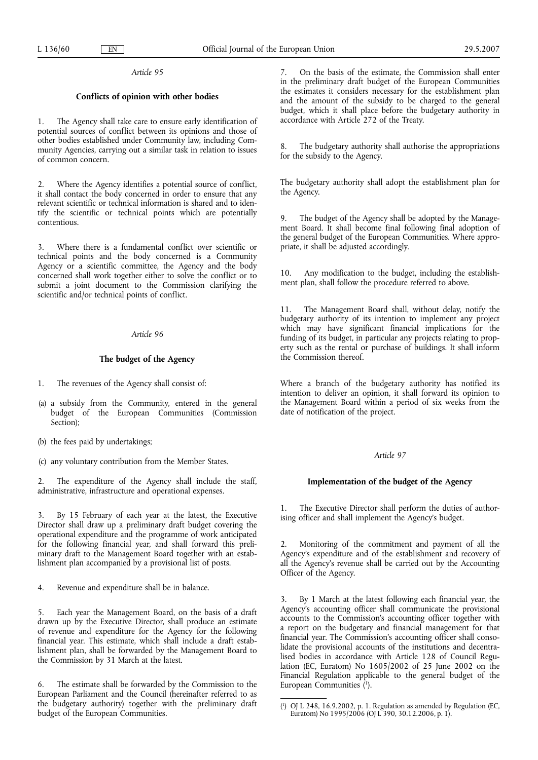# **Conflicts of opinion with other bodies**

1. The Agency shall take care to ensure early identification of potential sources of conflict between its opinions and those of other bodies established under Community law, including Community Agencies, carrying out a similar task in relation to issues of common concern.

2. Where the Agency identifies a potential source of conflict, it shall contact the body concerned in order to ensure that any relevant scientific or technical information is shared and to identify the scientific or technical points which are potentially contentious.

3. Where there is a fundamental conflict over scientific or technical points and the body concerned is a Community Agency or a scientific committee, the Agency and the body concerned shall work together either to solve the conflict or to submit a joint document to the Commission clarifying the scientific and/or technical points of conflict.

# *Article 96*

# **The budget of the Agency**

- 1. The revenues of the Agency shall consist of:
- (a) a subsidy from the Community, entered in the general budget of the European Communities (Commission Section);
- (b) the fees paid by undertakings;
- (c) any voluntary contribution from the Member States.

2. The expenditure of the Agency shall include the staff, administrative, infrastructure and operational expenses.

By 15 February of each year at the latest, the Executive Director shall draw up a preliminary draft budget covering the operational expenditure and the programme of work anticipated for the following financial year, and shall forward this preliminary draft to the Management Board together with an establishment plan accompanied by a provisional list of posts.

4. Revenue and expenditure shall be in balance.

Each year the Management Board, on the basis of a draft drawn up by the Executive Director, shall produce an estimate of revenue and expenditure for the Agency for the following financial year. This estimate, which shall include a draft establishment plan, shall be forwarded by the Management Board to the Commission by 31 March at the latest.

6. The estimate shall be forwarded by the Commission to the European Parliament and the Council (hereinafter referred to as the budgetary authority) together with the preliminary draft budget of the European Communities.

7. On the basis of the estimate, the Commission shall enter in the preliminary draft budget of the European Communities the estimates it considers necessary for the establishment plan and the amount of the subsidy to be charged to the general budget, which it shall place before the budgetary authority in accordance with Article 272 of the Treaty.

The budgetary authority shall authorise the appropriations for the subsidy to the Agency.

The budgetary authority shall adopt the establishment plan for the Agency.

9. The budget of the Agency shall be adopted by the Management Board. It shall become final following final adoption of the general budget of the European Communities. Where appropriate, it shall be adjusted accordingly.

10. Any modification to the budget, including the establishment plan, shall follow the procedure referred to above.

11. The Management Board shall, without delay, notify the budgetary authority of its intention to implement any project which may have significant financial implications for the funding of its budget, in particular any projects relating to property such as the rental or purchase of buildings. It shall inform the Commission thereof.

Where a branch of the budgetary authority has notified its intention to deliver an opinion, it shall forward its opinion to the Management Board within a period of six weeks from the date of notification of the project.

## *Article 97*

# **Implementation of the budget of the Agency**

1. The Executive Director shall perform the duties of authorising officer and shall implement the Agency's budget.

2. Monitoring of the commitment and payment of all the Agency's expenditure and of the establishment and recovery of all the Agency's revenue shall be carried out by the Accounting Officer of the Agency.

3. By 1 March at the latest following each financial year, the Agency's accounting officer shall communicate the provisional accounts to the Commission's accounting officer together with a report on the budgetary and financial management for that financial year. The Commission's accounting officer shall consolidate the provisional accounts of the institutions and decentralised bodies in accordance with Article 128 of Council Regulation (EC, Euratom) No 1605/2002 of 25 June 2002 on the Financial Regulation applicable to the general budget of the European Communities (1).

<sup>(</sup> 1 ) OJ L 248, 16.9.2002, p. 1. Regulation as amended by Regulation (EC, Euratom) No 1995/2006 (OJ L 390, 30.12.2006, p. 1).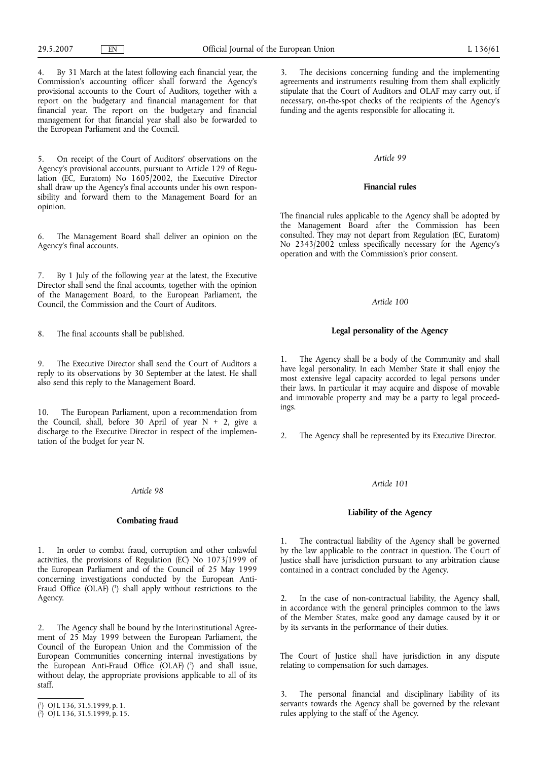4. By 31 March at the latest following each financial year, the Commission's accounting officer shall forward the Agency's provisional accounts to the Court of Auditors, together with a report on the budgetary and financial management for that financial year. The report on the budgetary and financial management for that financial year shall also be forwarded to the European Parliament and the Council.

5. On receipt of the Court of Auditors' observations on the Agency's provisional accounts, pursuant to Article 129 of Regulation (EC, Euratom) No 1605/2002, the Executive Director shall draw up the Agency's final accounts under his own responsibility and forward them to the Management Board for an opinion.

6. The Management Board shall deliver an opinion on the Agency's final accounts.

By 1 July of the following year at the latest, the Executive Director shall send the final accounts, together with the opinion of the Management Board, to the European Parliament, the Council, the Commission and the Court of Auditors.

8. The final accounts shall be published.

9. The Executive Director shall send the Court of Auditors a reply to its observations by 30 September at the latest. He shall also send this reply to the Management Board.

10. The European Parliament, upon a recommendation from the Council, shall, before 30 April of year  $N + 2$ , give a discharge to the Executive Director in respect of the implementation of the budget for year N.

### *Article 98*

# **Combating fraud**

1. In order to combat fraud, corruption and other unlawful activities, the provisions of Regulation (EC) No 1073/1999 of the European Parliament and of the Council of 25 May 1999 concerning investigations conducted by the European Anti-Fraud Office (OLAF) (1 ) shall apply without restrictions to the Agency.

2. The Agency shall be bound by the Interinstitutional Agreement of 25 May 1999 between the European Parliament, the Council of the European Union and the Commission of the European Communities concerning internal investigations by the European Anti-Fraud Office (OLAF) (2 ) and shall issue, without delay, the appropriate provisions applicable to all of its staff.

3. The decisions concerning funding and the implementing agreements and instruments resulting from them shall explicitly stipulate that the Court of Auditors and OLAF may carry out, if necessary, on-the-spot checks of the recipients of the Agency's funding and the agents responsible for allocating it.

#### *Article 99*

### **Financial rules**

The financial rules applicable to the Agency shall be adopted by the Management Board after the Commission has been consulted. They may not depart from Regulation (EC, Euratom) No 2343/2002 unless specifically necessary for the Agency's operation and with the Commission's prior consent.

# *Article 100*

## **Legal personality of the Agency**

The Agency shall be a body of the Community and shall have legal personality. In each Member State it shall enjoy the most extensive legal capacity accorded to legal persons under their laws. In particular it may acquire and dispose of movable and immovable property and may be a party to legal proceedings.

2. The Agency shall be represented by its Executive Director.

#### *Article 101*

# **Liability of the Agency**

The contractual liability of the Agency shall be governed by the law applicable to the contract in question. The Court of Justice shall have jurisdiction pursuant to any arbitration clause contained in a contract concluded by the Agency.

2. In the case of non-contractual liability, the Agency shall, in accordance with the general principles common to the laws of the Member States, make good any damage caused by it or by its servants in the performance of their duties.

The Court of Justice shall have jurisdiction in any dispute relating to compensation for such damages.

3. The personal financial and disciplinary liability of its servants towards the Agency shall be governed by the relevant rules applying to the staff of the Agency.

<sup>(</sup> 1 ) OJ L 136, 31.5.1999, p. 1.

<sup>(</sup> 2 ) OJ L 136, 31.5.1999, p. 15.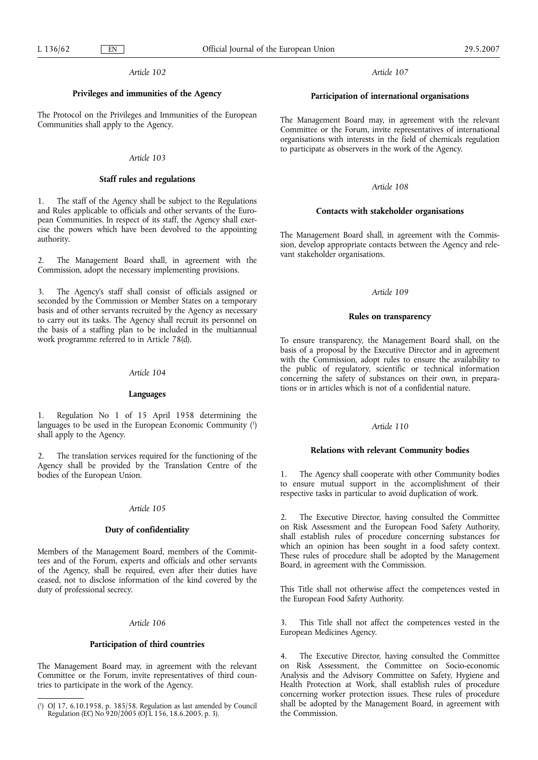# **Privileges and immunities of the Agency**

The Protocol on the Privileges and Immunities of the European Communities shall apply to the Agency.

#### *Article 103*

#### **Staff rules and regulations**

1. The staff of the Agency shall be subject to the Regulations and Rules applicable to officials and other servants of the European Communities. In respect of its staff, the Agency shall exercise the powers which have been devolved to the appointing authority.

2. The Management Board shall, in agreement with the Commission, adopt the necessary implementing provisions.

3. The Agency's staff shall consist of officials assigned or seconded by the Commission or Member States on a temporary basis and of other servants recruited by the Agency as necessary to carry out its tasks. The Agency shall recruit its personnel on the basis of a staffing plan to be included in the multiannual work programme referred to in Article 78(d).

## *Article 104*

#### **Languages**

1. Regulation No 1 of 15 April 1958 determining the languages to be used in the European Economic Community (1) shall apply to the Agency.

2. The translation services required for the functioning of the Agency shall be provided by the Translation Centre of the bodies of the European Union.

#### *Article 105*

#### **Duty of confidentiality**

Members of the Management Board, members of the Committees and of the Forum, experts and officials and other servants of the Agency, shall be required, even after their duties have ceased, not to disclose information of the kind covered by the duty of professional secrecy.

### *Article 106*

# **Participation of third countries**

The Management Board may, in agreement with the relevant Committee or the Forum, invite representatives of third countries to participate in the work of the Agency.

*Article 107*

# **Participation of international organisations**

The Management Board may, in agreement with the relevant Committee or the Forum, invite representatives of international organisations with interests in the field of chemicals regulation to participate as observers in the work of the Agency.

# *Article 108*

# **Contacts with stakeholder organisations**

The Management Board shall, in agreement with the Commission, develop appropriate contacts between the Agency and relevant stakeholder organisations.

# *Article 109*

#### **Rules on transparency**

To ensure transparency, the Management Board shall, on the basis of a proposal by the Executive Director and in agreement with the Commission, adopt rules to ensure the availability to the public of regulatory, scientific or technical information concerning the safety of substances on their own, in preparations or in articles which is not of a confidential nature.

# *Article 110*

### **Relations with relevant Community bodies**

1. The Agency shall cooperate with other Community bodies to ensure mutual support in the accomplishment of their respective tasks in particular to avoid duplication of work.

2. The Executive Director, having consulted the Committee on Risk Assessment and the European Food Safety Authority, shall establish rules of procedure concerning substances for which an opinion has been sought in a food safety context. These rules of procedure shall be adopted by the Management Board, in agreement with the Commission.

This Title shall not otherwise affect the competences vested in the European Food Safety Authority.

This Title shall not affect the competences vested in the European Medicines Agency.

4. The Executive Director, having consulted the Committee on Risk Assessment, the Committee on Socio-economic Analysis and the Advisory Committee on Safety, Hygiene and Health Protection at Work, shall establish rules of procedure concerning worker protection issues. These rules of procedure shall be adopted by the Management Board, in agreement with the Commission.

<sup>(</sup> 1 ) OJ 17, 6.10.1958, p. 385/58. Regulation as last amended by Council Regulation (EC) No 920/2005 (OJ L 156, 18.6.2005, p. 3).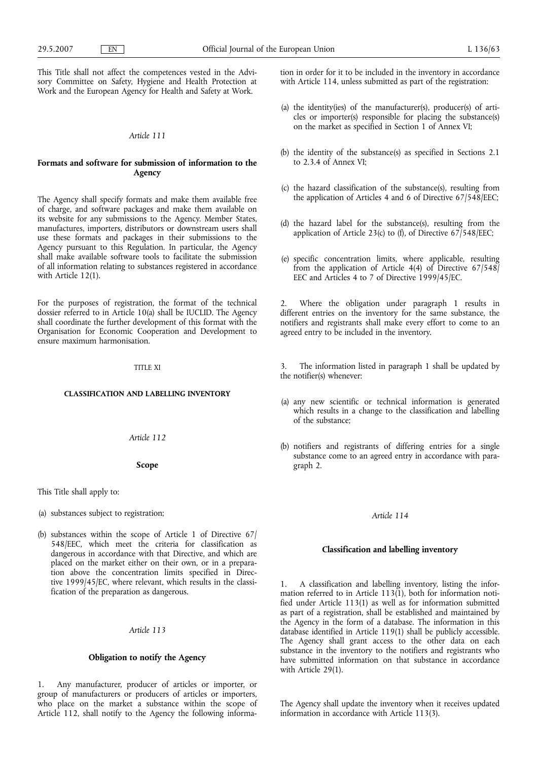This Title shall not affect the competences vested in the Advisory Committee on Safety, Hygiene and Health Protection at Work and the European Agency for Health and Safety at Work.

# *Article 111*

# **Formats and software for submission of information to the Agency**

The Agency shall specify formats and make them available free of charge, and software packages and make them available on its website for any submissions to the Agency. Member States, manufactures, importers, distributors or downstream users shall use these formats and packages in their submissions to the Agency pursuant to this Regulation. In particular, the Agency shall make available software tools to facilitate the submission of all information relating to substances registered in accordance with Article 12(1).

For the purposes of registration, the format of the technical dossier referred to in Article 10(a) shall be IUCLID. The Agency shall coordinate the further development of this format with the Organisation for Economic Cooperation and Development to ensure maximum harmonisation.

#### TITLE XI

#### **CLASSIFICATION AND LABELLING INVENTORY**

*Article 112*

#### **Scope**

This Title shall apply to:

(a) substances subject to registration;

(b) substances within the scope of Article 1 of Directive 67/ 548/EEC, which meet the criteria for classification as dangerous in accordance with that Directive, and which are placed on the market either on their own, or in a preparation above the concentration limits specified in Directive 1999/45/EC, where relevant, which results in the classification of the preparation as dangerous.

# *Article 113*

# **Obligation to notify the Agency**

1. Any manufacturer, producer of articles or importer, or group of manufacturers or producers of articles or importers, who place on the market a substance within the scope of Article 112, shall notify to the Agency the following information in order for it to be included in the inventory in accordance with Article 114, unless submitted as part of the registration:

- (a) the identity(ies) of the manufacturer(s), producer(s) of articles or importer(s) responsible for placing the substance(s) on the market as specified in Section 1 of Annex VI;
- (b) the identity of the substance(s) as specified in Sections 2.1 to 2.3.4 of Annex VI;
- (c) the hazard classification of the substance(s), resulting from the application of Articles 4 and 6 of Directive 67/548/EEC;
- (d) the hazard label for the substance(s), resulting from the application of Article 23(c) to (f), of Directive  $67/548/EEC$ ;
- (e) specific concentration limits, where applicable, resulting from the application of Article 4(4) of Directive  $67/548$ EEC and Articles 4 to 7 of Directive 1999/45/EC.

Where the obligation under paragraph 1 results in different entries on the inventory for the same substance, the notifiers and registrants shall make every effort to come to an agreed entry to be included in the inventory.

3. The information listed in paragraph 1 shall be updated by the notifier(s) whenever:

- (a) any new scientific or technical information is generated which results in a change to the classification and labelling of the substance;
- (b) notifiers and registrants of differing entries for a single substance come to an agreed entry in accordance with paragraph 2.

#### *Article 114*

# **Classification and labelling inventory**

1. A classification and labelling inventory, listing the information referred to in Article 113(1), both for information notified under Article 113(1) as well as for information submitted as part of a registration, shall be established and maintained by the Agency in the form of a database. The information in this database identified in Article 119(1) shall be publicly accessible. The Agency shall grant access to the other data on each substance in the inventory to the notifiers and registrants who have submitted information on that substance in accordance with Article 29(1).

The Agency shall update the inventory when it receives updated information in accordance with Article 113(3).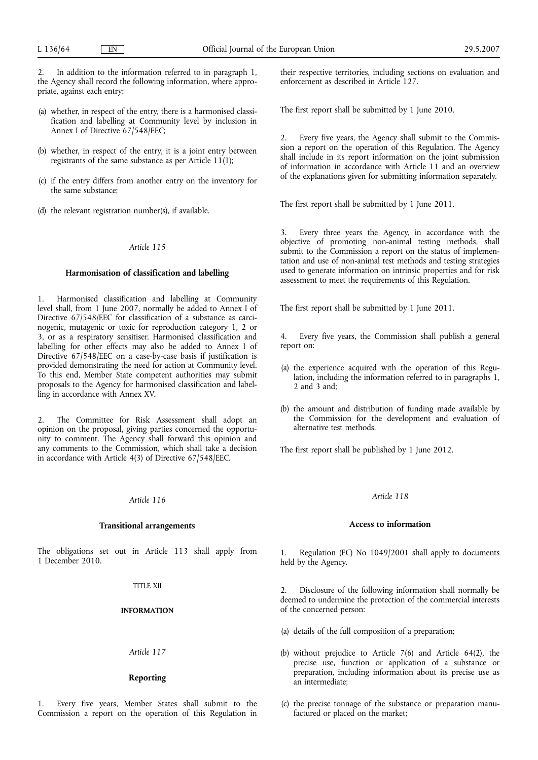2. In addition to the information referred to in paragraph 1, the Agency shall record the following information, where appropriate, against each entry:

- (a) whether, in respect of the entry, there is a harmonised classification and labelling at Community level by inclusion in Annex I of Directive 67/548/EEC;
- (b) whether, in respect of the entry, it is a joint entry between registrants of the same substance as per Article 11(1);
- (c) if the entry differs from another entry on the inventory for the same substance;
- (d) the relevant registration number(s), if available.

## *Article 115*

## **Harmonisation of classification and labelling**

1. Harmonised classification and labelling at Community level shall, from 1 June 2007, normally be added to Annex I of Directive 67/548/EEC for classification of a substance as carcinogenic, mutagenic or toxic for reproduction category 1, 2 or 3, or as a respiratory sensitiser. Harmonised classification and labelling for other effects may also be added to Annex I of Directive 67/548/EEC on a case-by-case basis if justification is provided demonstrating the need for action at Community level. To this end, Member State competent authorities may submit proposals to the Agency for harmonised classification and labelling in accordance with Annex XV.

2. The Committee for Risk Assessment shall adopt an opinion on the proposal, giving parties concerned the opportunity to comment. The Agency shall forward this opinion and any comments to the Commission, which shall take a decision in accordance with Article 4(3) of Directive 67/548/EEC.

## *Article 116*

#### **Transitional arrangements**

The obligations set out in Article 113 shall apply from 1 December 2010.

## TITLE XII

# **INFORMATION**

## *Article 117*

# **Reporting**

Every five years, Member States shall submit to the Commission a report on the operation of this Regulation in their respective territories, including sections on evaluation and enforcement as described in Article 127.

The first report shall be submitted by 1 June 2010.

2. Every five years, the Agency shall submit to the Commission a report on the operation of this Regulation. The Agency shall include in its report information on the joint submission of information in accordance with Article 11 and an overview of the explanations given for submitting information separately.

The first report shall be submitted by 1 June 2011.

3. Every three years the Agency, in accordance with the objective of promoting non-animal testing methods, shall submit to the Commission a report on the status of implementation and use of non-animal test methods and testing strategies used to generate information on intrinsic properties and for risk assessment to meet the requirements of this Regulation.

The first report shall be submitted by 1 June 2011.

4. Every five years, the Commission shall publish a general report on:

- (a) the experience acquired with the operation of this Regulation, including the information referred to in paragraphs 1, 2 and 3 and;
- (b) the amount and distribution of funding made available by the Commission for the development and evaluation of alternative test methods.

The first report shall be published by 1 June 2012.

# *Article 118*

## **Access to information**

1. Regulation (EC) No 1049/2001 shall apply to documents held by the Agency.

Disclosure of the following information shall normally be deemed to undermine the protection of the commercial interests of the concerned person:

- (a) details of the full composition of a preparation;
- (b) without prejudice to Article 7(6) and Article 64(2), the precise use, function or application of a substance or preparation, including information about its precise use as an intermediate;
- (c) the precise tonnage of the substance or preparation manufactured or placed on the market;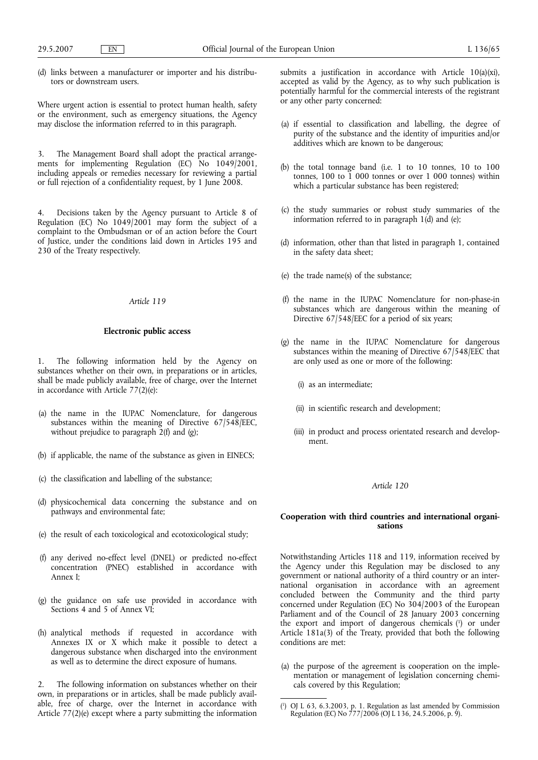(d) links between a manufacturer or importer and his distributors or downstream users.

Where urgent action is essential to protect human health, safety or the environment, such as emergency situations, the Agency may disclose the information referred to in this paragraph.

3. The Management Board shall adopt the practical arrangements for implementing Regulation (EC) No 1049/2001, including appeals or remedies necessary for reviewing a partial or full rejection of a confidentiality request, by 1 June 2008.

4. Decisions taken by the Agency pursuant to Article 8 of Regulation (EC) No 1049/2001 may form the subject of a complaint to the Ombudsman or of an action before the Court of Justice, under the conditions laid down in Articles 195 and 230 of the Treaty respectively.

# *Article 119*

### **Electronic public access**

1. The following information held by the Agency on substances whether on their own, in preparations or in articles, shall be made publicly available, free of charge, over the Internet in accordance with Article 77(2)(e):

- (a) the name in the IUPAC Nomenclature, for dangerous substances within the meaning of Directive 67/548/EEC, without prejudice to paragraph 2(f) and (g);
- (b) if applicable, the name of the substance as given in EINECS;
- (c) the classification and labelling of the substance;
- (d) physicochemical data concerning the substance and on pathways and environmental fate;
- (e) the result of each toxicological and ecotoxicological study;
- (f) any derived no-effect level (DNEL) or predicted no-effect concentration (PNEC) established in accordance with Annex I;
- (g) the guidance on safe use provided in accordance with Sections 4 and 5 of Annex VI;
- (h) analytical methods if requested in accordance with Annexes IX or X which make it possible to detect a dangerous substance when discharged into the environment as well as to determine the direct exposure of humans.

2. The following information on substances whether on their own, in preparations or in articles, shall be made publicly available, free of charge, over the Internet in accordance with Article 77(2)(e) except where a party submitting the information submits a justification in accordance with Article 10(a)(xi), accepted as valid by the Agency, as to why such publication is potentially harmful for the commercial interests of the registrant or any other party concerned:

- (a) if essential to classification and labelling, the degree of purity of the substance and the identity of impurities and/or additives which are known to be dangerous;
- (b) the total tonnage band (i.e. 1 to 10 tonnes, 10 to 100 tonnes, 100 to 1 000 tonnes or over 1 000 tonnes) within which a particular substance has been registered;
- (c) the study summaries or robust study summaries of the information referred to in paragraph 1(d) and (e);
- (d) information, other than that listed in paragraph 1, contained in the safety data sheet;
- (e) the trade name(s) of the substance;
- (f) the name in the IUPAC Nomenclature for non-phase-in substances which are dangerous within the meaning of Directive 67/548/EEC for a period of six years;
- (g) the name in the IUPAC Nomenclature for dangerous substances within the meaning of Directive 67/548/EEC that are only used as one or more of the following:
	- (i) as an intermediate;
	- (ii) in scientific research and development;
	- (iii) in product and process orientated research and development.

#### *Article 120*

# **Cooperation with third countries and international organisations**

Notwithstanding Articles 118 and 119, information received by the Agency under this Regulation may be disclosed to any government or national authority of a third country or an international organisation in accordance with an agreement concluded between the Community and the third party concerned under Regulation (EC) No 304/2003 of the European Parliament and of the Council of 28 January 2003 concerning the export and import of dangerous chemicals (1) or under Article 181a(3) of the Treaty, provided that both the following conditions are met:

(a) the purpose of the agreement is cooperation on the implementation or management of legislation concerning chemicals covered by this Regulation;

<sup>(</sup> 1 ) OJ L 63, 6.3.2003, p. 1. Regulation as last amended by Commission Regulation (EC) No 777/2006 (OJ L 136, 24.5.2006, p. 9).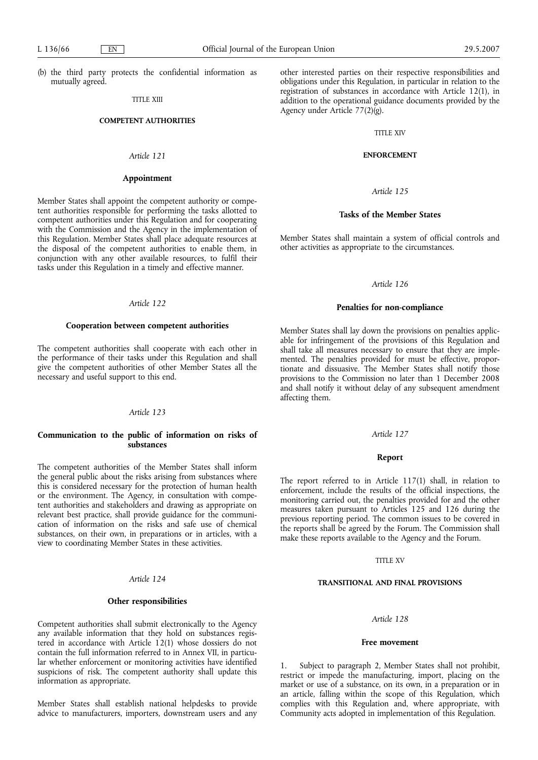(b) the third party protects the confidential information as mutually agreed.

# TITLE XIII

#### **COMPETENT AUTHORITIES**

# *Article 121*

### **Appointment**

Member States shall appoint the competent authority or competent authorities responsible for performing the tasks allotted to competent authorities under this Regulation and for cooperating with the Commission and the Agency in the implementation of this Regulation. Member States shall place adequate resources at the disposal of the competent authorities to enable them, in conjunction with any other available resources, to fulfil their tasks under this Regulation in a timely and effective manner.

# *Article 122*

#### **Cooperation between competent authorities**

The competent authorities shall cooperate with each other in the performance of their tasks under this Regulation and shall give the competent authorities of other Member States all the necessary and useful support to this end.

# *Article 123*

# **Communication to the public of information on risks of substances**

The competent authorities of the Member States shall inform the general public about the risks arising from substances where this is considered necessary for the protection of human health or the environment. The Agency, in consultation with competent authorities and stakeholders and drawing as appropriate on relevant best practice, shall provide guidance for the communication of information on the risks and safe use of chemical substances, on their own, in preparations or in articles, with a view to coordinating Member States in these activities.

#### *Article 124*

## **Other responsibilities**

Competent authorities shall submit electronically to the Agency any available information that they hold on substances registered in accordance with Article 12(1) whose dossiers do not contain the full information referred to in Annex VII, in particular whether enforcement or monitoring activities have identified suspicions of risk. The competent authority shall update this information as appropriate.

Member States shall establish national helpdesks to provide advice to manufacturers, importers, downstream users and any other interested parties on their respective responsibilities and obligations under this Regulation, in particular in relation to the registration of substances in accordance with Article 12(1), in addition to the operational guidance documents provided by the Agency under Article 77(2)(g).

# TITLE XIV

# **ENFORCEMENT**

### *Article 125*

# **Tasks of the Member States**

Member States shall maintain a system of official controls and other activities as appropriate to the circumstances.

## *Article 126*

## **Penalties for non-compliance**

Member States shall lay down the provisions on penalties applicable for infringement of the provisions of this Regulation and shall take all measures necessary to ensure that they are implemented. The penalties provided for must be effective, proportionate and dissuasive. The Member States shall notify those provisions to the Commission no later than 1 December 2008 and shall notify it without delay of any subsequent amendment affecting them.

### *Article 127*

## **Report**

The report referred to in Article 117(1) shall, in relation to enforcement, include the results of the official inspections, the monitoring carried out, the penalties provided for and the other measures taken pursuant to Articles 125 and 126 during the previous reporting period. The common issues to be covered in the reports shall be agreed by the Forum. The Commission shall make these reports available to the Agency and the Forum.

### TITLE XV

## **TRANSITIONAL AND FINAL PROVISIONS**

### *Article 128*

### **Free movement**

Subject to paragraph 2, Member States shall not prohibit, restrict or impede the manufacturing, import, placing on the market or use of a substance, on its own, in a preparation or in an article, falling within the scope of this Regulation, which complies with this Regulation and, where appropriate, with Community acts adopted in implementation of this Regulation.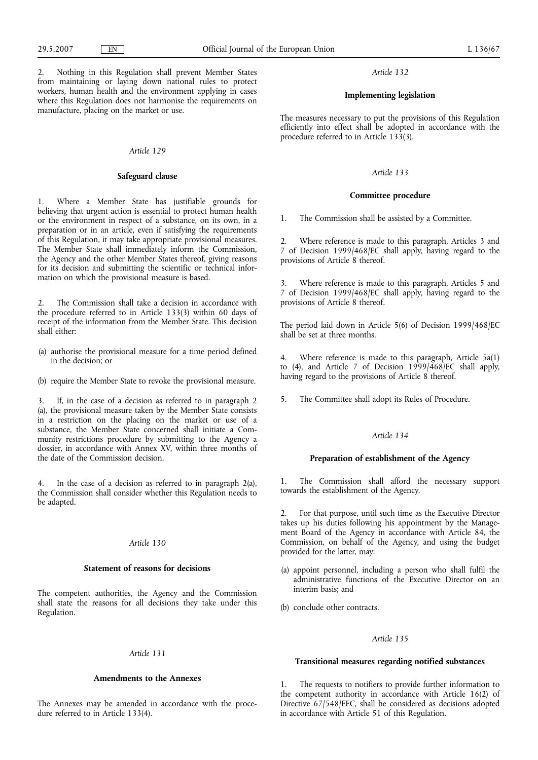2. Nothing in this Regulation shall prevent Member States from maintaining or laying down national rules to protect workers, human health and the environment applying in cases where this Regulation does not harmonise the requirements on manufacture, placing on the market or use.

#### *Article 129*

## **Safeguard clause**

Where a Member State has justifiable grounds for believing that urgent action is essential to protect human health or the environment in respect of a substance, on its own, in a preparation or in an article, even if satisfying the requirements of this Regulation, it may take appropriate provisional measures. The Member State shall immediately inform the Commission, the Agency and the other Member States thereof, giving reasons for its decision and submitting the scientific or technical information on which the provisional measure is based.

2. The Commission shall take a decision in accordance with the procedure referred to in Article 133(3) within 60 days of receipt of the information from the Member State. This decision shall either:

- (a) authorise the provisional measure for a time period defined in the decision; or
- (b) require the Member State to revoke the provisional measure.

3. If, in the case of a decision as referred to in paragraph 2 (a), the provisional measure taken by the Member State consists in a restriction on the placing on the market or use of a substance, the Member State concerned shall initiate a Community restrictions procedure by submitting to the Agency a dossier, in accordance with Annex XV, within three months of the date of the Commission decision.

4. In the case of a decision as referred to in paragraph 2(a), the Commission shall consider whether this Regulation needs to be adapted.

# *Article 130*

# **Statement of reasons for decisions**

The competent authorities, the Agency and the Commission shall state the reasons for all decisions they take under this Regulation.

#### *Article 131*

# **Amendments to the Annexes**

The Annexes may be amended in accordance with the procedure referred to in Article 133(4).

#### *Article 132*

## **Implementing legislation**

The measures necessary to put the provisions of this Regulation efficiently into effect shall be adopted in accordance with the procedure referred to in Article 133(3).

# *Article 133*

## **Committee procedure**

1. The Commission shall be assisted by a Committee.

2. Where reference is made to this paragraph, Articles 3 and 7 of Decision 1999/468/EC shall apply, having regard to the provisions of Article 8 thereof.

Where reference is made to this paragraph, Articles 5 and 7 of Decision 1999/468/EC shall apply, having regard to the provisions of Article 8 thereof.

The period laid down in Article 5(6) of Decision 1999/468/EC shall be set at three months.

4. Where reference is made to this paragraph, Article 5a(1) to (4), and Article 7 of Decision  $1999/468/EC$  shall apply, having regard to the provisions of Article 8 thereof.

5. The Committee shall adopt its Rules of Procedure.

#### *Article 134*

# **Preparation of establishment of the Agency**

1. The Commission shall afford the necessary support towards the establishment of the Agency.

2. For that purpose, until such time as the Executive Director takes up his duties following his appointment by the Management Board of the Agency in accordance with Article 84, the Commission, on behalf of the Agency, and using the budget provided for the latter, may:

- (a) appoint personnel, including a person who shall fulfil the administrative functions of the Executive Director on an interim basis; and
- (b) conclude other contracts.

# *Article 135*

# **Transitional measures regarding notified substances**

1. The requests to notifiers to provide further information to the competent authority in accordance with Article 16(2) of Directive 67/548/EEC, shall be considered as decisions adopted in accordance with Article 51 of this Regulation.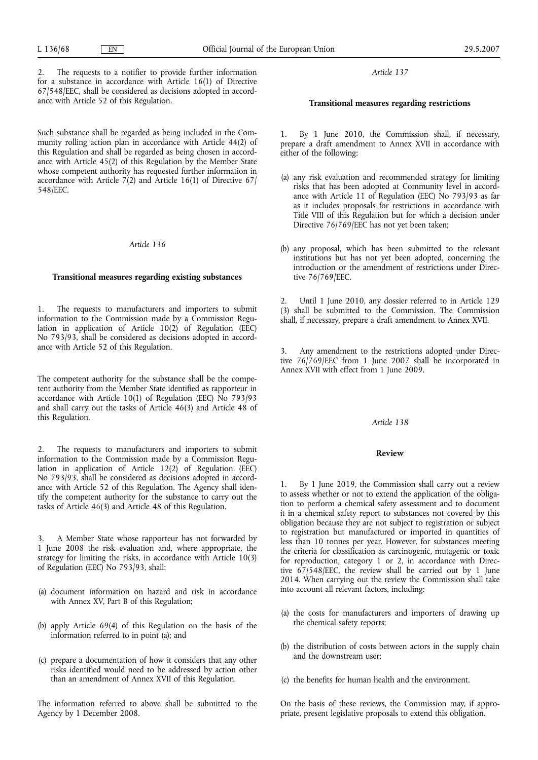2. The requests to a notifier to provide further information for a substance in accordance with Article 16(1) of Directive 67/548/EEC, shall be considered as decisions adopted in accordance with Article 52 of this Regulation.

Such substance shall be regarded as being included in the Community rolling action plan in accordance with Article 44(2) of this Regulation and shall be regarded as being chosen in accordance with Article 45(2) of this Regulation by the Member State whose competent authority has requested further information in accordance with Article 7(2) and Article 16(1) of Directive 67 548/EEC.

#### *Article 136*

## **Transitional measures regarding existing substances**

1. The requests to manufacturers and importers to submit information to the Commission made by a Commission Regulation in application of Article  $10(2)$  of Regulation (EEC) No 793/93, shall be considered as decisions adopted in accordance with Article 52 of this Regulation.

The competent authority for the substance shall be the competent authority from the Member State identified as rapporteur in accordance with Article 10(1) of Regulation (EEC) No 793/93 and shall carry out the tasks of Article 46(3) and Article 48 of this Regulation.

2. The requests to manufacturers and importers to submit information to the Commission made by a Commission Regulation in application of Article  $12(2)$  of Regulation (EEC) No 793/93, shall be considered as decisions adopted in accordance with Article 52 of this Regulation. The Agency shall identify the competent authority for the substance to carry out the tasks of Article 46(3) and Article 48 of this Regulation.

3. A Member State whose rapporteur has not forwarded by 1 June 2008 the risk evaluation and, where appropriate, the strategy for limiting the risks, in accordance with Article 10(3) of Regulation (EEC) No 793/93, shall:

- (a) document information on hazard and risk in accordance with Annex XV, Part B of this Regulation;
- (b) apply Article 69(4) of this Regulation on the basis of the information referred to in point (a); and
- (c) prepare a documentation of how it considers that any other risks identified would need to be addressed by action other than an amendment of Annex XVII of this Regulation.

The information referred to above shall be submitted to the Agency by 1 December 2008.

*Article 137*

# **Transitional measures regarding restrictions**

By 1 June 2010, the Commission shall, if necessary, prepare a draft amendment to Annex XVII in accordance with either of the following:

- (a) any risk evaluation and recommended strategy for limiting risks that has been adopted at Community level in accordance with Article 11 of Regulation (EEC) No 793/93 as far as it includes proposals for restrictions in accordance with Title VIII of this Regulation but for which a decision under Directive 76/769/EEC has not yet been taken;
- (b) any proposal, which has been submitted to the relevant institutions but has not yet been adopted, concerning the introduction or the amendment of restrictions under Directive 76/769/EEC.

2. Until 1 June 2010, any dossier referred to in Article 129 (3) shall be submitted to the Commission. The Commission shall, if necessary, prepare a draft amendment to Annex XVII.

3. Any amendment to the restrictions adopted under Directive 76/769/EEC from 1 June 2007 shall be incorporated in Annex XVII with effect from 1 June 2009.

### *Article 138*

### **Review**

1. By 1 June 2019, the Commission shall carry out a review to assess whether or not to extend the application of the obligation to perform a chemical safety assessment and to document it in a chemical safety report to substances not covered by this obligation because they are not subject to registration or subject to registration but manufactured or imported in quantities of less than 10 tonnes per year. However, for substances meeting the criteria for classification as carcinogenic, mutagenic or toxic for reproduction, category 1 or 2, in accordance with Directive 67/548/EEC, the review shall be carried out by 1 June 2014. When carrying out the review the Commission shall take into account all relevant factors, including:

- (a) the costs for manufacturers and importers of drawing up the chemical safety reports;
- (b) the distribution of costs between actors in the supply chain and the downstream user;
- (c) the benefits for human health and the environment.

On the basis of these reviews, the Commission may, if appropriate, present legislative proposals to extend this obligation.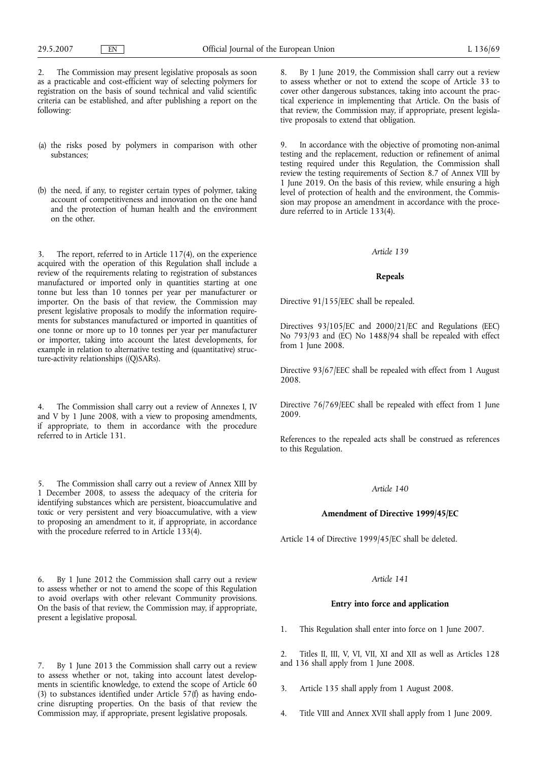2. The Commission may present legislative proposals as soon as a practicable and cost-efficient way of selecting polymers for registration on the basis of sound technical and valid scientific criteria can be established, and after publishing a report on the following:

- (a) the risks posed by polymers in comparison with other substances;
- (b) the need, if any, to register certain types of polymer, taking account of competitiveness and innovation on the one hand and the protection of human health and the environment on the other.

3. The report, referred to in Article 117(4), on the experience acquired with the operation of this Regulation shall include a review of the requirements relating to registration of substances manufactured or imported only in quantities starting at one tonne but less than 10 tonnes per year per manufacturer or importer. On the basis of that review, the Commission may present legislative proposals to modify the information requirements for substances manufactured or imported in quantities of one tonne or more up to 10 tonnes per year per manufacturer or importer, taking into account the latest developments, for example in relation to alternative testing and (quantitative) structure-activity relationships ((Q)SARs).

4. The Commission shall carry out a review of Annexes I, IV and V by 1 June 2008, with a view to proposing amendments, if appropriate, to them in accordance with the procedure referred to in Article 131.

The Commission shall carry out a review of Annex XIII by 1 December 2008, to assess the adequacy of the criteria for identifying substances which are persistent, bioaccumulative and toxic or very persistent and very bioaccumulative, with a view to proposing an amendment to it, if appropriate, in accordance with the procedure referred to in Article 133(4).

6. By 1 June 2012 the Commission shall carry out a review to assess whether or not to amend the scope of this Regulation to avoid overlaps with other relevant Community provisions. On the basis of that review, the Commission may, if appropriate, present a legislative proposal.

7. By 1 June 2013 the Commission shall carry out a review to assess whether or not, taking into account latest developments in scientific knowledge, to extend the scope of Article 60 (3) to substances identified under Article 57(f) as having endocrine disrupting properties. On the basis of that review the Commission may, if appropriate, present legislative proposals.

8. By 1 June 2019, the Commission shall carry out a review to assess whether or not to extend the scope of Article 33 to cover other dangerous substances, taking into account the practical experience in implementing that Article. On the basis of that review, the Commission may, if appropriate, present legislative proposals to extend that obligation.

9. In accordance with the objective of promoting non-animal testing and the replacement, reduction or refinement of animal testing required under this Regulation, the Commission shall review the testing requirements of Section 8.7 of Annex VIII by 1 June 2019. On the basis of this review, while ensuring a high level of protection of health and the environment, the Commission may propose an amendment in accordance with the procedure referred to in Article 133(4).

## *Article 139*

## **Repeals**

Directive 91/155/EEC shall be repealed.

Directives 93/105/EC and 2000/21/EC and Regulations (EEC) No 793/93 and (EC) No 1488/94 shall be repealed with effect from 1 June 2008.

Directive 93/67/EEC shall be repealed with effect from 1 August 2008.

Directive 76/769/EEC shall be repealed with effect from 1 June 2009.

References to the repealed acts shall be construed as references to this Regulation.

# *Article 140*

## **Amendment of Directive 1999/45/EC**

Article 14 of Directive 1999/45/EC shall be deleted.

## *Article 141*

## **Entry into force and application**

1. This Regulation shall enter into force on 1 June 2007.

2. Titles II, III, V, VI, VII, XI and XII as well as Articles 128 and 136 shall apply from 1 June 2008.

- 3. Article 135 shall apply from 1 August 2008.
- 4. Title VIII and Annex XVII shall apply from 1 June 2009.